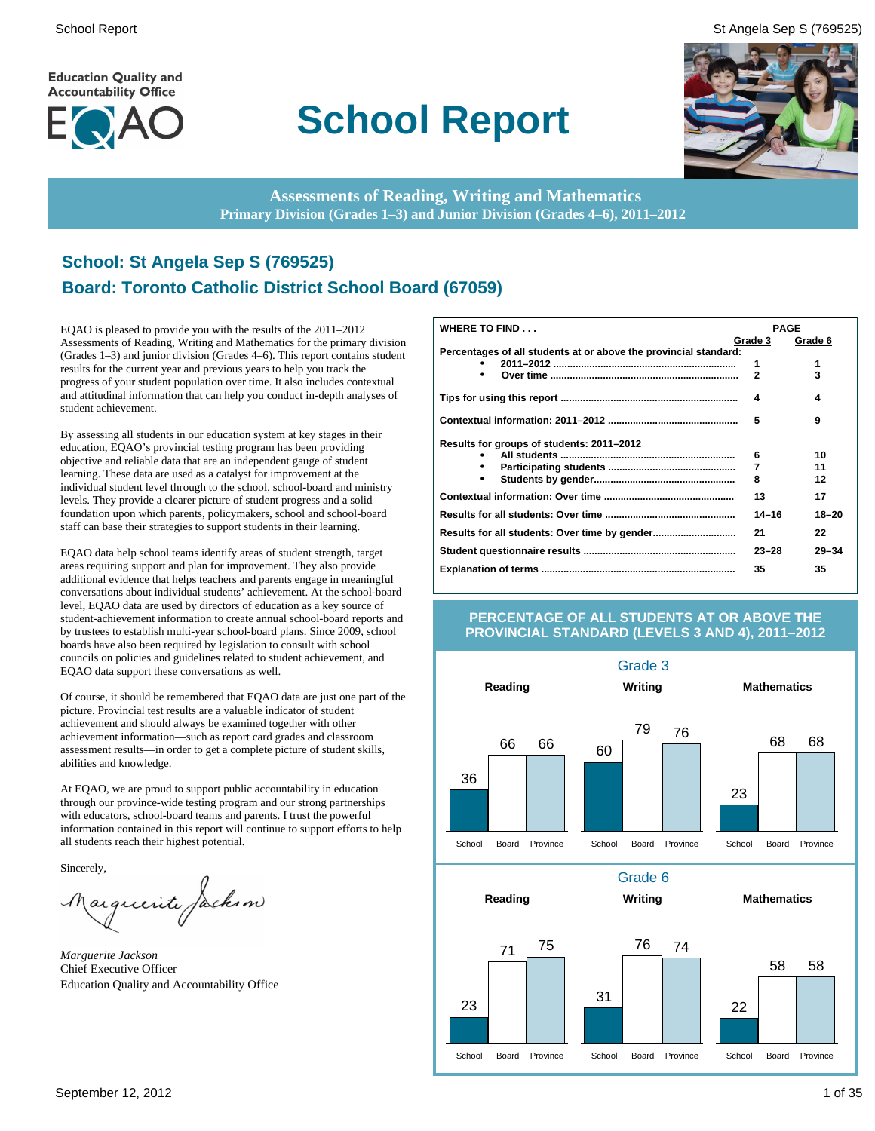**Education Quality and Accountability Office** 



# **School Report**

School Report St Angela Sep S (769525)



**Assessments of Reading, Writing and Mathematics Primary Division (Grades 1–3) and Junior Division (Grades 4–6), 2011–2012**

### **School: St Angela Sep S (769525) Board: Toronto Catholic District School Board (67059)**

EQAO is pleased to provide you with the results of the 2011–2012 Assessments of Reading, Writing and Mathematics for the primary division (Grades 1–3) and junior division (Grades 4–6). This report contains student results for the current year and previous years to help you track the progress of your student population over time. It also includes contextual and attitudinal information that can help you conduct in-depth analyses of student achievement.

By assessing all students in our education system at key stages in their education, EQAO's provincial testing program has been providing objective and reliable data that are an independent gauge of student learning. These data are used as a catalyst for improvement at the individual student level through to the school, school-board and ministry levels. They provide a clearer picture of student progress and a solid foundation upon which parents, policymakers, school and school-board staff can base their strategies to support students in their learning.

EQAO data help school teams identify areas of student strength, target areas requiring support and plan for improvement. They also provide additional evidence that helps teachers and parents engage in meaningful conversations about individual students' achievement. At the school-board level, EQAO data are used by directors of education as a key source of student-achievement information to create annual school-board reports and by trustees to establish multi-year school-board plans. Since 2009, school boards have also been required by legislation to consult with school councils on policies and guidelines related to student achievement, and EQAO data support these conversations as well.

Of course, it should be remembered that EQAO data are just one part of the picture. Provincial test results are a valuable indicator of student achievement and should always be examined together with other achievement information—such as report card grades and classroom assessment results—in order to get a complete picture of student skills, abilities and knowledge.

At EQAO, we are proud to support public accountability in education through our province-wide testing program and our strong partnerships with educators, school-board teams and parents. I trust the powerful information contained in this report will continue to support efforts to help all students reach their highest potential.

Sincerely,

arguerite Jackson

*Marguerite Jackson* Chief Executive Officer Education Quality and Accountability Office

| <b>WHERE TO FIND</b>                                             |              | <b>PAGE</b> |
|------------------------------------------------------------------|--------------|-------------|
|                                                                  | Grade 3      | Grade 6     |
| Percentages of all students at or above the provincial standard: |              |             |
|                                                                  | 1            | 1           |
|                                                                  | $\mathbf{2}$ | 3           |
|                                                                  | 4            | 4           |
|                                                                  | 5            | 9           |
| Results for groups of students: 2011-2012                        |              |             |
|                                                                  | 6            | 10          |
|                                                                  | 7            | 11          |
|                                                                  | 8            | 12          |
|                                                                  | 13           | 17          |
|                                                                  | $14 - 16$    | $18 - 20$   |
|                                                                  | 21           | 22          |
|                                                                  | $23 - 28$    | $29 - 34$   |
|                                                                  | 35           | 35          |

#### **PERCENTAGE OF ALL STUDENTS AT OR ABOVE THE PROVINCIAL STANDARD (LEVELS 3 AND 4), 2011–2012**

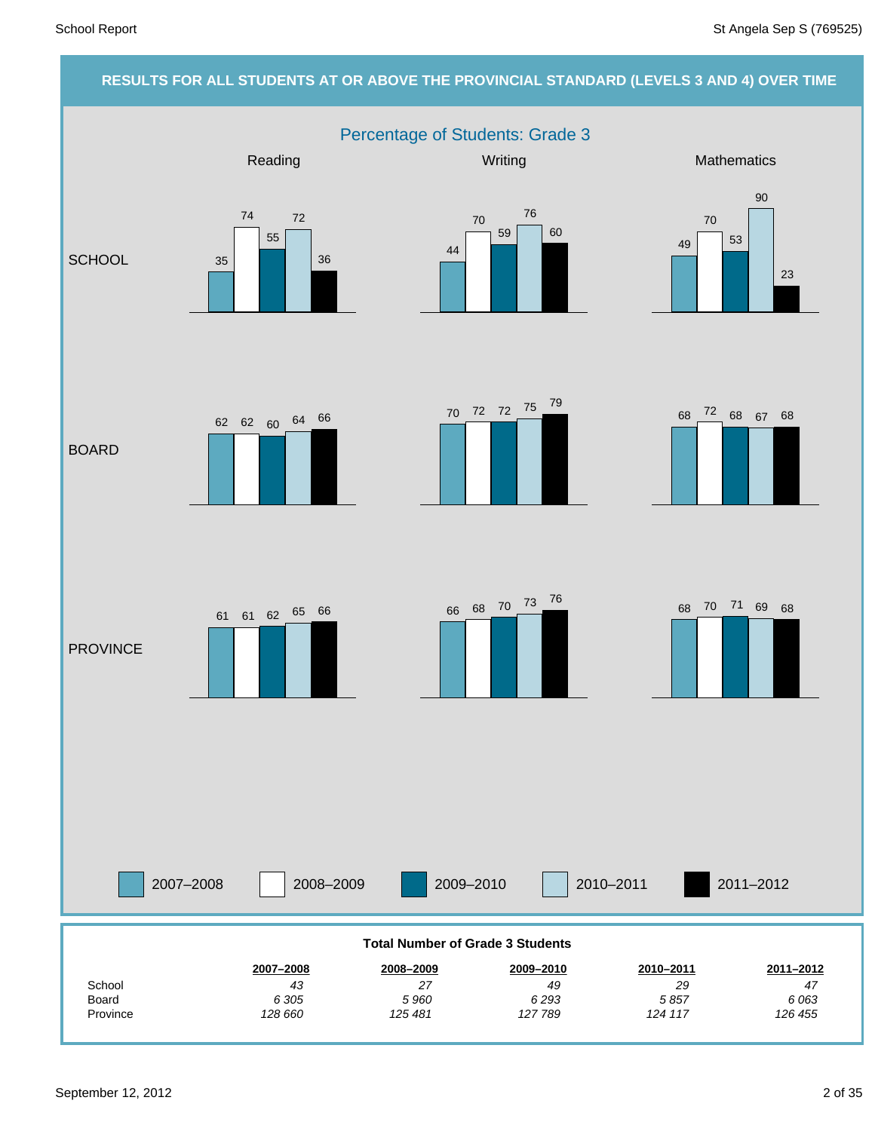#### **RESULTS FOR ALL STUDENTS AT OR ABOVE THE PROVINCIAL STANDARD (LEVELS 3 AND 4) OVER TIME**

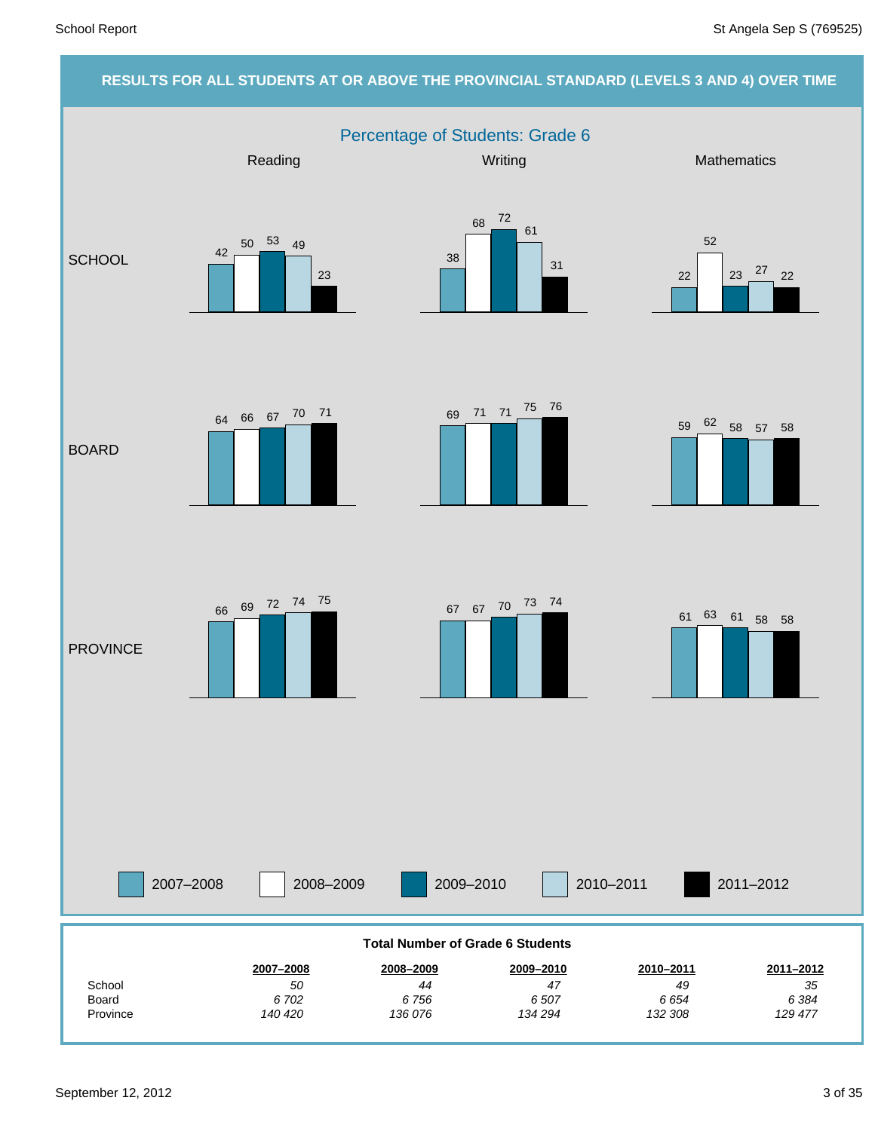#### **RESULTS FOR ALL STUDENTS AT OR ABOVE THE PROVINCIAL STANDARD (LEVELS 3 AND 4) OVER TIME** Percentage of Students: Grade 6 2007–2008 2008–2009 2009–2010 2010–2011 Reading Mathematics **Mathematics** Mathematics **Mathematics SCHOOL** BOARD **PROVINCE** 2011–2012 *129 477 6 384 35* **2011–2012** *132 308 6 654 49* **2010–2011** *134 294 6 507 47* **2009–2010** *136 076 6 756 44* **2008–2009** *140 420 6 702 50* **2007–2008** Province Board **School Total Number of Grade 6 Students** 42 50 53 49 23 38 68 72 61 31 22 52  $23 \frac{27}{22}$  22 <sup>59</sup> <sup>62</sup> <sup>58</sup> <sup>57</sup> <sup>58</sup> <sup>69</sup> <sup>71</sup> <sup>71</sup> <sup>75</sup> <sup>76</sup> <sup>64</sup> <sup>66</sup> <sup>67</sup> <sup>70</sup> <sup>71</sup> <sup>67</sup> <sup>67</sup> <sup>70</sup> <sup>73</sup> <sup>74</sup> <sup>66</sup> <sup>69</sup> <sup>72</sup> <sup>74</sup> <sup>75</sup> <sup>61</sup> <sup>63</sup> <sup>61</sup> <sup>58</sup> <sup>58</sup>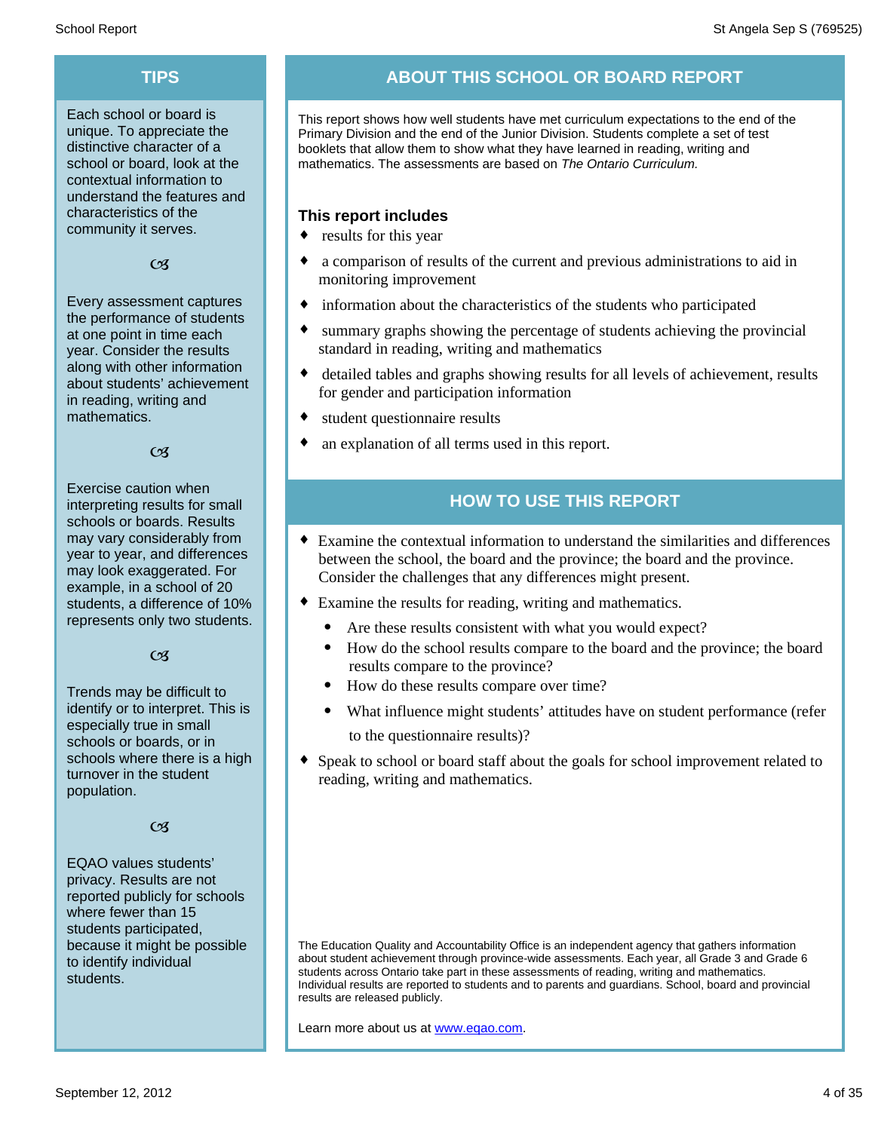Each school or board is unique. To appreciate the distinctive character of a school or board, look at the contextual information to understand the features and characteristics of the community it serves.

#### $C<sub>3</sub>$

Every assessment captures the performance of students at one point in time each year. Consider the results along with other information about students' achievement in reading, writing and mathematics.

#### $\alpha$

Exercise caution when interpreting results for small schools or boards. Results may vary considerably from year to year, and differences may look exaggerated. For example, in a school of 20 students, a difference of 10% represents only two students.

#### $C<sub>3</sub>$

Trends may be difficult to identify or to interpret. This is especially true in small schools or boards, or in schools where there is a high turnover in the student population.

#### $C<sub>3</sub>$

EQAO values students' privacy. Results are not reported publicly for schools where fewer than 15 students participated, because it might be possible to identify individual students.

## **TIPS ABOUT THIS SCHOOL OR BOARD REPORT**

This report shows how well students have met curriculum expectations to the end of the Primary Division and the end of the Junior Division. Students complete a set of test booklets that allow them to show what they have learned in reading, writing and mathematics. The assessments are based on *The Ontario Curriculum.*

#### **This report includes**

- $\bullet$  results for this year
- a comparison of results of the current and previous administrations to aid in monitoring improvement
- information about the characteristics of the students who participated
- summary graphs showing the percentage of students achieving the provincial standard in reading, writing and mathematics
- detailed tables and graphs showing results for all levels of achievement, results for gender and participation information
- student questionnaire results
- an explanation of all terms used in this report.

### **HOW TO USE THIS REPORT**

- ¨ Examine the contextual information to understand the similarities and differences between the school, the board and the province; the board and the province. Consider the challenges that any differences might present.
- Examine the results for reading, writing and mathematics.
	- Are these results consistent with what you would expect?
	- · How do the school results compare to the board and the province; the board results compare to the province?
	- · How do these results compare over time?
	- What influence might students' attitudes have on student performance (refer to the questionnaire results)?
- Speak to school or board staff about the goals for school improvement related to reading, writing and mathematics.

The Education Quality and Accountability Office is an independent agency that gathers information about student achievement through province-wide assessments. Each year, all Grade 3 and Grade 6 students across Ontario take part in these assessments of reading, writing and mathematics. Individual results are reported to students and to parents and guardians. School, board and provincial results are released publicly.

Learn more about us at www.eqao.com.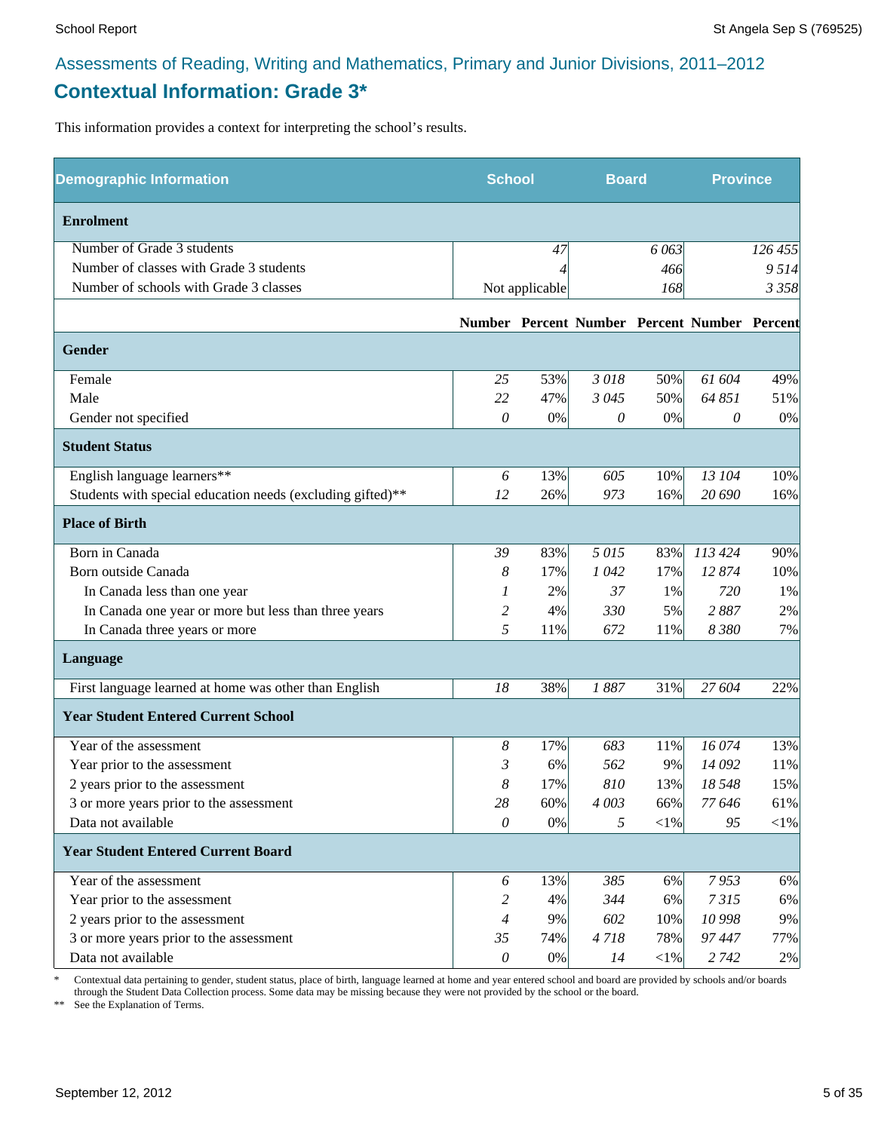### **Contextual Information: Grade 3\***

This information provides a context for interpreting the school's results.

| <b>Demographic Information</b>                             |                | <b>School</b>  |         | <b>Board</b> |                                              | <b>Province</b> |
|------------------------------------------------------------|----------------|----------------|---------|--------------|----------------------------------------------|-----------------|
| <b>Enrolment</b>                                           |                |                |         |              |                                              |                 |
| Number of Grade 3 students                                 |                | 47             |         | 6 0 63       |                                              | 126 455         |
| Number of classes with Grade 3 students                    |                |                |         | 466          |                                              | 9514            |
| Number of schools with Grade 3 classes                     |                | Not applicable |         | 168          |                                              | 3 3 5 8         |
|                                                            |                |                |         |              | Number Percent Number Percent Number Percent |                 |
| Gender                                                     |                |                |         |              |                                              |                 |
| Female                                                     | 25             | 53%            | 3018    | 50%          | 61 604                                       | 49%             |
| Male                                                       | 22             | 47%            | 3 0 4 5 | 50%          | 64 851                                       | 51%             |
| Gender not specified                                       | 0              | $0\%$          | 0       | 0%           | 0                                            | 0%              |
| <b>Student Status</b>                                      |                |                |         |              |                                              |                 |
| English language learners**                                | 6              | 13%            | 605     | 10%          | 13 104                                       | 10%             |
| Students with special education needs (excluding gifted)** | 12             | 26%            | 973     | 16%          | 20 690                                       | 16%             |
| <b>Place of Birth</b>                                      |                |                |         |              |                                              |                 |
| Born in Canada                                             | 39             | 83%            | 5015    | 83%          | 113 424                                      | 90%             |
| Born outside Canada                                        | 8              | 17%            | 1042    | 17%          | 12874                                        | 10%             |
| In Canada less than one year                               | 1              | 2%             | 37      | 1%           | 720                                          | 1%              |
| In Canada one year or more but less than three years       | 2              | 4%             | 330     | 5%           | 2887                                         | 2%              |
| In Canada three years or more                              | 5              | 11%            | 672     | 11%          | 8 3 8 0                                      | 7%              |
| Language                                                   |                |                |         |              |                                              |                 |
| First language learned at home was other than English      | 18             | 38%            | 1887    | 31%          | 27 604                                       | 22%             |
| <b>Year Student Entered Current School</b>                 |                |                |         |              |                                              |                 |
| Year of the assessment                                     | 8              | 17%            | 683     | 11%          | 16 074                                       | 13%             |
| Year prior to the assessment                               | 3              | 6%             | 562     | 9%           | 14 092                                       | 11%             |
| 2 years prior to the assessment                            | 8              | 17%            | 810     | 13%          | 18 548                                       | 15%             |
| 3 or more years prior to the assessment                    | 28             | $60\%$         | 4 003   | 66%          | 77 646                                       | 61%             |
| Data not available                                         | $\theta$       | $0\%$          | 5       | $<$ 1%       | 95                                           | $<\!\!1\%$      |
| <b>Year Student Entered Current Board</b>                  |                |                |         |              |                                              |                 |
| Year of the assessment                                     | 6              | 13%            | 385     | 6%           | 7953                                         | 6%              |
| Year prior to the assessment                               | 2              | 4%             | 344     | 6%           | 7315                                         | 6%              |
| 2 years prior to the assessment                            | $\overline{4}$ | 9%             | 602     | 10%          | 10 998                                       | 9%              |
| 3 or more years prior to the assessment                    | 35             | 74%            | 4718    | 78%          | 97447                                        | 77%             |
| Data not available                                         | $\theta$       | $0\%$          | 14      | $<$ 1%       | 2 7 4 2                                      | $2\%$           |

\* Contextual data pertaining to gender, student status, place of birth, language learned at home and year entered school and board are provided by schools and/or boards through the Student Data Collection process. Some data may be missing because they were not provided by the school or the board.

\*\* See the Explanation of Terms.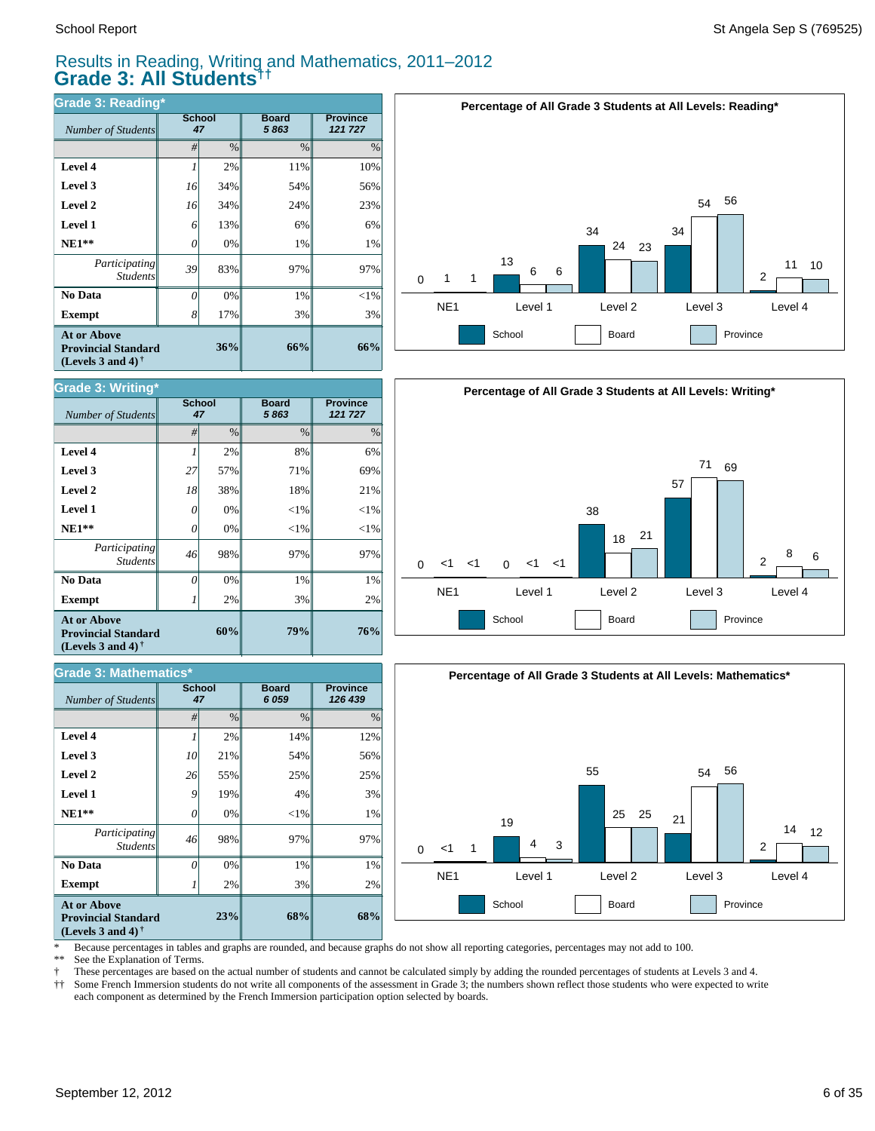#### Results in Reading, Writing and Mathematics, 2011–2012 **Grade 3: All Students††**

| <b>Grade 3: Reading*</b>                                                       |          |                     |                      |                            |  |  |  |  |  |
|--------------------------------------------------------------------------------|----------|---------------------|----------------------|----------------------------|--|--|--|--|--|
| Number of Students                                                             |          | <b>School</b><br>47 | <b>Board</b><br>5863 | <b>Province</b><br>121 727 |  |  |  |  |  |
|                                                                                | #        | $\%$                | $\frac{0}{0}$        | $\%$                       |  |  |  |  |  |
| Level 4                                                                        |          | 2%                  | 11%                  | 10%                        |  |  |  |  |  |
| Level 3                                                                        | 16       | 34%                 | 54%                  | 56%                        |  |  |  |  |  |
| Level 2                                                                        | 16       | 34%                 | 24%                  | 23%                        |  |  |  |  |  |
| Level 1                                                                        | 6        | 13%                 | 6%                   | 6%                         |  |  |  |  |  |
| $NE1**$                                                                        | 0        | 0%                  | 1%                   | 1%                         |  |  |  |  |  |
| Participating<br><b>Students</b>                                               | 39       | 83%                 | 97%                  | 97%                        |  |  |  |  |  |
| No Data                                                                        | $\theta$ | 0%                  | 1%                   | $< 1\%$                    |  |  |  |  |  |
| <b>Exempt</b>                                                                  | 8        | 17%                 | 3%                   | 3%                         |  |  |  |  |  |
| <b>At or Above</b><br><b>Provincial Standard</b><br>(Levels 3 and 4) $\bar{ }$ |          | 36%                 | 66%                  | 66%                        |  |  |  |  |  |





| <b>Grade 3: Mathematics*</b>                                                   |          |                     |                      |                            |  |  |  |  |  |
|--------------------------------------------------------------------------------|----------|---------------------|----------------------|----------------------------|--|--|--|--|--|
| Number of Students                                                             |          | <b>School</b><br>47 | <b>Board</b><br>6059 | <b>Province</b><br>126 439 |  |  |  |  |  |
|                                                                                | #        | $\frac{0}{0}$       | $\frac{0}{0}$        | $\%$                       |  |  |  |  |  |
| Level 4                                                                        |          | 2%                  | 14%                  | 12%                        |  |  |  |  |  |
| Level 3                                                                        | 10       | 21%                 | 54%                  | 56%                        |  |  |  |  |  |
| Level 2                                                                        | 26       | 55%                 | 25%                  | 25%                        |  |  |  |  |  |
| Level 1                                                                        | 9        | 19%                 | 4%                   | 3%                         |  |  |  |  |  |
| $NE1**$                                                                        | 0        | 0%                  | $<$ 1%               | 1%                         |  |  |  |  |  |
| Participating<br><b>Students</b>                                               | 46       | 98%                 | 97%                  | 97%                        |  |  |  |  |  |
| No Data                                                                        | $\Omega$ | 0%                  | 1%                   | 1%                         |  |  |  |  |  |
| <b>Exempt</b>                                                                  |          | 2%                  | 3%                   | 2%                         |  |  |  |  |  |
| <b>At or Above</b><br><b>Provincial Standard</b><br>(Levels 3 and 4) $\dagger$ |          | 23%                 | 68%                  | 68%                        |  |  |  |  |  |





\* Because percentages in tables and graphs are rounded, and because graphs do not show all reporting categories, percentages may not add to 100.

See the Explanation of Terms.

† These percentages are based on the actual number of students and cannot be calculated simply by adding the rounded percentages of students at Levels 3 and 4.

Some French Immersion students do not write all components of the assessment in Grade 3; the numbers shown reflect those students who were expected to write each component as determined by the French Immersion participation option selected by boards.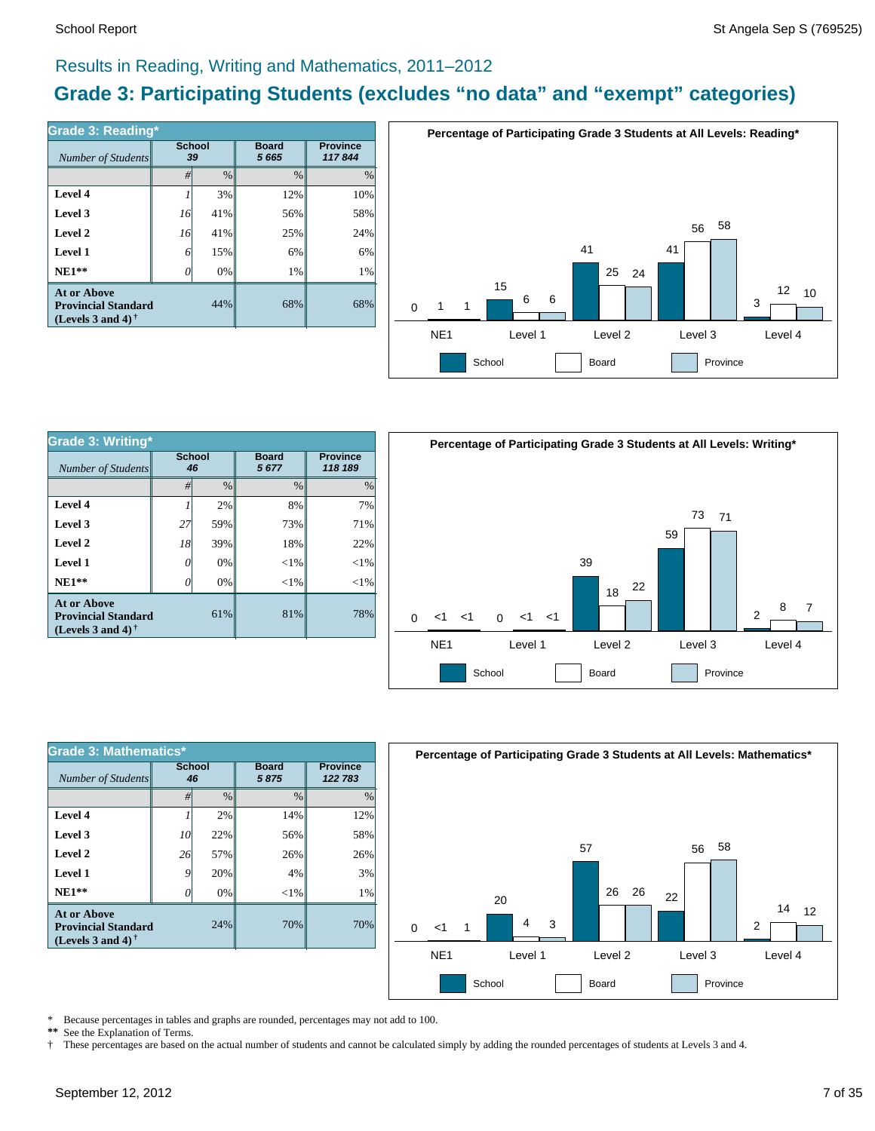$\frac{8}{2}$   $\frac{7}{2}$ 

### Results in Reading, Writing and Mathematics, 2011–2012

### **Grade 3: Participating Students (excludes "no data" and "exempt" categories)**

| Number of Students                                                             | <b>School</b><br>39 |      | <b>Board</b><br>5665 | <b>Province</b><br>117844 |
|--------------------------------------------------------------------------------|---------------------|------|----------------------|---------------------------|
|                                                                                | #                   | $\%$ | $\frac{0}{0}$        | $\%$                      |
| Level 4                                                                        |                     | 3%   | 12%                  | 10%                       |
| Level 3                                                                        | 16                  | 41%  | 56%                  | 58%                       |
| Level 2                                                                        | 16                  | 41%  | 25%                  | 24%                       |
| Level 1                                                                        | 6                   | 15%  | 6%                   | 6%                        |
| $NE1**$                                                                        | 0                   | 0%   | 1%                   | 1%                        |
| <b>At or Above</b><br><b>Provincial Standard</b><br>(Levels 3 and 4) $\dagger$ |                     | 44%  | 68%                  | 68%                       |



| Grade 3: Writing*                                                              |          |                     |                      |                            | Percentage of Participating Grade 3 Students at All Levels: Writing* |
|--------------------------------------------------------------------------------|----------|---------------------|----------------------|----------------------------|----------------------------------------------------------------------|
| Number of Students                                                             |          | <b>School</b><br>46 | <b>Board</b><br>5677 | <b>Province</b><br>118 189 |                                                                      |
|                                                                                | #        | $\%$                | $\%$                 | $\%$                       |                                                                      |
| Level 4                                                                        |          | 2%                  | 8%                   | 7%                         |                                                                      |
| Level 3                                                                        | 27       | 59%                 | 73%                  | 71%                        | 73<br>71                                                             |
| Level 2                                                                        | 18       | 39%                 | 18%                  | 22%                        | 59                                                                   |
| Level 1                                                                        | $\theta$ | $0\%$               | $< 1\%$              | <1%                        | 39                                                                   |
| $NE1**$                                                                        | $\theta$ | 0%                  | $< 1\%$              | $< 1\%$                    | 22<br>18                                                             |
| <b>At or Above</b><br><b>Provincial Standard</b><br>(Levels 3 and 4) $\dagger$ |          | 61%                 | 81%                  | 78%                        | 8<br>っ<br>$<1$ $<1$<br>$0 \le 1 \le 1$<br>$\Omega$                   |
|                                                                                |          |                     |                      |                            | NE <sub>1</sub><br>Level 4<br>Level 1<br>Level 2<br>Level 3          |
|                                                                                |          |                     |                      |                            | School<br>Board<br>Province                                          |

| <b>Grade 3: Mathematics*</b>                                                                         |                     |               |                      |                            |  |  |  |  |  |
|------------------------------------------------------------------------------------------------------|---------------------|---------------|----------------------|----------------------------|--|--|--|--|--|
| Number of Students                                                                                   | <b>School</b><br>46 |               | <b>Board</b><br>5875 | <b>Province</b><br>122 783 |  |  |  |  |  |
|                                                                                                      | #                   | $\frac{0}{0}$ | $\frac{0}{0}$        | %                          |  |  |  |  |  |
| Level 4                                                                                              |                     | 2%            | 14%                  | 12%                        |  |  |  |  |  |
| Level 3                                                                                              | 10                  | 22%           | 56%                  | 58%                        |  |  |  |  |  |
| Level 2                                                                                              | 26                  | 57%           | 26%                  | 26%                        |  |  |  |  |  |
| Level 1                                                                                              | 9                   | 20%           | 4%                   | 3%                         |  |  |  |  |  |
| $NE1**$                                                                                              | 0                   | 0%            | $<$ 1%               | 1%                         |  |  |  |  |  |
| <b>At or Above</b><br><b>Provincial Standard</b><br>(Levels 3 and 4) <sup><math>\dagger</math></sup> |                     | 24%           | 70%                  | 70%                        |  |  |  |  |  |



\* Because percentages in tables and graphs are rounded, percentages may not add to 100.<br>\*\* See the Explanation of Terms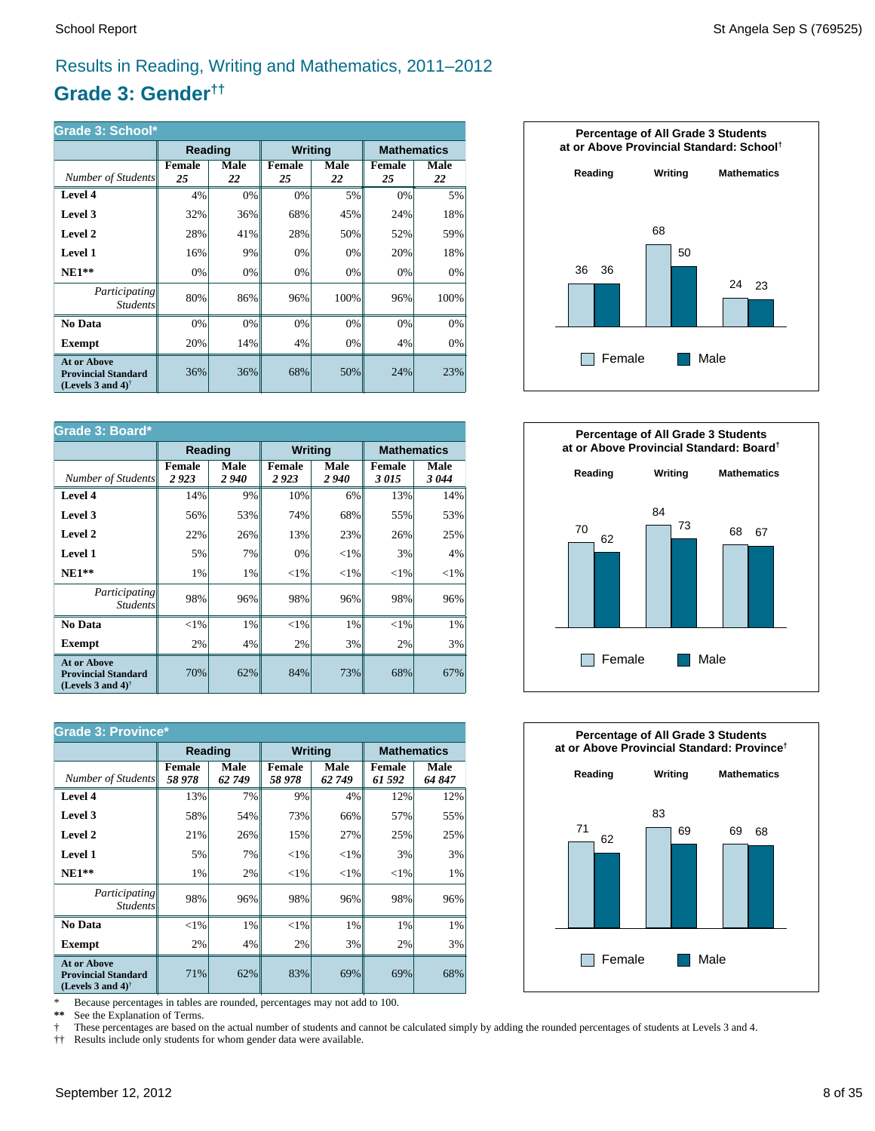### Results in Reading, Writing and Mathematics, 2011–2012

### **Grade 3: Gender††**

| Grade 3: School*                                                                                     |              |            |                |            |                     |            |  |  |  |
|------------------------------------------------------------------------------------------------------|--------------|------------|----------------|------------|---------------------|------------|--|--|--|
|                                                                                                      | Reading      |            | <b>Writing</b> |            | <b>Mathematics</b>  |            |  |  |  |
| Number of Students                                                                                   | Female<br>25 | Male<br>22 | Female<br>25   | Male<br>22 | <b>Female</b><br>25 | Male<br>22 |  |  |  |
| Level 4                                                                                              | 4%           | 0%         | 0%             | 5%         | 0%                  | 5%         |  |  |  |
| Level 3                                                                                              | 32%          | 36%        | 68%            | 45%        | 24%                 | 18%        |  |  |  |
| Level 2                                                                                              | 28%          | 41%        | 28%            | 50%        | 52%                 | 59%        |  |  |  |
| Level 1                                                                                              | 16%          | 9%         | 0%             | 0%         | 20%                 | 18%        |  |  |  |
| $NE1**$                                                                                              | 0%           | 0%         | 0%             | 0%         | 0%                  | 0%         |  |  |  |
| <i>Participating</i><br><i>Students</i>                                                              | 80%          | 86%        | 96%            | 100%       | 96%                 | 100%       |  |  |  |
| No Data                                                                                              | 0%           | $0\%$      | 0%             | 0%         | 0%                  | 0%         |  |  |  |
| Exempt                                                                                               | 20%          | 14%        | 4%             | 0%         | 4%                  | 0%         |  |  |  |
| <b>At or Above</b><br><b>Provincial Standard</b><br>(Levels 3 and 4) <sup><math>\dagger</math></sup> | 36%          | 36%        | 68%            | 50%        | 24%                 | 23%        |  |  |  |

| Grade 3: Board*                                                                |                       |              |                       |              |                       |              |  |  |
|--------------------------------------------------------------------------------|-----------------------|--------------|-----------------------|--------------|-----------------------|--------------|--|--|
|                                                                                | Reading               |              | <b>Writing</b>        |              | <b>Mathematics</b>    |              |  |  |
| Number of Students                                                             | <b>Female</b><br>2923 | Male<br>2940 | <b>Female</b><br>2923 | Male<br>2940 | <b>Female</b><br>3015 | Male<br>3044 |  |  |
| Level 4                                                                        | 14%                   | 9%           | 10%                   | 6%           | 13%                   | 14%          |  |  |
| Level 3                                                                        | 56%                   | 53%          | 74%                   | 68%          | 55%                   | 53%          |  |  |
| Level 2                                                                        | 22%                   | 26%          | 13%                   | 23%          | 26%                   | 25%          |  |  |
| Level 1                                                                        | 5%                    | 7%           | 0%                    | ${<}1\%$     | 3%                    | 4%           |  |  |
| $NE1**$                                                                        | 1%                    | 1%           | ${<}1\%$              | ${<}1\%$     | ${<}1\%$              | ${<}1\%$     |  |  |
| Participating<br><i>Students</i>                                               | 98%                   | 96%          | 98%                   | 96%          | 98%                   | 96%          |  |  |
| No Data                                                                        | ${<}1\%$              | 1%           | $<$ 1%                | 1%           | $<$ 1%                | 1%           |  |  |
| <b>Exempt</b>                                                                  | 2%                    | 4%           | 2%                    | 3%           | 2%                    | 3%           |  |  |
| <b>At or Above</b><br><b>Provincial Standard</b><br>(Levels 3 and 4) $\dagger$ | 70%                   | 62%          | 84%                   | 73%          | 68%                   | 67%          |  |  |

| <b>Grade 3: Province*</b>                                                      |                        |               |                         |               |                         |               |  |  |
|--------------------------------------------------------------------------------|------------------------|---------------|-------------------------|---------------|-------------------------|---------------|--|--|
|                                                                                | Reading                |               | <b>Writing</b>          |               | <b>Mathematics</b>      |               |  |  |
| Number of Students                                                             | <b>Female</b><br>58978 | Male<br>62749 | <b>Female</b><br>58 978 | Male<br>62749 | <b>Female</b><br>61 592 | Male<br>64847 |  |  |
| Level 4                                                                        | 13%                    | 7%            | 9%                      | 4%            | 12%                     | 12%           |  |  |
| Level 3                                                                        | 58%                    | 54%           | 73%                     | 66%           | 57%                     | 55%           |  |  |
| Level 2                                                                        | 21%                    | 26%           | 15%                     | 27%           | 25%                     | 25%           |  |  |
| Level 1                                                                        | 5%                     | 7%            | ${<}1\%$                | ${<}1\%$      | 3%                      | 3%            |  |  |
| $NE1**$                                                                        | 1%                     | 2%            | ${<}1\%$                | ${<}1\%$      | ${<}1\%$                | 1%            |  |  |
| <i>Participating</i><br><i>Students</i>                                        | 98%                    | 96%           | 98%                     | 96%           | 98%                     | 96%           |  |  |
| No Data                                                                        | $<$ 1%                 | 1%            | $<$ 1%                  | 1%            | 1%                      | 1%            |  |  |
| <b>Exempt</b>                                                                  | 2%                     | 4%            | 2%                      | 3%            | 2%                      | 3%            |  |  |
| <b>At or Above</b><br><b>Provincial Standard</b><br>(Levels 3 and 4) $\dagger$ | 71%                    | 62%           | 83%                     | 69%           | 69%                     | 68%           |  |  |

\* Because percentages in tables are rounded, percentages may not add to 100.<br>\*\* See the Explanation of Terms.

See the Explanation of Terms.

† These percentages are based on the actual number of students and cannot be calculated simply by adding the rounded percentages of students at Levels 3 and 4.<br>†† Results include only students for whom gender data were ava

†† Results include only students for whom gender data were available.





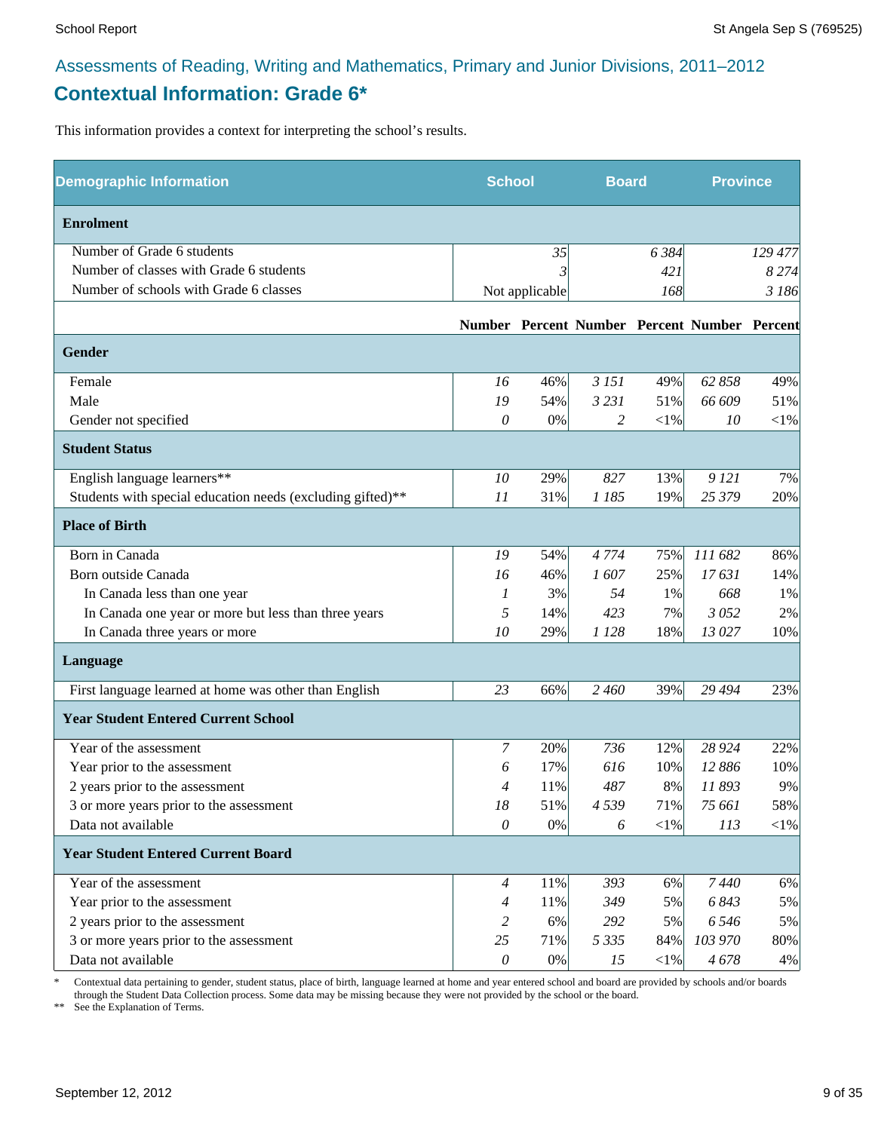## Assessments of Reading, Writing and Mathematics, Primary and Junior Divisions, 2011–2012 **Contextual Information: Grade 6\***

This information provides a context for interpreting the school's results.

| <b>Demographic Information</b>                             | <b>School</b>  |                | <b>Board</b> |           | <b>Province</b>                              |            |
|------------------------------------------------------------|----------------|----------------|--------------|-----------|----------------------------------------------|------------|
| <b>Enrolment</b>                                           |                |                |              |           |                                              |            |
| Number of Grade 6 students                                 |                | 35             |              | 6 3 8 4   |                                              | 129 477    |
| Number of classes with Grade 6 students                    |                |                |              | 421       |                                              | 8274       |
| Number of schools with Grade 6 classes                     |                | Not applicable |              | 168       |                                              | 3 186      |
|                                                            |                |                |              |           | Number Percent Number Percent Number Percent |            |
| <b>Gender</b>                                              |                |                |              |           |                                              |            |
| Female                                                     | 16             | 46%            | 3 15 1       | 49%       | 62 858                                       | 49%        |
| Male                                                       | 19             | 54%            | 3 2 3 1      | 51%       | 66 609                                       | 51%        |
| Gender not specified                                       | 0              | 0%             | 2            | $<$ 1%    | 10                                           | $<$ 1%     |
| <b>Student Status</b>                                      |                |                |              |           |                                              |            |
| English language learners**                                | 10             | 29%            | 827          | 13%       | 9 12 1                                       | 7%         |
| Students with special education needs (excluding gifted)** | 11             | 31%            | 1 185        | 19%       | 25 379                                       | 20%        |
| <b>Place of Birth</b>                                      |                |                |              |           |                                              |            |
| Born in Canada                                             | 19             | 54%            | 4 7 7 4      | 75%       | 111 682                                      | 86%        |
| Born outside Canada                                        | 16             | 46%            | 1607         | 25%       | 17631                                        | 14%        |
| In Canada less than one year                               | 1              | 3%             | 54           | 1%        | 668                                          | 1%         |
| In Canada one year or more but less than three years       | 5              | 14%            | 423          | 7%        | 3052                                         | 2%         |
| In Canada three years or more                              | 10             | 29%            | 1 1 2 8      | 18%       | 13 027                                       | 10%        |
| Language                                                   |                |                |              |           |                                              |            |
| First language learned at home was other than English      | 23             | 66%            | 2 460        | 39%       | 29 4 94                                      | 23%        |
| <b>Year Student Entered Current School</b>                 |                |                |              |           |                                              |            |
| Year of the assessment                                     | $\overline{7}$ | 20%            | 736          | 12%       | 28 9 24                                      | 22%        |
| Year prior to the assessment                               | 6              | 17%            | 616          | 10%       | 12 886                                       | 10%        |
| 2 years prior to the assessment                            | 4              | 11%            | 487          | 8%        | 11893                                        | 9%         |
| 3 or more years prior to the assessment                    | 18             | 51%            | 4539         | 71%       | 75 661                                       | 58%        |
| Data not available                                         | $\mathcal O$   | $0\%$          | 6            | $<$ l $%$ | 113                                          | $<\!\!1\%$ |
| <b>Year Student Entered Current Board</b>                  |                |                |              |           |                                              |            |
| Year of the assessment                                     | $\overline{4}$ | 11%            | 393          | 6%        | 7440                                         | 6%         |
| Year prior to the assessment                               | $\overline{4}$ | 11%            | 349          | 5%        | 6843                                         | 5%         |
| 2 years prior to the assessment                            | 2              | 6%             | 292          | 5%        | 6546                                         | 5%         |
| 3 or more years prior to the assessment                    | 25             | 71%            | 5 3 3 5      | 84%       | 103 970                                      | 80%        |
| Data not available                                         | $\mathcal O$   | 0%             | 15           | $<$ 1%    | 4678                                         | 4%         |

\* Contextual data pertaining to gender, student status, place of birth, language learned at home and year entered school and board are provided by schools and/or boards through the Student Data Collection process. Some data may be missing because they were not provided by the school or the board.

\*\* See the Explanation of Terms.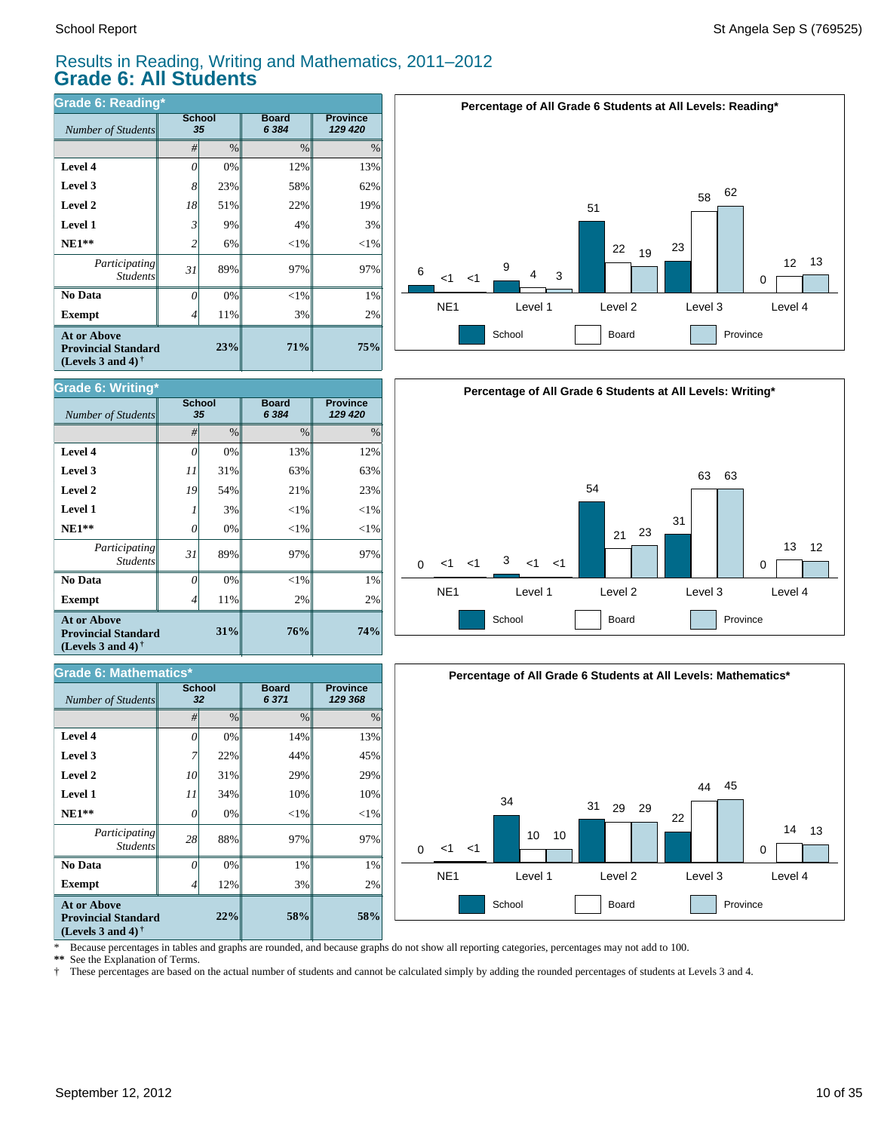#### Results in Reading, Writing and Mathematics, 2011–2012 **Grade 6: All Students**

| Grade 6: Reading*                                                              |                |               |                         |                            |  |  |  |  |
|--------------------------------------------------------------------------------|----------------|---------------|-------------------------|----------------------------|--|--|--|--|
| Number of Students                                                             | <b>School</b>  | 35            | <b>Board</b><br>6 3 8 4 | <b>Province</b><br>129 420 |  |  |  |  |
|                                                                                | #              | $\frac{0}{0}$ | $\frac{0}{0}$           | $\%$                       |  |  |  |  |
| Level 4                                                                        | 0              | 0%            | 12%                     | 13%                        |  |  |  |  |
| Level 3                                                                        | 8 <sup>1</sup> | 23%           | 58%                     | 62%                        |  |  |  |  |
| Level 2                                                                        | 18             | 51%           | 22%                     | 19%                        |  |  |  |  |
| Level 1                                                                        | 3              | 9%            | 4%                      | 3%                         |  |  |  |  |
| $NE1**$                                                                        | $\overline{c}$ | 6%            | $<$ 1%                  | $<$ 1%                     |  |  |  |  |
| <i>Participating</i><br><b>Students</b>                                        | 31             | 89%           | 97%                     | 97%                        |  |  |  |  |
| No Data                                                                        | 0              | 0%            | $<$ 1%                  | 1%                         |  |  |  |  |
| <b>Exempt</b>                                                                  |                | 11%           | 3%                      | 2%                         |  |  |  |  |
| <b>At or Above</b><br><b>Provincial Standard</b><br>(Levels 3 and 4) $\dagger$ |                |               | 71%                     | 75%                        |  |  |  |  |



| Grade 6: Writing*                                                                                           |                     |      |                         |                            |  |  |  |  |
|-------------------------------------------------------------------------------------------------------------|---------------------|------|-------------------------|----------------------------|--|--|--|--|
| Number of Students                                                                                          | <b>School</b><br>35 |      | <b>Board</b><br>6 3 8 4 | <b>Province</b><br>129 420 |  |  |  |  |
|                                                                                                             | #                   | $\%$ | $\frac{0}{0}$           | %                          |  |  |  |  |
| Level 4                                                                                                     | 0                   | 0%   | 13%                     | 12%                        |  |  |  |  |
| Level 3                                                                                                     | 11                  | 31%  | 63%                     | 63%                        |  |  |  |  |
| Level 2                                                                                                     | 19                  | 54%  | 21%                     | 23%                        |  |  |  |  |
| <b>Level 1</b>                                                                                              |                     | 3%   | $<$ 1%                  | ${<}1\%$                   |  |  |  |  |
| $NE1**$                                                                                                     | $\Omega$            | 0%   | $<$ 1%                  | ${<}1\%$                   |  |  |  |  |
| Participating<br><b>Students</b>                                                                            | 31                  | 89%  | 97%                     | 97%                        |  |  |  |  |
| No Data                                                                                                     | $\theta$            | 0%   | $<$ 1%                  | $1\%$                      |  |  |  |  |
| <b>Exempt</b>                                                                                               | 4                   | 11%  | 2%                      | 2%                         |  |  |  |  |
| <b>At or Above</b><br>31%<br><b>Provincial Standard</b><br>(Levels 3 and 4) <sup><math>\dagger</math></sup> |                     |      | 76%                     | 74%                        |  |  |  |  |

| <b>Grade 6: Mathematics*</b>                                                                                |                     |      |                         |                            |  |  |  |
|-------------------------------------------------------------------------------------------------------------|---------------------|------|-------------------------|----------------------------|--|--|--|
| <b>Number of Students</b>                                                                                   | <b>School</b><br>32 |      | <b>Board</b><br>6 3 7 1 | <b>Province</b><br>129 368 |  |  |  |
|                                                                                                             | #                   | $\%$ | $\frac{0}{0}$           | $\%$                       |  |  |  |
| Level 4                                                                                                     | $\theta$            | 0%   | 14%                     | 13%                        |  |  |  |
| Level 3                                                                                                     |                     | 22%  | 44%                     | 45%                        |  |  |  |
| Level 2                                                                                                     | 10                  | 31%  | 29%                     | 29%                        |  |  |  |
| <b>Level 1</b>                                                                                              | 11                  | 34%  | 10%                     | 10%                        |  |  |  |
| $NE1**$                                                                                                     | 0                   | 0%   | $<$ 1%                  | $<$ 1%                     |  |  |  |
| <i>Participating</i><br><b>Students</b>                                                                     | 28                  | 88%  | 97%                     | 97%                        |  |  |  |
| No Data                                                                                                     | N                   | 0%   | 1%                      | 1%                         |  |  |  |
| <b>Exempt</b>                                                                                               | 4                   | 12%  | 3%                      | 2%                         |  |  |  |
| <b>At or Above</b><br>22%<br><b>Provincial Standard</b><br>(Levels 3 and 4) <sup><math>\dagger</math></sup> |                     |      | 58%                     | 58%                        |  |  |  |





\* Because percentages in tables and graphs are rounded, and because graphs do not show all reporting categories, percentages may not add to 100.

**\*\*** See the Explanation of Terms.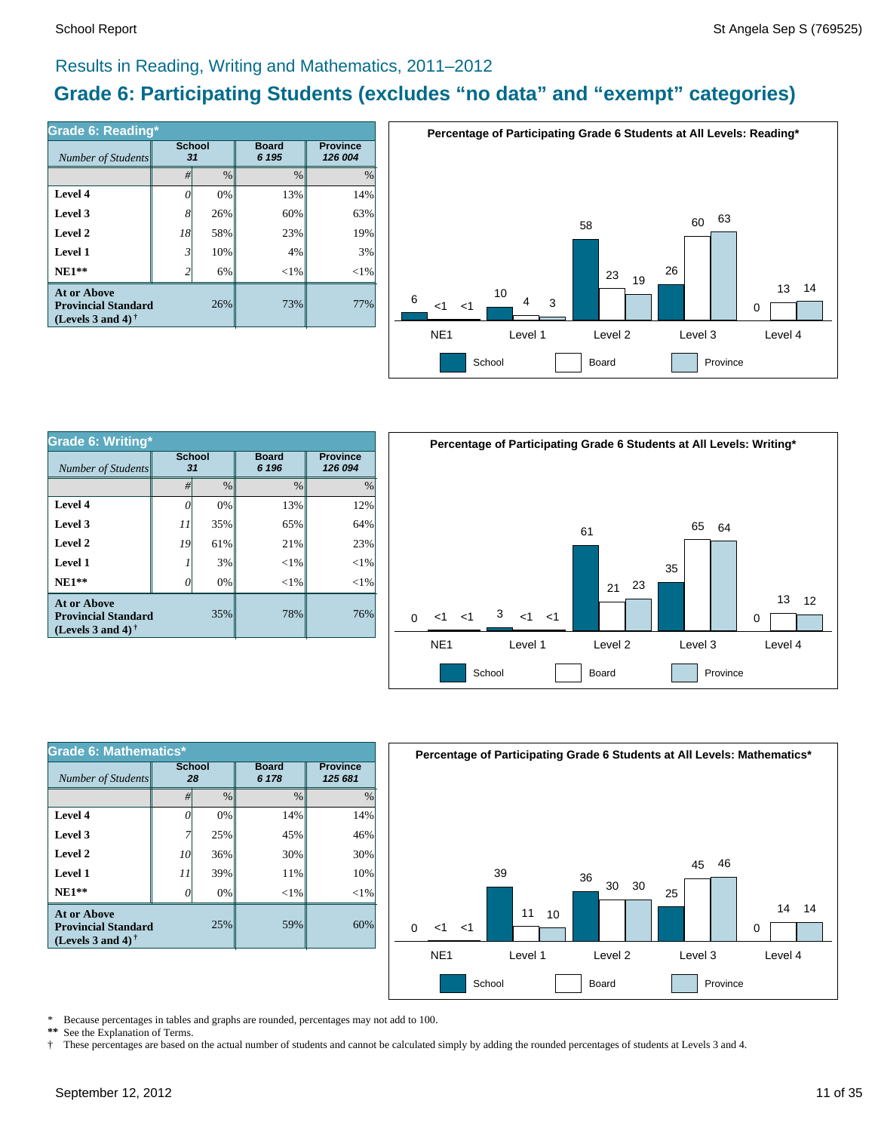### Results in Reading, Writing and Mathematics, 2011–2012

### **Grade 6: Participating Students (excludes "no data" and "exempt" categories)**

| Number of Students                                                             | Grade 6: Reading*<br><b>School</b><br>31 |      | <b>Board</b><br>6 195 | <b>Province</b><br>126 004 |  |
|--------------------------------------------------------------------------------|------------------------------------------|------|-----------------------|----------------------------|--|
|                                                                                | #                                        | $\%$ | $\%$                  | $\%$                       |  |
| Level 4                                                                        |                                          | 0%   | 13%                   | 14%                        |  |
| Level 3                                                                        | $8^{\circ}$                              | 26%  | 60%                   | 63%                        |  |
| Level 2                                                                        | 18                                       | 58%  | 23%                   | 19%                        |  |
| Level 1                                                                        | $\mathfrak{Z}$                           | 10%  | 4%                    | 3%                         |  |
| $NE1**$                                                                        | 2                                        | 6%   | $<$ 1%                | ${<}1\%$                   |  |
| <b>At or Above</b><br><b>Provincial Standard</b><br>(Levels 3 and 4) $\dagger$ |                                          | 26%  | 73%                   | 77%                        |  |



| Grade 6: Writing*                                                              |                     |       |                       |                            |  |  |  |  |
|--------------------------------------------------------------------------------|---------------------|-------|-----------------------|----------------------------|--|--|--|--|
| Number of Students                                                             | <b>School</b><br>31 |       | <b>Board</b><br>6 196 | <b>Province</b><br>126 094 |  |  |  |  |
|                                                                                | $\frac{0}{0}$<br>#  |       | $\frac{0}{0}$         | $\%$                       |  |  |  |  |
| Level 4                                                                        | 0                   | $0\%$ | 13%                   | 12%                        |  |  |  |  |
| Level 3                                                                        | 11                  | 35%   | 65%                   | 64%                        |  |  |  |  |
| Level 2                                                                        | 19                  | 61%   | 21%                   | 23%                        |  |  |  |  |
| Level 1                                                                        |                     | 3%    | ${<}1\%$              | $<$ 1%                     |  |  |  |  |
| $NE1**$                                                                        | 0                   | $0\%$ | ${<}1\%$              | $<$ 1%                     |  |  |  |  |
| At or Above<br>35%<br><b>Provincial Standard</b><br>(Levels 3 and 4) $\dagger$ |                     |       | 78%                   | 76%                        |  |  |  |  |



| Grade 6: Mathematics*                                                                                |                     |               |                       |                            |  |  |  |  |
|------------------------------------------------------------------------------------------------------|---------------------|---------------|-----------------------|----------------------------|--|--|--|--|
| Number of Students                                                                                   | <b>School</b><br>28 |               | <b>Board</b><br>6 178 | <b>Province</b><br>125 681 |  |  |  |  |
|                                                                                                      | #                   | $\frac{0}{0}$ | $\frac{0}{0}$         | $\frac{0}{0}$              |  |  |  |  |
| Level 4                                                                                              |                     | 0%            | 14%                   | 14%                        |  |  |  |  |
| Level 3                                                                                              |                     | 25%           | 45%                   | 46%                        |  |  |  |  |
| Level 2                                                                                              | 10                  | 36%           | 30%                   | 30%                        |  |  |  |  |
| Level 1                                                                                              | 11                  | 39%           | 11%                   | 10%                        |  |  |  |  |
| $NE1**$                                                                                              |                     | 0%            | ${<}1\%$              | $<$ 1%                     |  |  |  |  |
| <b>At or Above</b><br><b>Provincial Standard</b><br>(Levels 3 and 4) <sup><math>\dagger</math></sup> |                     | 25%           | 59%                   | 60%                        |  |  |  |  |



\* Because percentages in tables and graphs are rounded, percentages may not add to 100.<br>\*\* See the Explanation of Terms See the Explanation of Terms.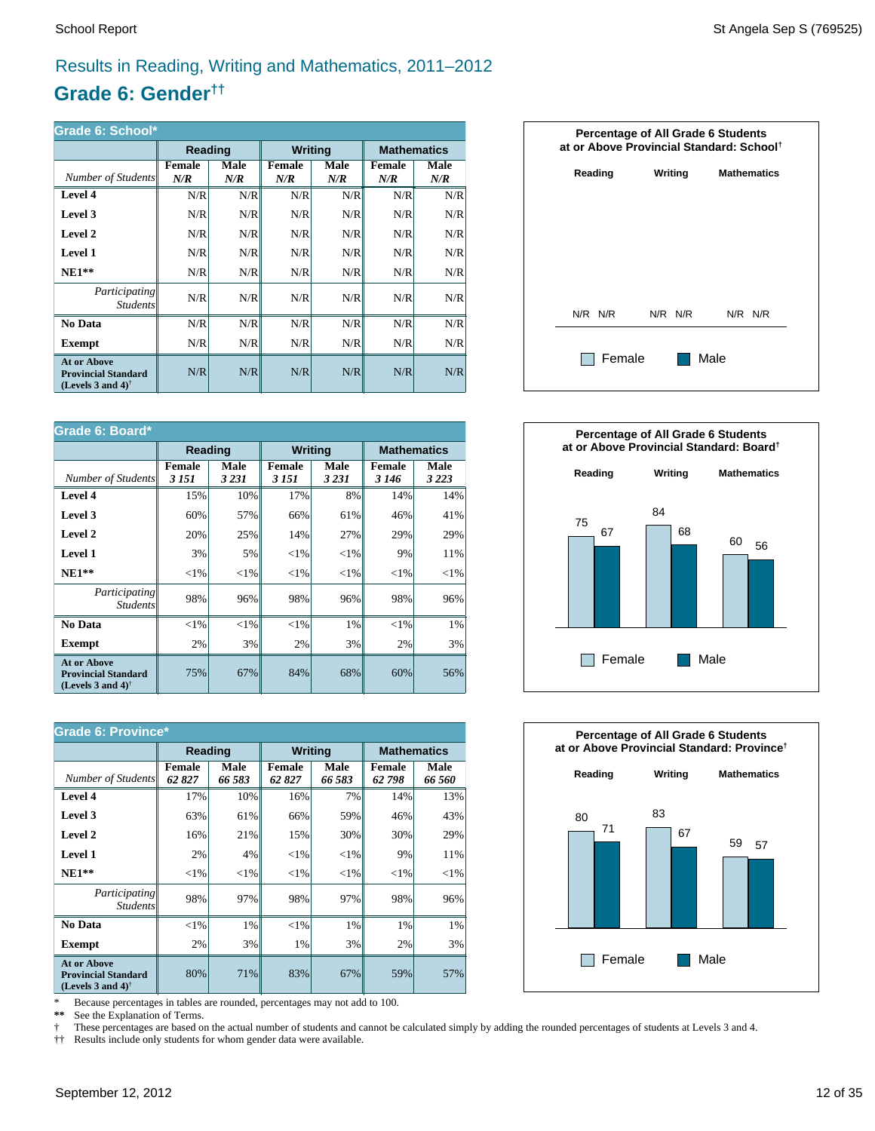### Results in Reading, Writing and Mathematics, 2011–2012

### **Grade 6: Gender††**

| Grade 6: School*                                                                                     |                      |             |                      |             |                      |                    |  |  |
|------------------------------------------------------------------------------------------------------|----------------------|-------------|----------------------|-------------|----------------------|--------------------|--|--|
|                                                                                                      | Reading              |             | <b>Writing</b>       |             |                      | <b>Mathematics</b> |  |  |
| Number of Students                                                                                   | <b>Female</b><br>N/R | Male<br>N/R | <b>Female</b><br>N/R | Male<br>N/R | <b>Female</b><br>N/R | Male<br>N/R        |  |  |
| Level 4                                                                                              | N/R                  | N/R         | N/R                  | N/R         | N/R                  | N/R                |  |  |
| Level 3                                                                                              | N/R                  | N/R         | N/R                  | N/R         | N/R                  | N/R                |  |  |
| Level 2                                                                                              | N/R                  | N/R         | N/R                  | N/R         | N/R                  | N/R                |  |  |
| Level 1                                                                                              | N/R                  | N/R         | N/R                  | N/R         | N/R                  | N/R                |  |  |
| $NE1**$                                                                                              | N/R                  | N/R         | N/R                  | N/R         | N/R                  | N/R                |  |  |
| <i>Participating</i><br><i>Students</i>                                                              | N/R                  | N/R         | N/R                  | N/R         | N/R                  | N/R                |  |  |
| No Data                                                                                              | N/R                  | N/R         | N/R                  | N/R         | N/R                  | N/R                |  |  |
| Exempt                                                                                               | N/R                  | N/R         | N/R                  | N/R         | N/R                  | N/R                |  |  |
| <b>At or Above</b><br><b>Provincial Standard</b><br>(Levels 3 and 4) <sup><math>\dagger</math></sup> | N/R                  | N/R         | N/R                  | N/R         | N/R                  | N/R                |  |  |

| Grade 6: Board*                                                                                      |                          |                 |                         |                 |                   |                    |  |
|------------------------------------------------------------------------------------------------------|--------------------------|-----------------|-------------------------|-----------------|-------------------|--------------------|--|
|                                                                                                      |                          | Reading         |                         | <b>Writing</b>  |                   | <b>Mathematics</b> |  |
| Number of Students                                                                                   | <b>Female</b><br>3 1 5 1 | Male<br>3 2 3 1 | <b>Female</b><br>3 15 1 | Male<br>3 2 3 1 | Female<br>3 1 4 6 | Male<br>3 2 2 3    |  |
| Level 4                                                                                              | 15%                      | 10%             | 17%                     | 8%              | 14%               | 14%                |  |
| Level 3                                                                                              | 60%                      | 57%             | 66%                     | 61%             | 46%               | 41%                |  |
| Level 2                                                                                              | 20%                      | 25%             | 14%                     | 27%             | 29%               | 29%                |  |
| Level 1                                                                                              | 3%                       | 5%              | ${<}1\%$                | ${<}1\%$        | 9%                | 11%                |  |
| $NE1**$                                                                                              | ${<}1\%$                 | ${<}1\%$        | ${<}1\%$                | ${<}1\%$        | ${<}1\%$          | ${<}1\%$           |  |
| Participating<br><b>Students</b>                                                                     | 98%                      | 96%             | 98%                     | 96%             | 98%               | 96%                |  |
| No Data                                                                                              | ${<}1\%$                 | $< 1\%$         | ${<}1\%$                | $1\%$           | ${<}1\%$          | 1%                 |  |
| <b>Exempt</b>                                                                                        | 2%                       | 3%              | 2%                      | 3%              | 2%                | 3%                 |  |
| <b>At or Above</b><br><b>Provincial Standard</b><br>(Levels 3 and 4) <sup><math>\dagger</math></sup> | 75%                      | 67%             | 84%                     | 68%             | 60%               | 56%                |  |

| <b>Grade 6: Province*</b>                                                                            |                        |                |                        |                       |                        |                    |  |
|------------------------------------------------------------------------------------------------------|------------------------|----------------|------------------------|-----------------------|------------------------|--------------------|--|
|                                                                                                      | Reading                |                | <b>Writing</b>         |                       |                        | <b>Mathematics</b> |  |
| Number of Students                                                                                   | <b>Female</b><br>62827 | Male<br>66 583 | <b>Female</b><br>62827 | <b>Male</b><br>66 583 | <b>Female</b><br>62798 | Male<br>66 560     |  |
| Level 4                                                                                              | 17%                    | 10%            | 16%                    | 7%                    | 14%                    | 13%                |  |
| Level 3                                                                                              | 63%                    | 61%            | 66%                    | 59%                   | 46%                    | 43%                |  |
| Level 2                                                                                              | 16%                    | 21%            | 15%                    | 30%                   | 30%                    | 29%                |  |
| Level 1                                                                                              | 2%                     | 4%             | ${<}1\%$               | ${<}1\%$              | 9%                     | 11%                |  |
| $NE1**$                                                                                              | ${<}1\%$               | ${<}1\%$       | ${<}1\%$               | ${<}1\%$              | ${<}1\%$               | ${<}1\%$           |  |
| <i>Participating</i><br><i>Students</i>                                                              | 98%                    | 97%            | 98%                    | 97%                   | 98%                    | 96%                |  |
| No Data                                                                                              | ${<}1\%$               | $1\%$          | $<$ 1%                 | 1%                    | 1%                     | 1%                 |  |
| <b>Exempt</b>                                                                                        | 2%                     | 3%             | 1%                     | 3%                    | 2%                     | 3%                 |  |
| <b>At or Above</b><br><b>Provincial Standard</b><br>(Levels 3 and 4) <sup><math>\dagger</math></sup> | 80%                    | 71%            | 83%                    | 67%                   | 59%                    | 57%                |  |

\* Because percentages in tables are rounded, percentages may not add to 100.<br>\*\* See the Explanation of Terms.

See the Explanation of Terms.

† These percentages are based on the actual number of students and cannot be calculated simply by adding the rounded percentages of students at Levels 3 and 4.<br>†† Results include only students for whom gender data were ava

†† Results include only students for whom gender data were available.





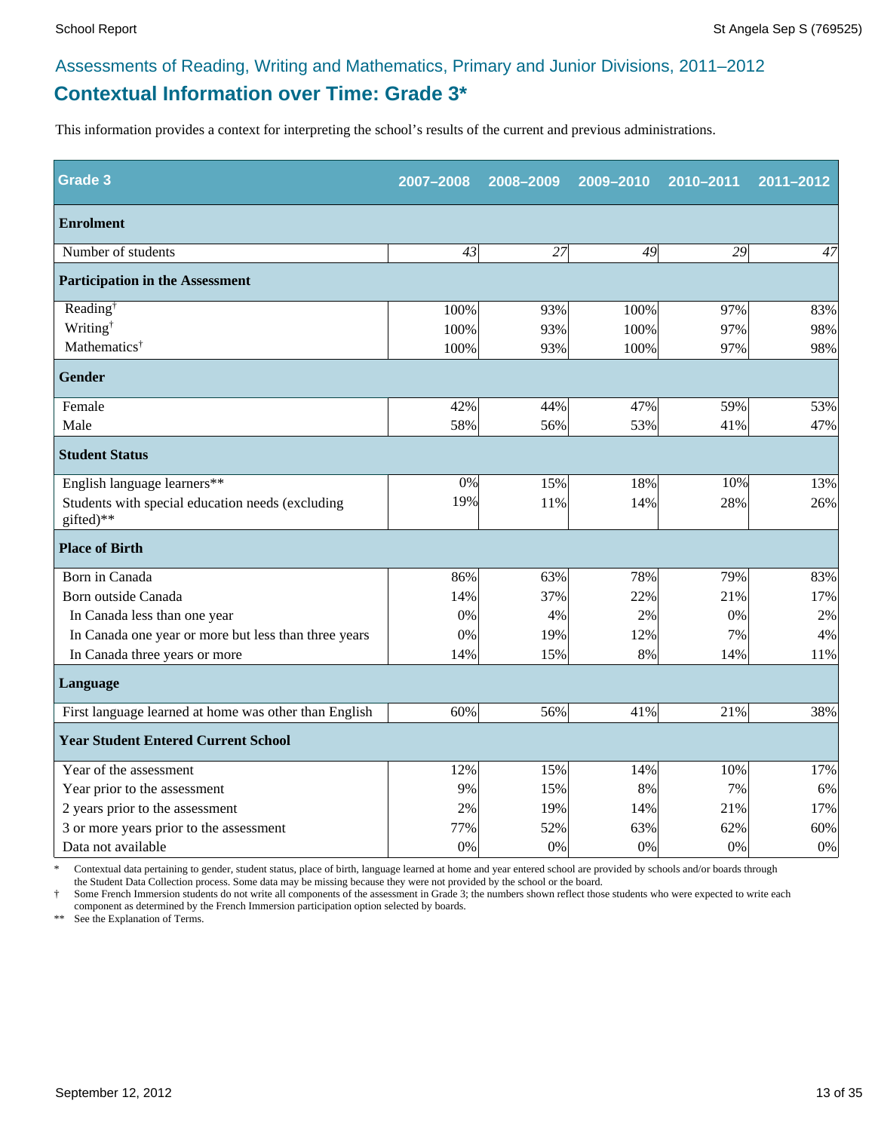### **Contextual Information over Time: Grade 3\*** Assessments of Reading, Writing and Mathematics, Primary and Junior Divisions, 2011–2012

This information provides a context for interpreting the school's results of the current and previous administrations.

| <b>Grade 3</b>                                                | 2007-2008 | 2008-2009 | 2009-2010 | 2010-2011 | 2011-2012 |
|---------------------------------------------------------------|-----------|-----------|-----------|-----------|-----------|
| <b>Enrolment</b>                                              |           |           |           |           |           |
| Number of students                                            | 43        | 27        | 49        | 29        | 47        |
| <b>Participation in the Assessment</b>                        |           |           |           |           |           |
| Reading <sup>†</sup>                                          | 100%      | 93%       | 100%      | 97%       | 83%       |
| Writing <sup>†</sup>                                          | 100%      | 93%       | 100%      | 97%       | 98%       |
| Mathematics <sup>†</sup>                                      | 100%      | 93%       | 100%      | 97%       | 98%       |
| <b>Gender</b>                                                 |           |           |           |           |           |
| Female                                                        | 42%       | 44%       | 47%       | 59%       | 53%       |
| Male                                                          | 58%       | 56%       | 53%       | 41%       | 47%       |
| <b>Student Status</b>                                         |           |           |           |           |           |
| English language learners**                                   | 0%        | 15%       | 18%       | 10%       | 13%       |
| Students with special education needs (excluding<br>gifted)** | 19%       | 11%       | 14%       | 28%       | 26%       |
| <b>Place of Birth</b>                                         |           |           |           |           |           |
| Born in Canada                                                | 86%       | 63%       | 78%       | 79%       | 83%       |
| Born outside Canada                                           | 14%       | 37%       | 22%       | 21%       | 17%       |
| In Canada less than one year                                  | 0%        | 4%        | 2%        | 0%        | 2%        |
| In Canada one year or more but less than three years          | 0%        | 19%       | 12%       | 7%        | 4%        |
| In Canada three years or more                                 | 14%       | 15%       | 8%        | 14%       | 11%       |
| Language                                                      |           |           |           |           |           |
| First language learned at home was other than English         | 60%       | 56%       | 41%       | 21%       | 38%       |
| <b>Year Student Entered Current School</b>                    |           |           |           |           |           |
| Year of the assessment                                        | 12%       | 15%       | 14%       | 10%       | 17%       |
| Year prior to the assessment                                  | 9%        | 15%       | 8%        | 7%        | 6%        |
| 2 years prior to the assessment                               | 2%        | 19%       | 14%       | 21%       | 17%       |
| 3 or more years prior to the assessment                       | 77%       | 52%       | 63%       | 62%       | 60%       |
| Data not available                                            | 0%        | 0%        | 0%        | 0%        | $0\%$     |

\* Contextual data pertaining to gender, student status, place of birth, language learned at home and year entered school are provided by schools and/or boards through the Student Data Collection process. Some data may be missing because they were not provided by the school or the board.

† Some French Immersion students do not write all components of the assessment in Grade 3; the numbers shown reflect those students who were expected to write each component as determined by the French Immersion participation option selected by boards.

\*\* See the Explanation of Terms.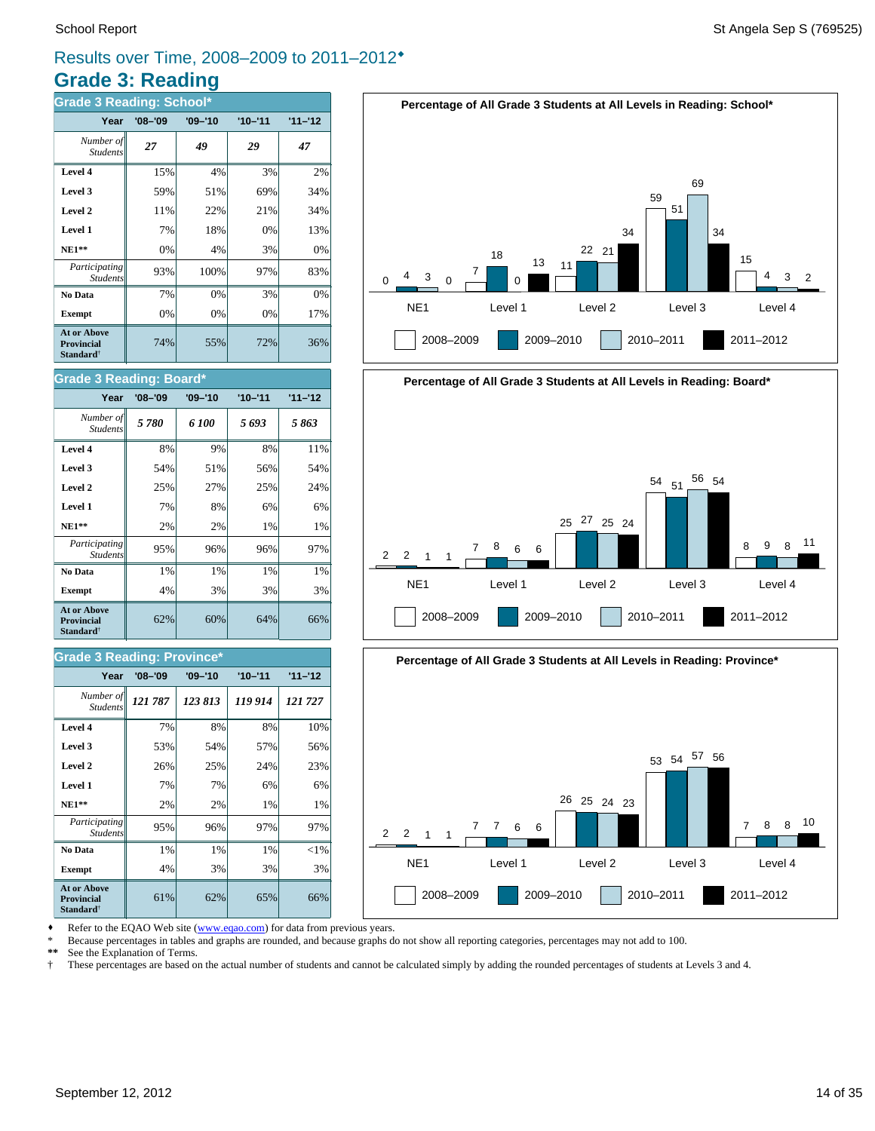### **Grade 3: Reading** Results over Time, 2008–2009 to 2011–2012®

| <b>Grade 3 Reading: School*</b>                                         |             |             |             |           |  |  |  |
|-------------------------------------------------------------------------|-------------|-------------|-------------|-----------|--|--|--|
| Year                                                                    | $'08 - '09$ | $'09 - '10$ | $'10 - '11$ | $11 - 12$ |  |  |  |
| Number of<br><b>Students</b>                                            | 27          | 49          | 29          | 47        |  |  |  |
| Level 4                                                                 | 15%         | 4%          | 3%          | 2%        |  |  |  |
| Level 3                                                                 | 59%         | 51%         | 69%         | 34%       |  |  |  |
| Level 2                                                                 | 11%         | 22%         | 21%         | 34%       |  |  |  |
| Level 1                                                                 | 7%          | 18%         | 0%          | 13%       |  |  |  |
| $NE1**$                                                                 | 0%          | 4%          | 3%          | 0%        |  |  |  |
| Participating<br><b>Students</b>                                        | 93%         | 100%        | 97%         | 83%       |  |  |  |
| No Data                                                                 | 7%          | 0%          | 3%          | 0%        |  |  |  |
| <b>Exempt</b>                                                           | 0%          | 0%          | 0%          | 17%       |  |  |  |
| <b>At or Above</b><br><b>Provincial</b><br><b>Standard</b> <sup>†</sup> | 74%         | 55%         | 72%         | 36%       |  |  |  |

#### **Percentage of All Grade 3 Students at All Levels in Reading: School\*** NE1 Level 1 Level 2 Level 3 Level 4  $\Omega$ 2008–2009 2009–2010 2010–2011 2011–2012  $4 \t3 \t0$ 7 18 0 13 11 22 21 34 59 51 69 34 15 4 3 2







**Exempt**  $\begin{vmatrix} 4\% & 3\% \end{vmatrix}$  3% 3% 3% **No Data**  $\begin{array}{|c|c|c|c|} \hline \textbf{No Data} & 1\% & 1\% & 1\% \hline \end{array}$ *Participating* 95% 96% 97% 97%

**NE1\*\***  $\begin{vmatrix} 2\% & 2\% \end{vmatrix}$  1% 1% **Level 1** 7% 7% 6% 6% **Level 2**  $\begin{vmatrix} 2.5\% & 25\% \end{vmatrix}$  24% 23% **Level 3**  $\begin{vmatrix} 53\% & 54\% \end{vmatrix}$  57% 56% **Level 4** 7% 8% 8% 10%

 $61\%$  62% 65% 66%

62% 60% 64% 66%

**Exempt**  $\begin{vmatrix} 4\% & 3\% \end{vmatrix}$  3% 3% 3% **No Data**  $\begin{array}{|c|c|c|c|} \hline \textbf{No Data} & 1\% & 1\% & 1\% \hline \end{array}$ *Participating* 95% 96% 96% 97%

*121 787 123 813 119 914 121 727 Number of*

**Year '08–'09 '09–'10 '10–'11 '11–'12**

**NE1\*\***  $\begin{vmatrix} 2\% & 2\% \end{vmatrix}$  1% 1% **Level 1** 7% 8% 6% 6% **Level 2**  $\begin{vmatrix} 25\% & 27\% \end{vmatrix}$  25% 24% **Level 3 1** 54% **51%** 56% 54% **Level 4** 8% 9% 8% 11% *5 780 6 100 5 693 5 863 Number of*

**Year '08–'09 '09–'10 '10–'11 '11–'12**

\* Because percentages in tables and graphs are rounded, and because graphs do not show all reporting categories, percentages may not add to 100.

**\*\*** See the Explanation of Terms.

*Student* 

**At or Above Provincial Standard**†

*Students*

**Grade 3 Reading: Province\***

Students

**At or Above Provincial Standard**†

Student.

**Grade 3 Reading: Board\***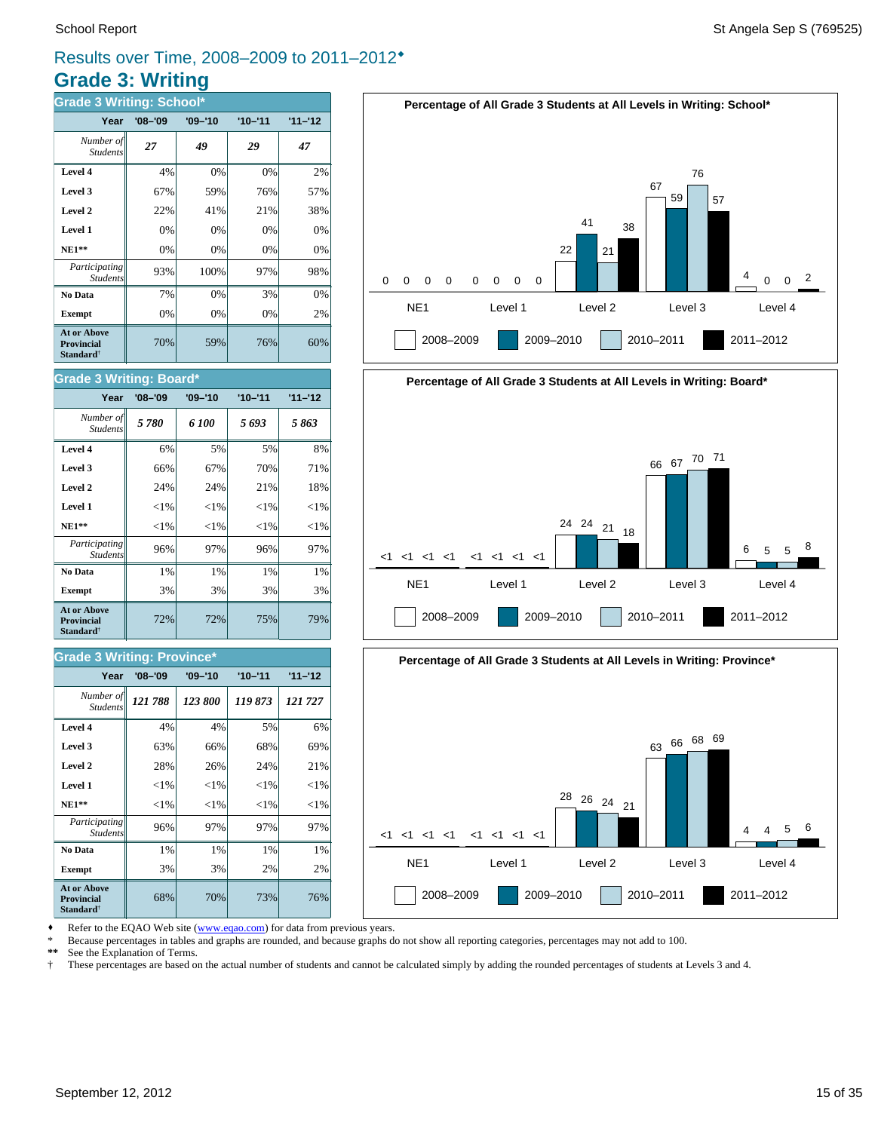### **Grade 3: Writing** Results over Time, 2008–2009 to 2011–2012®

| <b>Grade 3 Writing: School*</b>                                         |             |             |             |           |  |  |  |  |
|-------------------------------------------------------------------------|-------------|-------------|-------------|-----------|--|--|--|--|
| Year                                                                    | $'08 - '09$ | $'09 - '10$ | $'10 - '11$ | $11 - 12$ |  |  |  |  |
| Number of<br><b>Students</b>                                            | 27          | 49          | 29          | 47        |  |  |  |  |
| Level 4                                                                 | 4%          | 0%          | 0%          | 2%        |  |  |  |  |
| Level 3                                                                 | 67%         | 59%         | 76%         | 57%       |  |  |  |  |
| Level 2                                                                 | 22%         | 41%         | 21%         | 38%       |  |  |  |  |
| Level 1                                                                 | 0%          | 0%          | 0%          | 0%        |  |  |  |  |
| <b>NE1**</b>                                                            | 0%          | 0%          | $0\%$       | 0%        |  |  |  |  |
| Participating<br><b>Students</b>                                        | 93%         | 100%        | 97%         | 98%       |  |  |  |  |
| No Data                                                                 | 7%          | 0%          | 3%          | 0%        |  |  |  |  |
| <b>Exempt</b>                                                           | 0%          | 0%          | 0%          | 2%        |  |  |  |  |
| <b>At or Above</b><br><b>Provincial</b><br><b>Standard</b> <sup>†</sup> | 70%         | 59%         | 76%         | 60%       |  |  |  |  |

#### School Report St Angela Sep S (769525)







Refer to the EQAO Web site (www.eqao.com) for data from previous years.

\* Because percentages in tables and graphs are rounded, and because graphs do not show all reporting categories, percentages may not add to 100.

**\*\*** See the Explanation of Terms.

† These percentages are based on the actual number of students and cannot be calculated simply by adding the rounded percentages of students at Levels 3 and 4.

#### **Level 3 66% 67% 70% 71% Level 4** 6% 5% 5% 8% Student.

**Grade 3 Writing: Board\***

| ${<}1\%$<br>${<}1\%$<br>${<}1\%$<br>Level 1<br>${<}1\%$<br>${<}1\%$<br>${<}1\%$<br>$NE1**$<br>Participating<br>96%<br>96%<br>97%<br><b>Students</b><br>1%<br>1%<br>1%<br>No Data<br>3%<br>3%<br>3%<br><b>Exempt</b> | Level 2     | 24% | 24% | 21% | 18%      |
|---------------------------------------------------------------------------------------------------------------------------------------------------------------------------------------------------------------------|-------------|-----|-----|-----|----------|
|                                                                                                                                                                                                                     |             |     |     |     | ${<}1\%$ |
|                                                                                                                                                                                                                     |             |     |     |     | ${<}1\%$ |
|                                                                                                                                                                                                                     |             |     |     |     | 97%      |
|                                                                                                                                                                                                                     |             |     |     |     | 1%       |
|                                                                                                                                                                                                                     |             |     |     |     | 3%       |
| 72%<br>72%<br>75%<br><b>Provincial</b><br><b>Standard</b> <sup>†</sup>                                                                                                                                              | At or Above |     |     |     | 79%      |

*5 780 6 100 5 693 5 863 Number of*

**Year '08–'09 '09–'10 '10–'11 '11–'12**

#### **Grade 3 Writing: Province\***

| Year                                                                    | $'08 - '09$ | $'09 - '10$ | $'10 - '11$ | $11 - 12$ |
|-------------------------------------------------------------------------|-------------|-------------|-------------|-----------|
| Number of<br><b>Students</b>                                            | 121788      | 123 800     | 119873      | 121727    |
| Level 4                                                                 | 4%          | 4%          | 5%          | 6%        |
| Level 3                                                                 | 63%         | 66%         | 68%         | 69%       |
| Level 2                                                                 | 28%         | 26%         | 24%         | 21%       |
| Level 1                                                                 | ${<}1\%$    | ${<}1\%$    | ${<}1\%$    | ${<}1\%$  |
| <b>NE1**</b>                                                            | ${<}1\%$    | ${<}1\%$    | ${<}1\%$    | ${<}1\%$  |
| Participating<br><b>Students</b>                                        | 96%         | 97%         | 97%         | 97%       |
| No Data                                                                 | 1%          | 1%          | 1%          | 1%        |
| <b>Exempt</b>                                                           | 3%          | 3%          | 2%          | 2%        |
| <b>At or Above</b><br><b>Provincial</b><br><b>Standard</b> <sup>†</sup> | 68%         | 70%         | 73%         | 76%       |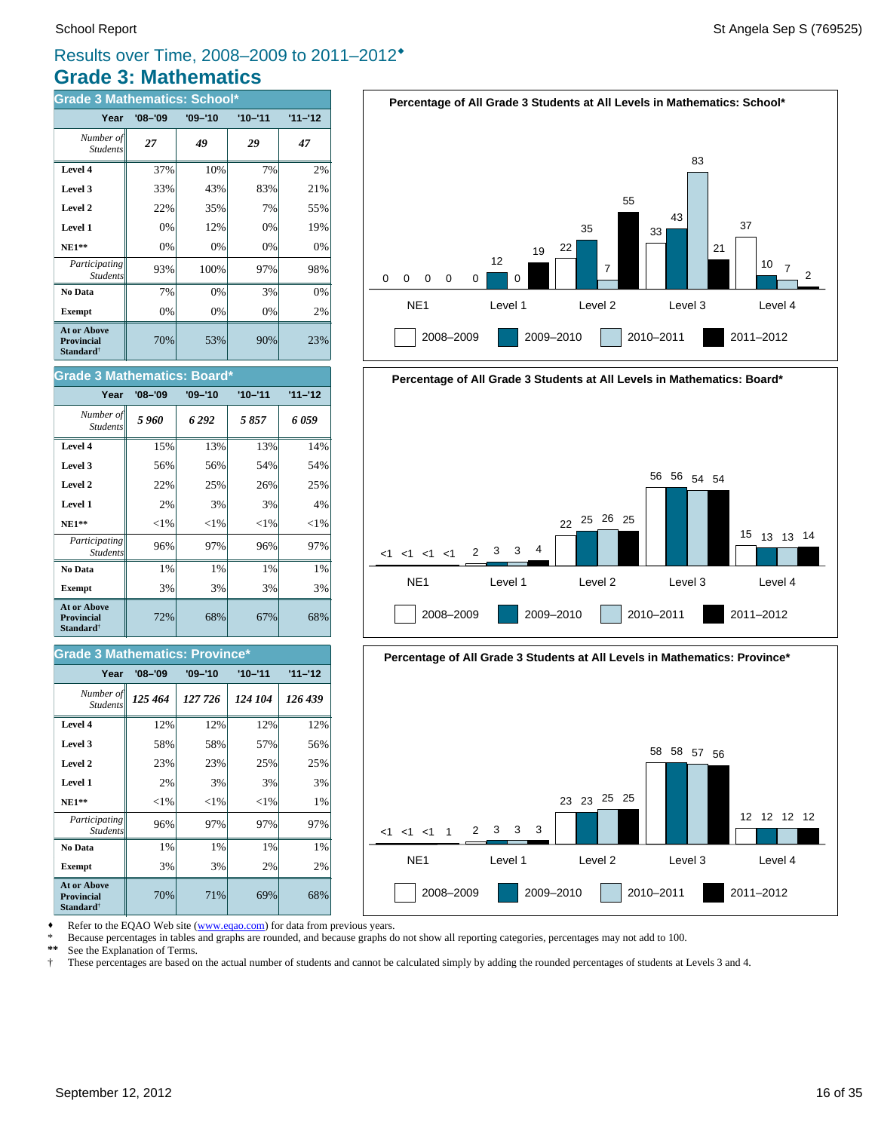### **Grade 3: Mathematics** Results over Time, 2008–2009 to 2011–2012®

| <b>Grade 3 Mathematics: School*</b>                              |             |             |             |           |  |
|------------------------------------------------------------------|-------------|-------------|-------------|-----------|--|
| Year                                                             | $'08 - '09$ | $'09 - '10$ | $'10 - '11$ | $11 - 12$ |  |
| Number of<br><b>Students</b>                                     | 27          | 49          | 29          | 47        |  |
| Level 4                                                          | 37%         | 10%         | 7%          | 2%        |  |
| Level 3                                                          | 33%         | 43%         | 83%         | 21%       |  |
| Level 2                                                          | 22%         | 35%         | 7%          | 55%       |  |
| Level 1                                                          | 0%          | 12%         | 0%          | 19%       |  |
| $NE1**$                                                          | 0%          | 0%          | 0%          | $0\%$     |  |
| Participating<br><b>Students</b>                                 | 93%         | 100%        | 97%         | 98%       |  |
| No Data                                                          | 7%          | 0%          | 3%          | 0%        |  |
| <b>Exempt</b>                                                    | 0%          | 0%          | 0%          | 2%        |  |
| <b>At or Above</b><br>Provincial<br><b>Standard</b> <sup>†</sup> | 70%         | 53%         | 90%         | 23%       |  |

| <b>Grade 3 Mathematics: Board*</b>                               |             |             |             |           |  |
|------------------------------------------------------------------|-------------|-------------|-------------|-----------|--|
| Year                                                             | $'08 - '09$ | $'09 - '10$ | $'10 - '11$ | $11 - 12$ |  |
| Number of<br><b>Students</b>                                     | 5960        | 6292        | 5857        | 6 059     |  |
| Level 4                                                          | 15%         | 13%         | 13%         | 14%       |  |
| Level 3                                                          | 56%         | 56%         | 54%         | 54%       |  |
| Level 2                                                          | 22%         | 25%         | 26%         | 25%       |  |
| Level 1                                                          | 2%          | 3%          | 3%          | 4%        |  |
| $NE1**$                                                          | $<$ 1%      | ${<}1\%$    | $<$ 1%      | ${<}1\%$  |  |
| Participating<br><b>Students</b>                                 | 96%         | 97%         | 96%         | 97%       |  |
| No Data                                                          | 1%          | 1%          | 1%          | 1%        |  |
| <b>Exempt</b>                                                    | 3%          | 3%          | 3%          | 3%        |  |
| At or Above<br><b>Provincial</b><br><b>Standard</b> <sup>†</sup> | 72%         | 68%         | 67%         | 68%       |  |

#### **Grade 3 Mathematics: Province\***

| Year                                                                    | $'08 - '09$ | $'09 - '10$ | $'10 - '11$ | $11 - 12$ |
|-------------------------------------------------------------------------|-------------|-------------|-------------|-----------|
| Number of<br><b>Students</b>                                            | 125 464     | 127 726     | 124 104     | 126 439   |
| Level 4                                                                 | 12%         | 12%         | 12%         | 12%       |
| Level 3                                                                 | 58%         | 58%         | 57%         | 56%       |
| Level 2                                                                 | 23%         | 23%         | 25%         | 25%       |
| Level 1                                                                 | 2%          | 3%          | 3%          | 3%        |
| $NE1**$                                                                 | ${<}1\%$    | ${<}1\%$    | ${<}1\%$    | 1%        |
| <i>Participating</i><br><b>Students</b>                                 | 96%         | 97%         | 97%         | 97%       |
| No Data                                                                 | 1%          | 1%          | 1%          | 1%        |
| <b>Exempt</b>                                                           | 3%          | 3%          | 2%          | 2%        |
| <b>At or Above</b><br><b>Provincial</b><br><b>Standard</b> <sup>†</sup> | 70%         | 71%         | 69%         | 68%       |







Refer to the EQAO Web site (www.eqao.com) for data from previous years.

\* Because percentages in tables and graphs are rounded, and because graphs do not show all reporting categories, percentages may not add to 100.<br>\*\* See the Explanation of Terms

\*\* See the Explanation of Terms.<br><sup>†</sup> These percentages are based on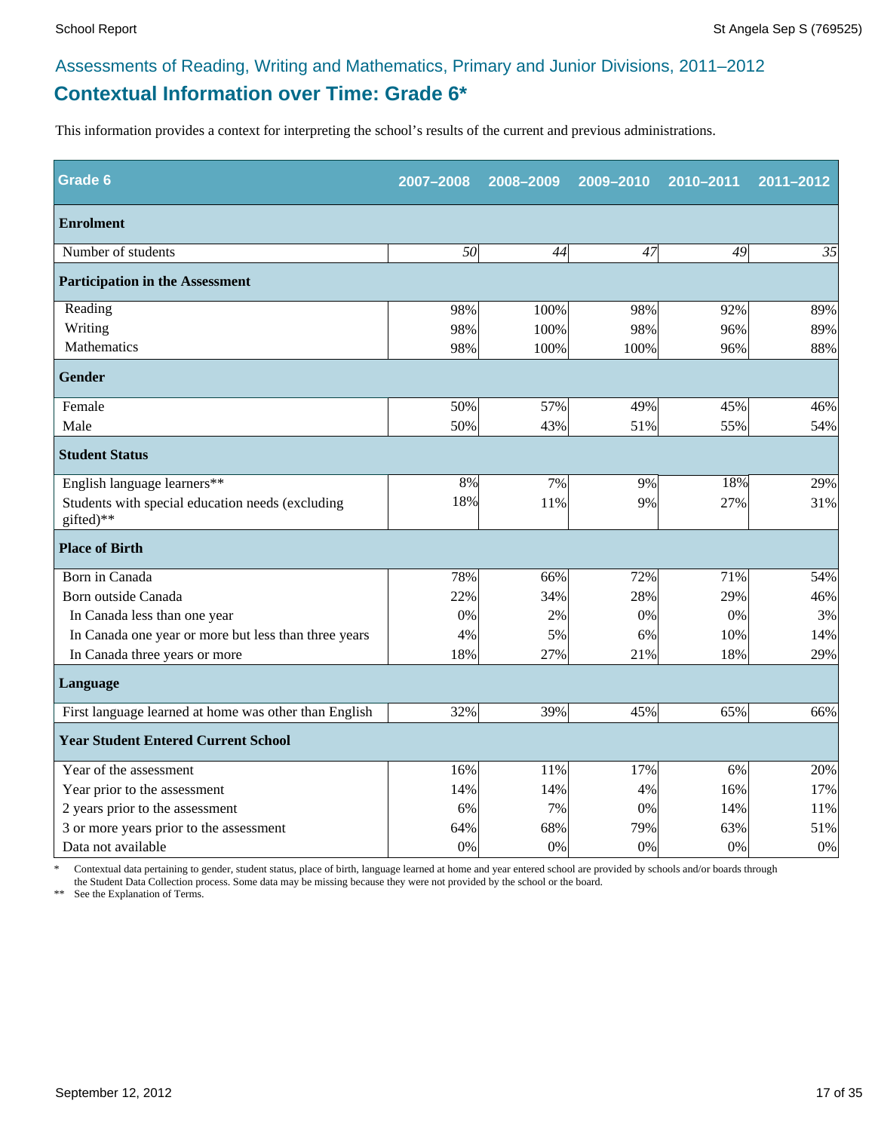### **Contextual Information over Time: Grade 6\*** Assessments of Reading, Writing and Mathematics, Primary and Junior Divisions, 2011–2012

This information provides a context for interpreting the school's results of the current and previous administrations.

| Grade 6                                                       | 2007-2008 | 2008-2009 | 2009-2010 | 2010-2011 | 2011-2012 |
|---------------------------------------------------------------|-----------|-----------|-----------|-----------|-----------|
| <b>Enrolment</b>                                              |           |           |           |           |           |
| Number of students                                            | 50        | 44        | 47        | 49        | 35        |
| <b>Participation in the Assessment</b>                        |           |           |           |           |           |
| Reading                                                       | 98%       | 100%      | 98%       | 92%       | 89%       |
| Writing                                                       | 98%       | 100%      | 98%       | 96%       | 89%       |
| Mathematics                                                   | 98%       | 100%      | 100%      | 96%       | 88%       |
| <b>Gender</b>                                                 |           |           |           |           |           |
| Female                                                        | 50%       | 57%       | 49%       | 45%       | 46%       |
| Male                                                          | 50%       | 43%       | 51%       | 55%       | 54%       |
| <b>Student Status</b>                                         |           |           |           |           |           |
| English language learners**                                   | 8%        | 7%        | 9%        | 18%       | 29%       |
| Students with special education needs (excluding<br>gifted)** | 18%       | 11%       | 9%        | 27%       | 31%       |
| <b>Place of Birth</b>                                         |           |           |           |           |           |
| Born in Canada                                                | 78%       | 66%       | 72%       | 71%       | 54%       |
| Born outside Canada                                           | 22%       | 34%       | 28%       | 29%       | 46%       |
| In Canada less than one year                                  | $0\%$     | 2%        | 0%        | 0%        | 3%        |
| In Canada one year or more but less than three years          | 4%        | 5%        | 6%        | 10%       | 14%       |
| In Canada three years or more                                 | 18%       | 27%       | 21%       | 18%       | 29%       |
| <b>Language</b>                                               |           |           |           |           |           |
| First language learned at home was other than English         | 32%       | 39%       | 45%       | 65%       | 66%       |
| <b>Year Student Entered Current School</b>                    |           |           |           |           |           |
| Year of the assessment                                        | 16%       | 11%       | 17%       | 6%        | 20%       |
| Year prior to the assessment                                  | 14%       | 14%       | 4%        | 16%       | 17%       |
| 2 years prior to the assessment                               | 6%        | 7%        | 0%        | 14%       | 11%       |
| 3 or more years prior to the assessment                       | 64%       | 68%       | 79%       | 63%       | 51%       |
| Data not available                                            | 0%        | 0%        | 0%        | 0%        | $0\%$     |

\* Contextual data pertaining to gender, student status, place of birth, language learned at home and year entered school are provided by schools and/or boards through the Student Data Collection process. Some data may be missing because they were not provided by the school or the board.

\*\* See the Explanation of Terms.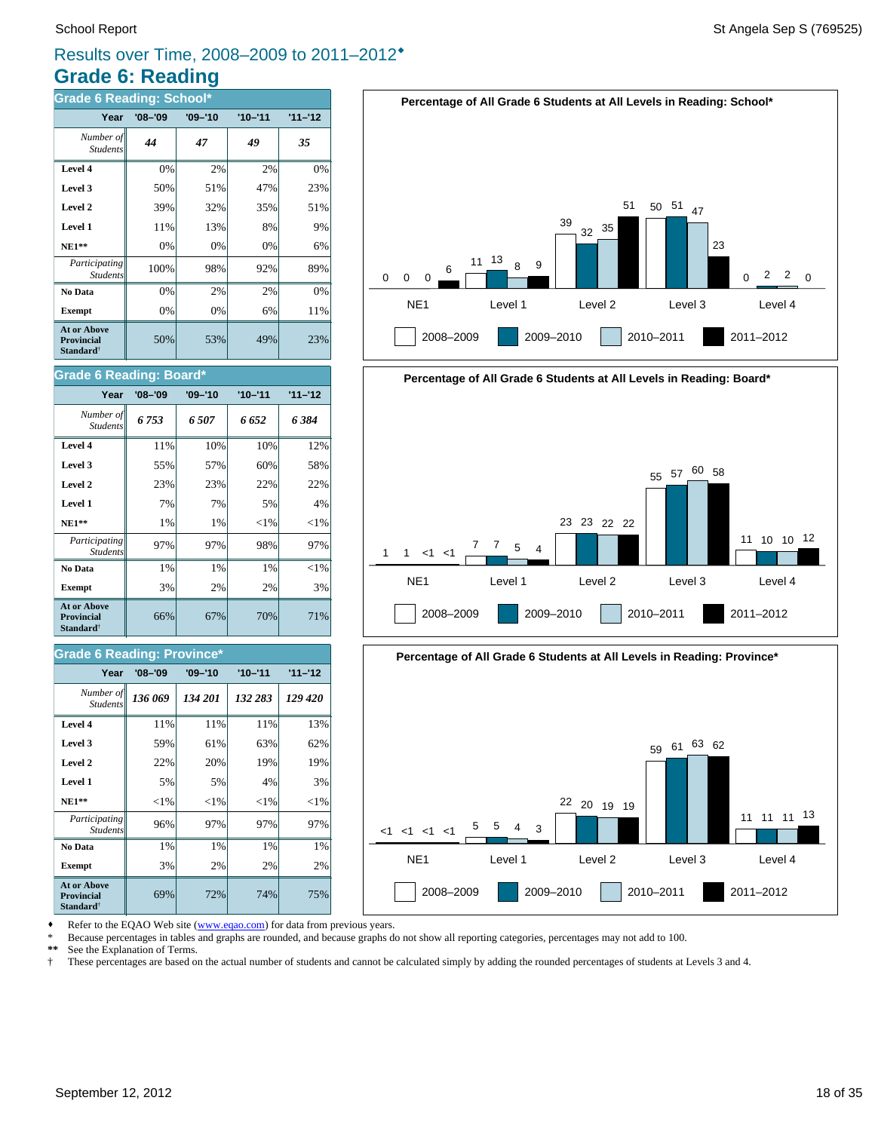### **Grade 6: Reading** Results over Time, 2008–2009 to 2011–2012®

| <b>Grade 6 Reading: School*</b>                                         |             |             |             |           |
|-------------------------------------------------------------------------|-------------|-------------|-------------|-----------|
| Year                                                                    | $'08 - '09$ | $'09 - '10$ | $'10 - '11$ | $11 - 12$ |
| Number of<br><b>Students</b>                                            | 44          | 47          | 49          | 35        |
| Level 4                                                                 | 0%          | 2%          | 2%          | 0%        |
| Level 3                                                                 | 50%         | 51%         | 47%         | 23%       |
| Level 2                                                                 | 39%         | 32%         | 35%         | 51%       |
| Level 1                                                                 | 11%         | 13%         | 8%          | 9%        |
| $NE1**$                                                                 | 0%          | 0%          | 0%          | 6%        |
| Participating<br><b>Students</b>                                        | 100%        | 98%         | 92%         | 89%       |
| No Data                                                                 | 0%          | 2%          | 2%          | 0%        |
| <b>Exempt</b>                                                           | 0%          | 0%          | 6%          | 11%       |
| <b>At or Above</b><br><b>Provincial</b><br><b>Standard</b> <sup>†</sup> | 50%         | 53%         | 49%         | 23%       |

#### **Grade 6 Reading: Board\***

| Year                                                             | $'08 - '09$ | $'09 - '10$ | $'10 - '11$ | $11 - 12$ |
|------------------------------------------------------------------|-------------|-------------|-------------|-----------|
| Number of<br><b>Students</b>                                     | 6753        | 6507        | 6 652       | 6 384     |
| Level 4                                                          | 11%         | 10%         | 10%         | 12%       |
| Level 3                                                          | 55%         | 57%         | 60%         | 58%       |
| Level 2                                                          | 23%         | 23%         | 22%         | 22%       |
| Level 1                                                          | 7%          | 7%          | 5%          | 4%        |
| <b>NE1**</b>                                                     | 1%          | 1%          | ${<}1\%$    | ${<}1\%$  |
| Participating<br><b>Students</b>                                 | 97%         | 97%         | 98%         | 97%       |
| No Data                                                          | 1%          | $1\%$       | $1\%$       | ${<}1\%$  |
| <b>Exempt</b>                                                    | 3%          | 2%          | 2%          | 3%        |
| <b>At or Above</b><br><b>Provincial</b><br>Standard <sup>†</sup> | 66%         | 67%         | 70%         | 71%       |

#### **Grade 6 Reading: Province\***

| Year                                                                    | '08–'09  | $'09 - '10$ | $'10 - '11$ | $11 - 12$ |
|-------------------------------------------------------------------------|----------|-------------|-------------|-----------|
| Number of<br><b>Students</b>                                            | 136 069  | 134 201     | 132 283     | 129 420   |
| Level 4                                                                 | 11%      | 11%         | 11%         | 13%       |
| Level 3                                                                 | 59%      | 61%         | 63%         | 62%       |
| Level 2                                                                 | 22%      | 20%         | 19%         | 19%       |
| Level 1                                                                 | 5%       | 5%          | 4%          | 3%        |
| $NE1**$                                                                 | ${<}1\%$ | ${<}1\%$    | ${<}1\%$    | ${<}1\%$  |
| Participating<br><b>Students</b>                                        | 96%      | 97%         | 97%         | 97%       |
| No Data                                                                 | 1%       | 1%          | 1%          | 1%        |
| <b>Exempt</b>                                                           | 3%       | 2%          | 2%          | 2%        |
| <b>At or Above</b><br><b>Provincial</b><br><b>Standard</b> <sup>†</sup> | 69%      | 72%         | 74%         | 75%       |







Refer to the EQAO Web site (www.eqao.com) for data from previous years.

\* Because percentages in tables and graphs are rounded, and because graphs do not show all reporting categories, percentages may not add to 100.

**\*\*** See the Explanation of Terms.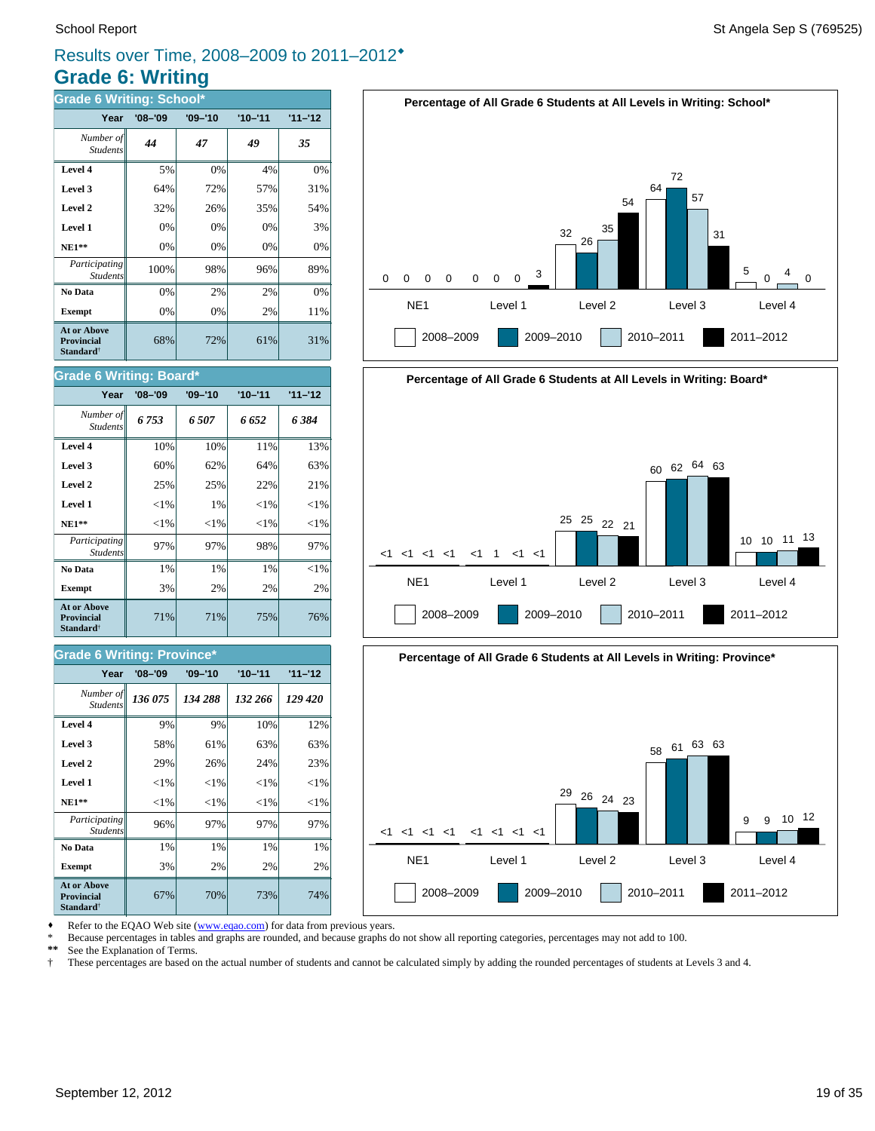### **Grade 6: Writing** Results over Time, 2008–2009 to 2011–2012®

| <b>Grade 6 Writing: School*</b>                                         |             |             |             |           |
|-------------------------------------------------------------------------|-------------|-------------|-------------|-----------|
| Year                                                                    | $'08 - '09$ | $'09 - '10$ | $'10 - '11$ | $11 - 12$ |
| Number of<br><b>Students</b>                                            | 44          | 47          | 49          | 35        |
| Level 4                                                                 | 5%          | 0%          | 4%          | 0%        |
| Level 3                                                                 | 64%         | 72%         | 57%         | 31%       |
| Level 2                                                                 | 32%         | 26%         | 35%         | 54%       |
| Level 1                                                                 | 0%          | 0%          | 0%          | 3%        |
| <b>NE1**</b>                                                            | 0%          | 0%          | 0%          | 0%        |
| Participating<br><b>Students</b>                                        | 100%        | 98%         | 96%         | 89%       |
| No Data                                                                 | 0%          | 2%          | 2%          | 0%        |
| <b>Exempt</b>                                                           | 0%          | 0%          | 2%          | 11%       |
| <b>At or Above</b><br><b>Provincial</b><br><b>Standard</b> <sup>†</sup> | 68%         | 72%         | 61%         | 31%       |



| Year                                                             | $'08 - '09$ | $'09 - '10$ | $'10 - '11$ | $11 - 12$ |
|------------------------------------------------------------------|-------------|-------------|-------------|-----------|
| Number of<br><b>Students</b>                                     | 6753        | 6.507       | 6 652       | 6384      |
| Level 4                                                          | 10%         | 10%         | 11%         | 13%       |
| Level 3                                                          | 60%         | 62%         | 64%         | 63%       |
| Level 2                                                          | 25%         | 25%         | 22%         | 21%       |
| Level 1                                                          | ${<}1\%$    | 1%          | ${<}1\%$    | ${<}1\%$  |
| $NE1**$                                                          | ${<}1\%$    | ${<}1\%$    | ${<}1\%$    | ${<}1\%$  |
| Participating<br><b>Students</b>                                 | 97%         | 97%         | 98%         | 97%       |
| No Data                                                          | 1%          | 1%          | 1%          | ${<}1\%$  |
| <b>Exempt</b>                                                    | 3%          | 2%          | 2%          | 2%        |
| At or Above<br><b>Provincial</b><br><b>Standard</b> <sup>†</sup> | 71%         | 71%         | 75%         | 76%       |

#### **Grade 6 Writing: Province\***

| Year                                                                    | $'08 - '09$ | $'09 - '10$ | $'10 - '11$ | $11 - 12$ |
|-------------------------------------------------------------------------|-------------|-------------|-------------|-----------|
| Number of<br><b>Students</b>                                            | 136 075     | 134 288     | 132 266     | 129 420   |
| Level 4                                                                 | 9%          | 9%          | 10%         | 12%       |
| Level 3                                                                 | 58%         | 61%         | 63%         | 63%       |
| Level 2                                                                 | 29%         | 26%         | 24%         | 23%       |
| Level 1                                                                 | ${<}1\%$    | $<$ 1%      | ${<}1\%$    | ${<}1\%$  |
| $NE1**$                                                                 | ${<}1\%$    | ${<}1\%$    | ${<}1\%$    | ${<}1\%$  |
| <i>Participating</i><br><b>Students</b>                                 | 96%         | 97%         | 97%         | 97%       |
| No Data                                                                 | 1%          | 1%          | 1%          | 1%        |
| <b>Exempt</b>                                                           | 3%          | 2%          | 2%          | 2%        |
| <b>At or Above</b><br><b>Provincial</b><br><b>Standard</b> <sup>†</sup> | 67%         | 70%         | 73%         | 74%       |







Refer to the EQAO Web site (www.eqao.com) for data from previous years.

\* Because percentages in tables and graphs are rounded, and because graphs do not show all reporting categories, percentages may not add to 100.<br>\*\* See the Explanation of Terms

\*\* See the Explanation of Terms.<br><sup>†</sup> These percentages are based on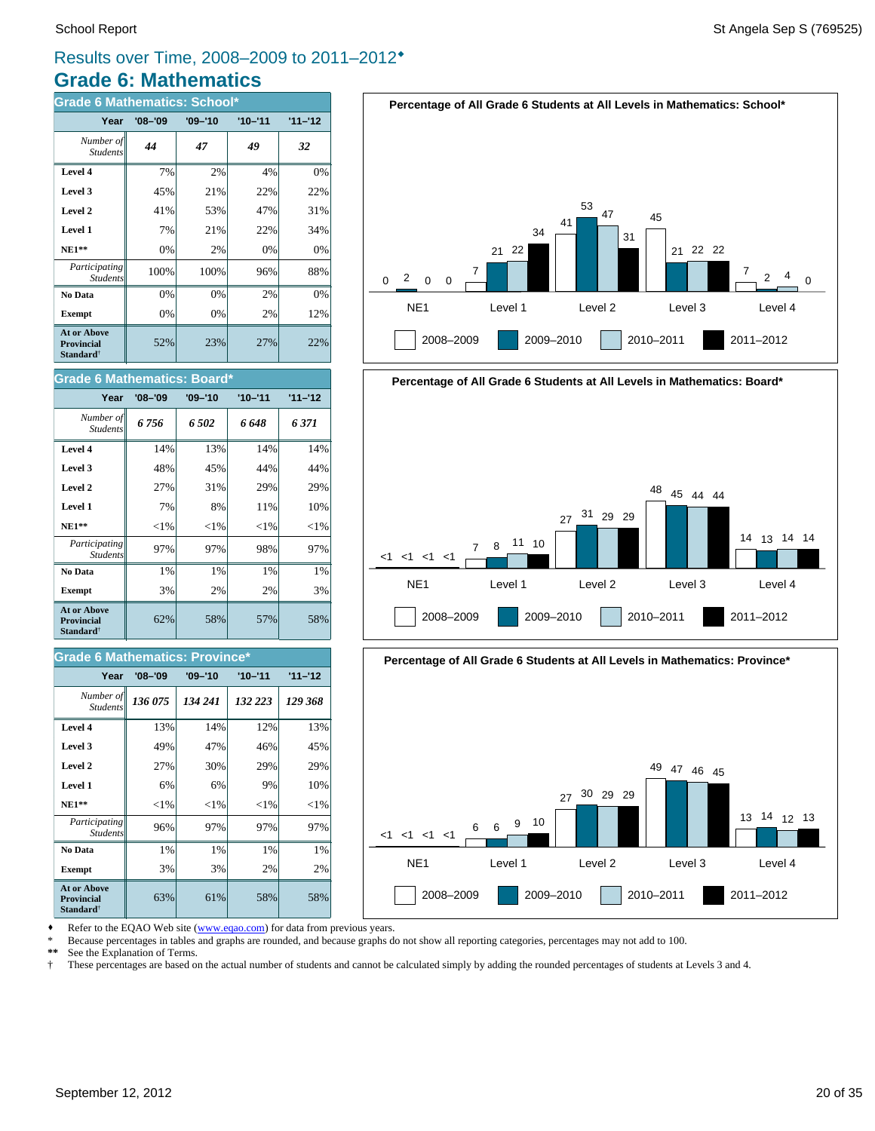### **Grade 6: Mathematics** Results over Time, 2008–2009 to 2011–2012®

| <b>Grade 6 Mathematics: School*</b>                                     |             |             |             |           |
|-------------------------------------------------------------------------|-------------|-------------|-------------|-----------|
| Year                                                                    | $'08 - '09$ | $'09 - '10$ | $'10 - '11$ | $11 - 12$ |
| Number of<br><b>Students</b>                                            | 44          | 47          | 49          | 32        |
| Level 4                                                                 | 7%          | 2%          | 4%          | 0%        |
| Level 3                                                                 | 45%         | 21%         | 22%         | 22%       |
| Level 2                                                                 | 41%         | 53%         | 47%         | 31%       |
| Level 1                                                                 | 7%          | 21%         | 22%         | 34%       |
| $NE1**$                                                                 | 0%          | 2%          | 0%          | 0%        |
| Participating<br><b>Students</b>                                        | 100%        | 100%        | 96%         | 88%       |
| No Data                                                                 | 0%          | 0%          | 2%          | 0%        |
| <b>Exempt</b>                                                           | 0%          | 0%          | 2%          | 12%       |
| <b>At or Above</b><br><b>Provincial</b><br><b>Standard</b> <sup>†</sup> | 52%         | 23%         | 27%         | 22%       |





| Year                                                                    | $'08 - '09$ | $'09 - '10$ | $'10 - '11$ | $11 - 12$ |
|-------------------------------------------------------------------------|-------------|-------------|-------------|-----------|
| Number of<br><b>Students</b>                                            | 6 756       | 6.502       | 6 648       | 6371      |
| Level 4                                                                 | 14%         | 13%         | 14%         | 14%       |
| Level 3                                                                 | 48%         | 45%         | 44%         | 44%       |
| Level 2                                                                 | 27%         | 31%         | 29%         | 29%       |
| Level 1                                                                 | 7%          | 8%          | 11%         | 10%       |
| $NE1**$                                                                 | ${<}1\%$    | ${<}1\%$    | ${<}1\%$    | ${<}1\%$  |
| Participating<br><b>Students</b>                                        | 97%         | 97%         | 98%         | 97%       |
| No Data                                                                 | 1%          | 1%          | $1\%$       | $1\%$     |
| <b>Exempt</b>                                                           | 3%          | 2%          | 2%          | 3%        |
| <b>At or Above</b><br><b>Provincial</b><br><b>Standard</b> <sup>†</sup> | 62%         | 58%         | 57%         | 58%       |

#### **Grade 6 Mathematics: Province**

| Year                                                             | $'08 - '09$ | $'09 - '10$ | $'10 - '11$ | $11 - 12$ |
|------------------------------------------------------------------|-------------|-------------|-------------|-----------|
| Number of<br><b>Students</b>                                     | 136 075     | 134 241     | 132 223     | 129 368   |
| Level 4                                                          | 13%         | 14%         | 12%         | 13%       |
| Level 3                                                          | 49%         | 47%         | 46%         | 45%       |
| Level 2                                                          | 27%         | 30%         | 29%         | 29%       |
| Level 1                                                          | 6%          | 6%          | 9%          | 10%       |
| $NE1**$                                                          | ${<}1\%$    | ${<}1\%$    | ${<}1\%$    | ${<}1\%$  |
| Participating<br><b>Students</b>                                 | 96%         | 97%         | 97%         | 97%       |
| No Data                                                          | 1%          | 1%          | 1%          | 1%        |
| <b>Exempt</b>                                                    | 3%          | 3%          | 2%          | 2%        |
| At or Above<br><b>Provincial</b><br><b>Standard</b> <sup>†</sup> | 63%         | 61%         | 58%         | 58%       |



2008–2009 2009–2010 2010–2011 2011–2012



Refer to the EQAO Web site (www.eqao.com) for data from previous years.

\* Because percentages in tables and graphs are rounded, and because graphs do not show all reporting categories, percentages may not add to 100.

**\*\*** See the Explanation of Terms.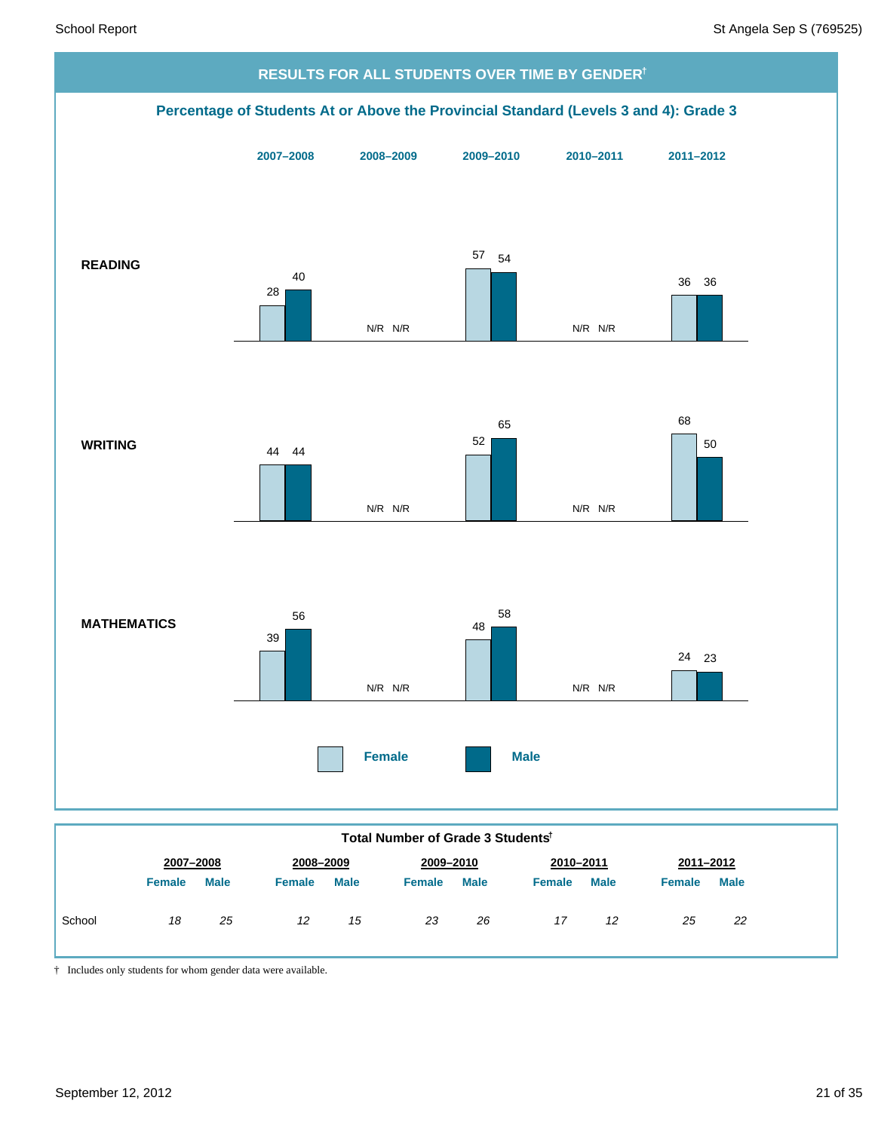

|        |               |             |               |             | סטווסטאט ט פון ס פארוואט וי |             |               |             |           |             |
|--------|---------------|-------------|---------------|-------------|-----------------------------|-------------|---------------|-------------|-----------|-------------|
|        | 2007-2008     |             | 2008-2009     |             | 2009-2010                   |             | 2010-2011     |             | 2011-2012 |             |
|        | <b>Female</b> | <b>Male</b> | <b>Female</b> | <b>Male</b> | <b>Female</b>               | <b>Male</b> | <b>Female</b> | <b>Male</b> | Female    | <b>Male</b> |
| School | 18            | 25          | 12            | 15          | 23                          | 26          | 17            | 12          | 25        | 22          |
|        |               |             |               |             |                             |             |               |             |           |             |

† Includes only students for whom gender data were available.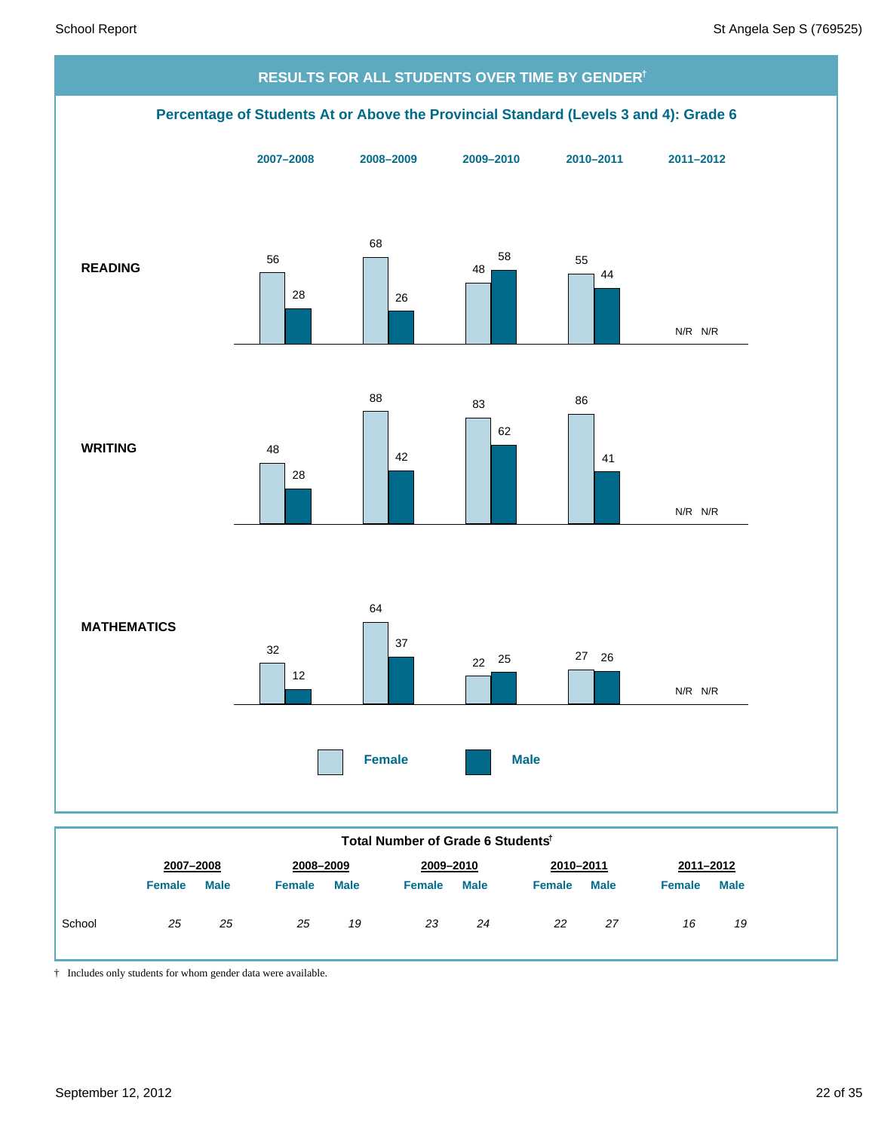

† Includes only students for whom gender data were available.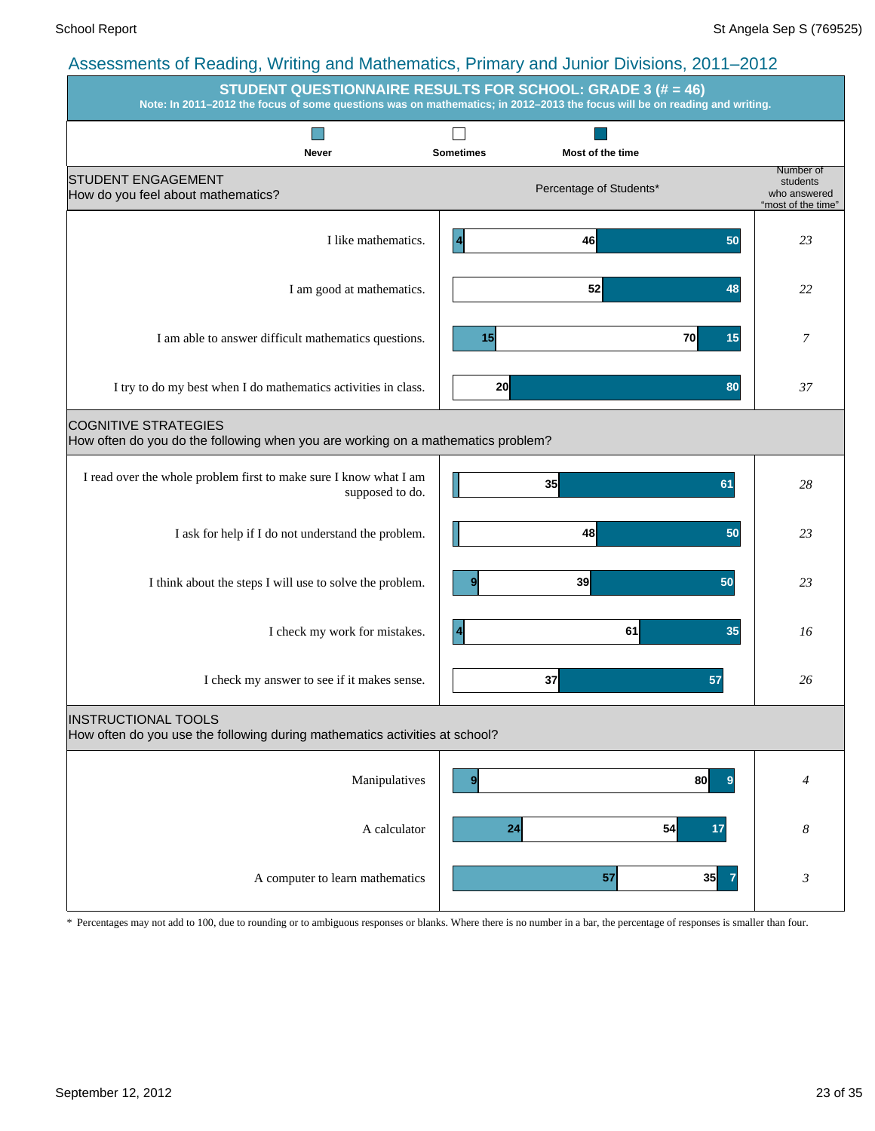| STUDENT QUESTIONNAIRE RESULTS FOR SCHOOL: GRADE 3 (# = 46)<br>Note: In 2011-2012 the focus of some questions was on mathematics; in 2012-2013 the focus will be on reading and writing. |                                                                 |                                                             |  |  |  |  |  |  |  |
|-----------------------------------------------------------------------------------------------------------------------------------------------------------------------------------------|-----------------------------------------------------------------|-------------------------------------------------------------|--|--|--|--|--|--|--|
|                                                                                                                                                                                         |                                                                 |                                                             |  |  |  |  |  |  |  |
| <b>Never</b><br><b>STUDENT ENGAGEMENT</b><br>How do you feel about mathematics?                                                                                                         | Most of the time<br><b>Sometimes</b><br>Percentage of Students* | Number of<br>students<br>who answered<br>"most of the time" |  |  |  |  |  |  |  |
| I like mathematics.                                                                                                                                                                     | 46<br>50<br>4                                                   | 23                                                          |  |  |  |  |  |  |  |
| I am good at mathematics.                                                                                                                                                               | 52<br>48                                                        | 22                                                          |  |  |  |  |  |  |  |
| I am able to answer difficult mathematics questions.                                                                                                                                    | 70<br>15<br>15                                                  | 7                                                           |  |  |  |  |  |  |  |
| I try to do my best when I do mathematics activities in class.                                                                                                                          | 20<br>80                                                        | 37                                                          |  |  |  |  |  |  |  |
| <b>COGNITIVE STRATEGIES</b><br>How often do you do the following when you are working on a mathematics problem?                                                                         |                                                                 |                                                             |  |  |  |  |  |  |  |
| I read over the whole problem first to make sure I know what I am<br>supposed to do.                                                                                                    | 35<br>61                                                        | 28                                                          |  |  |  |  |  |  |  |
| I ask for help if I do not understand the problem.                                                                                                                                      | 48<br>50                                                        | 23                                                          |  |  |  |  |  |  |  |
| I think about the steps I will use to solve the problem.                                                                                                                                | 39<br>50<br>9                                                   | 23                                                          |  |  |  |  |  |  |  |
| I check my work for mistakes.                                                                                                                                                           | 61<br>$\boldsymbol{4}$<br>35                                    | 16                                                          |  |  |  |  |  |  |  |
| I check my answer to see if it makes sense.                                                                                                                                             | 37<br>57                                                        | 26                                                          |  |  |  |  |  |  |  |
| <b>INSTRUCTIONAL TOOLS</b><br>How often do you use the following during mathematics activities at school?                                                                               |                                                                 |                                                             |  |  |  |  |  |  |  |
| Manipulatives                                                                                                                                                                           | 80<br>$\boldsymbol{9}$<br>9                                     | $\overline{4}$                                              |  |  |  |  |  |  |  |
| A calculator                                                                                                                                                                            | 24<br>54<br>17                                                  | $\boldsymbol{8}$                                            |  |  |  |  |  |  |  |
| A computer to learn mathematics                                                                                                                                                         | 35<br>57                                                        | $\boldsymbol{\beta}$                                        |  |  |  |  |  |  |  |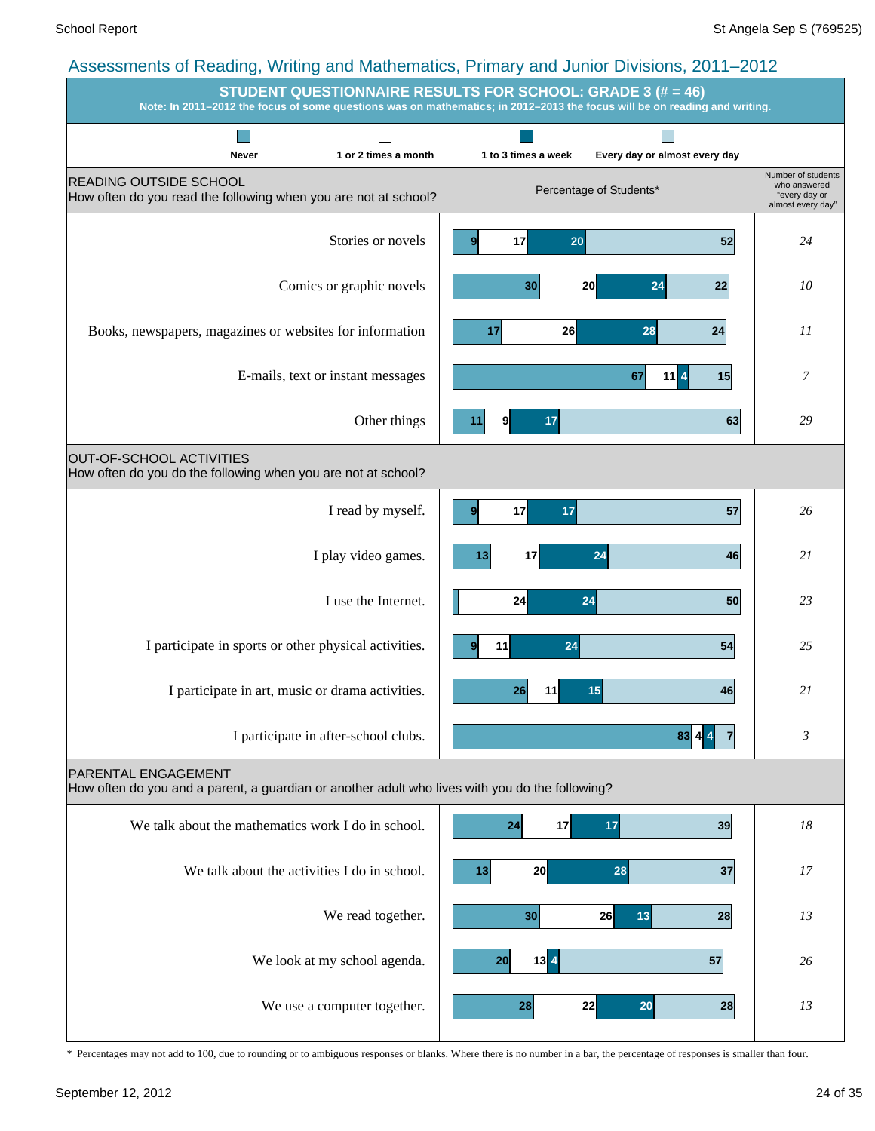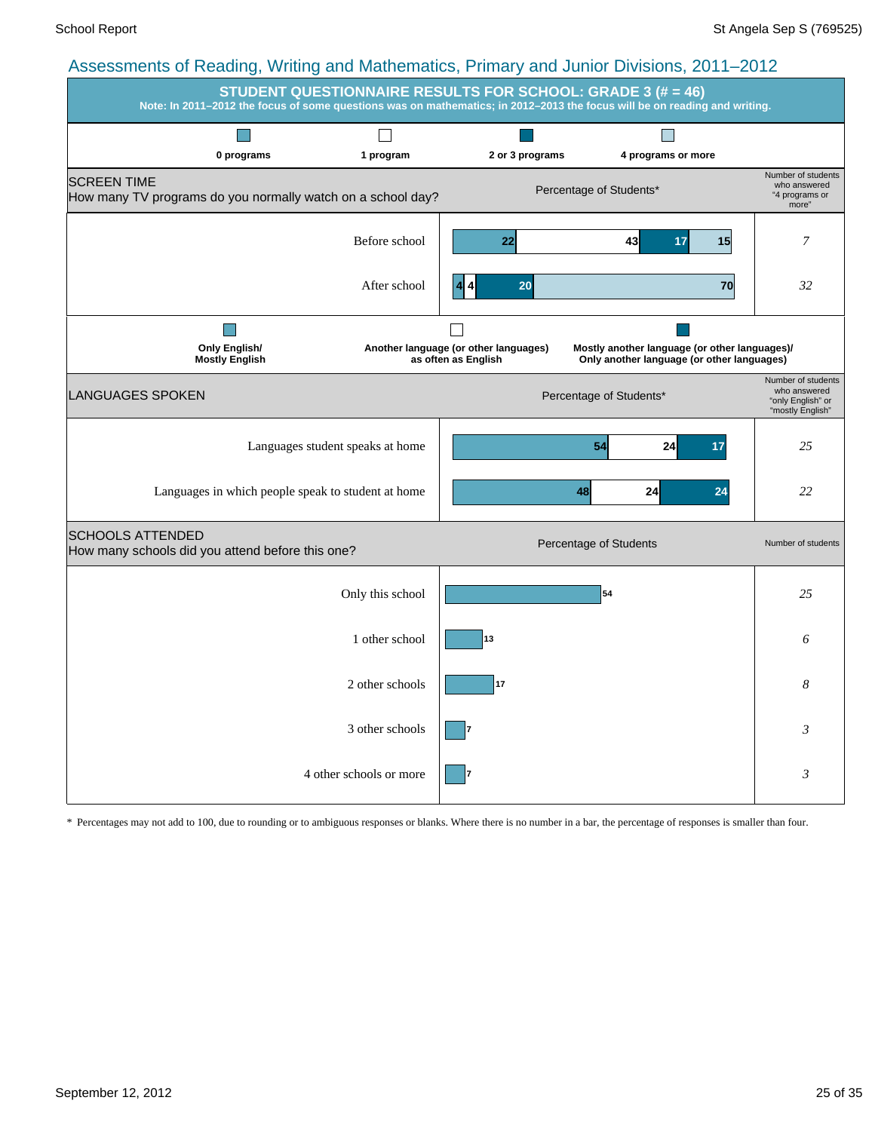| $\frac{1}{2}$ recovering to recently, writing and mathematics, it finds $\frac{1}{2}$ and varior Dividions, LVTT LOTL | <b>STUDENT QUESTIONNAIRE RESULTS FOR SCHOOL: GRADE 3 (# = 46)</b><br>Note: In 2011-2012 the focus of some questions was on mathematics; in 2012-2013 the focus will be on reading and writing. |                                                              |                                                                                             |                                                                             |  |  |  |  |  |  |  |
|-----------------------------------------------------------------------------------------------------------------------|------------------------------------------------------------------------------------------------------------------------------------------------------------------------------------------------|--------------------------------------------------------------|---------------------------------------------------------------------------------------------|-----------------------------------------------------------------------------|--|--|--|--|--|--|--|
| 0 programs                                                                                                            | 1 program                                                                                                                                                                                      | 2 or 3 programs                                              | 4 programs or more                                                                          |                                                                             |  |  |  |  |  |  |  |
| <b>SCREEN TIME</b><br>How many TV programs do you normally watch on a school day?                                     |                                                                                                                                                                                                |                                                              | Percentage of Students*                                                                     | Number of students<br>who answered<br>"4 programs or<br>more"               |  |  |  |  |  |  |  |
|                                                                                                                       | Before school                                                                                                                                                                                  | 22                                                           | 43<br>15<br>17                                                                              | 7                                                                           |  |  |  |  |  |  |  |
|                                                                                                                       | After school                                                                                                                                                                                   | 20                                                           | 70                                                                                          | 32                                                                          |  |  |  |  |  |  |  |
| <b>Only English/</b><br><b>Mostly English</b>                                                                         |                                                                                                                                                                                                | Another language (or other languages)<br>as often as English | Mostly another language (or other languages)/<br>Only another language (or other languages) |                                                                             |  |  |  |  |  |  |  |
| LANGUAGES SPOKEN                                                                                                      |                                                                                                                                                                                                |                                                              | Percentage of Students*                                                                     | Number of students<br>who answered<br>"only English" or<br>"mostly English" |  |  |  |  |  |  |  |
|                                                                                                                       | Languages student speaks at home                                                                                                                                                               |                                                              | 54<br>24<br>17                                                                              | 25                                                                          |  |  |  |  |  |  |  |
| Languages in which people speak to student at home                                                                    |                                                                                                                                                                                                |                                                              | 48<br>24<br>24                                                                              | 22                                                                          |  |  |  |  |  |  |  |
| <b>SCHOOLS ATTENDED</b><br>How many schools did you attend before this one?                                           |                                                                                                                                                                                                |                                                              | Percentage of Students                                                                      | Number of students                                                          |  |  |  |  |  |  |  |
|                                                                                                                       | Only this school                                                                                                                                                                               |                                                              | 54                                                                                          | 25                                                                          |  |  |  |  |  |  |  |
|                                                                                                                       | 1 other school                                                                                                                                                                                 | 13                                                           |                                                                                             | 6                                                                           |  |  |  |  |  |  |  |
|                                                                                                                       | 2 other schools                                                                                                                                                                                | 17                                                           |                                                                                             | 8                                                                           |  |  |  |  |  |  |  |
|                                                                                                                       | 3 other schools                                                                                                                                                                                |                                                              |                                                                                             | 3                                                                           |  |  |  |  |  |  |  |
|                                                                                                                       | 4 other schools or more                                                                                                                                                                        |                                                              |                                                                                             | 3                                                                           |  |  |  |  |  |  |  |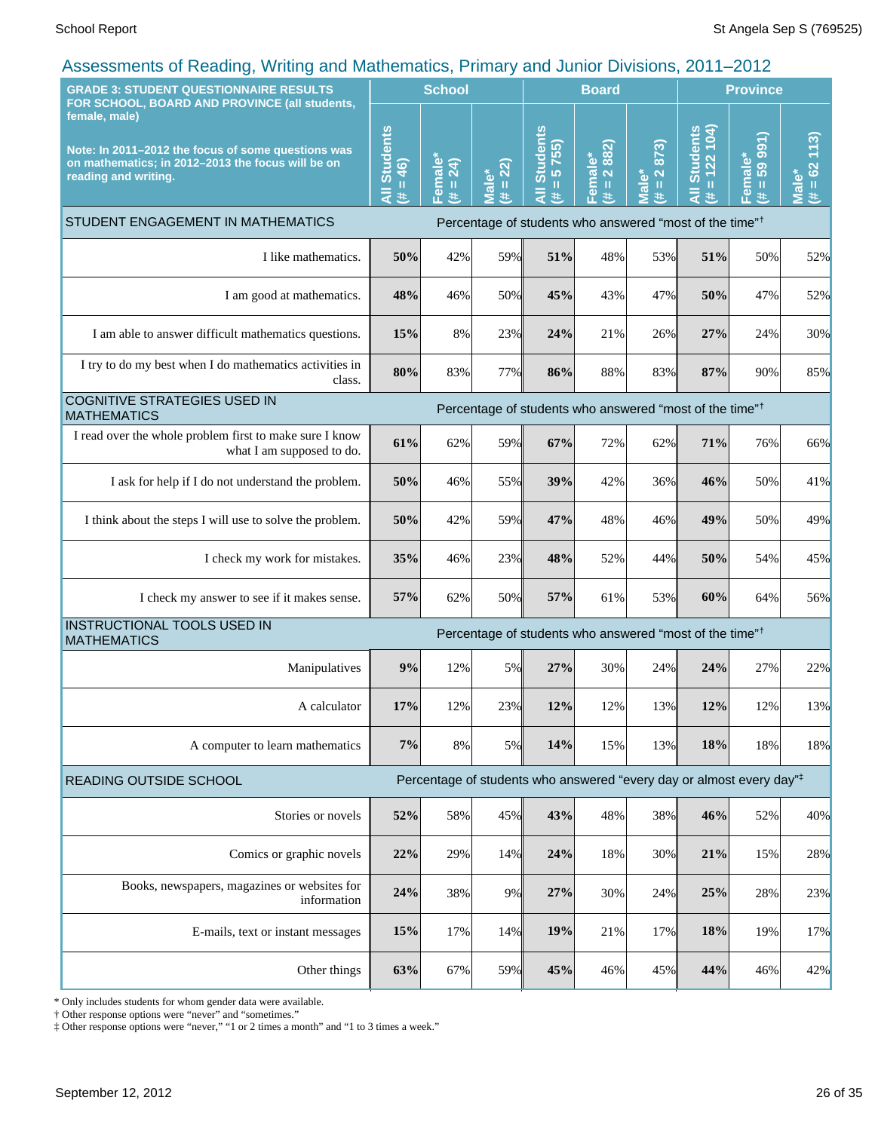| $\frac{1}{2}$ . The control of the call the control of the control of the control of $\frac{1}{2}$ of $\frac{1}{2}$ .<br><b>GRADE 3: STUDENT QUESTIONNAIRE RESULTS</b>                            |                             | <b>School</b>       |                                                   |                                                                                  | <b>Board</b>                          |                                                                    |                                          | <b>Province</b>              |                                                   |
|---------------------------------------------------------------------------------------------------------------------------------------------------------------------------------------------------|-----------------------------|---------------------|---------------------------------------------------|----------------------------------------------------------------------------------|---------------------------------------|--------------------------------------------------------------------|------------------------------------------|------------------------------|---------------------------------------------------|
| FOR SCHOOL, BOARD AND PROVINCE (all students,<br>female, male)<br>Note: In 2011-2012 the focus of some questions was<br>on mathematics; in 2012-2013 the focus will be on<br>reading and writing. | All Students<br>$= 46$<br>共 | Female*<br>(# = 24) | $= 22$<br>$\overline{\mathsf{label}}^*$<br>进<br>Ξ | <b>Students</b><br>5755)<br>П<br>—<br>₹<br>违                                     | 2 882)<br>Female*<br>$\mathbf H$<br>违 | 873)<br>$\overline{\mathbf{N}}$<br>ale*<br>$\mathbf{II}$<br>共<br>5 | $= 122 104$<br><b>Students</b><br>Ę<br>共 | 59 991)<br>Female*<br>ш<br>患 | (113)<br>62<br>$\mathbf{u}$<br>$\frac{1}{2}$<br>巷 |
| STUDENT ENGAGEMENT IN MATHEMATICS                                                                                                                                                                 |                             |                     |                                                   | Percentage of students who answered "most of the time" <sup>†</sup>              |                                       |                                                                    |                                          |                              |                                                   |
| I like mathematics.                                                                                                                                                                               | 50%                         | 42%                 | 59%                                               | 51%                                                                              | 48%                                   | 53%                                                                | 51%                                      | 50%                          | 52%                                               |
| I am good at mathematics.                                                                                                                                                                         | 48%                         | 46%                 | 50%                                               | 45%                                                                              | 43%                                   | 47%                                                                | 50%                                      | 47%                          | 52%                                               |
| I am able to answer difficult mathematics questions.                                                                                                                                              | 15%                         | 8%                  | 23%                                               | 24%                                                                              | 21%                                   | 26%                                                                | 27%                                      | 24%                          | 30%                                               |
| I try to do my best when I do mathematics activities in<br>class.                                                                                                                                 | 80%                         | 83%                 | 77%                                               | 86%                                                                              | 88%                                   | 83%                                                                | 87%                                      | 90%                          | 85%                                               |
| COGNITIVE STRATEGIES USED IN<br><b>MATHEMATICS</b>                                                                                                                                                |                             |                     |                                                   | Percentage of students who answered "most of the time" <sup>†</sup>              |                                       |                                                                    |                                          |                              |                                                   |
| I read over the whole problem first to make sure I know<br>what I am supposed to do.                                                                                                              | 61%                         | 62%                 | 59%                                               | 67%                                                                              | 72%                                   | 62%                                                                | 71%                                      | 76%                          | 66%                                               |
| I ask for help if I do not understand the problem.                                                                                                                                                | 50%                         | 46%                 | 55%                                               | 39%                                                                              | 42%                                   | 36%                                                                | 46%                                      | 50%                          | 41%                                               |
| I think about the steps I will use to solve the problem.                                                                                                                                          | 50%                         | 42%                 | 59%                                               | 47%                                                                              | 48%                                   | 46%                                                                | 49%                                      | 50%                          | 49%                                               |
| I check my work for mistakes.                                                                                                                                                                     | 35%                         | 46%                 | 23%                                               | 48%                                                                              | 52%                                   | 44%                                                                | 50%                                      | 54%                          | 45%                                               |
| I check my answer to see if it makes sense.                                                                                                                                                       | 57%                         | 62%                 | 50%                                               | 57%                                                                              | 61%                                   | 53%                                                                | 60%                                      | 64%                          | 56%                                               |
| INSTRUCTIONAL TOOLS USED IN<br><b>MATHEMATICS</b>                                                                                                                                                 |                             |                     |                                                   | Percentage of students who answered "most of the time" <sup>†</sup>              |                                       |                                                                    |                                          |                              |                                                   |
| Manipulatives                                                                                                                                                                                     | 9%                          | 12%                 | 5%                                                | 27%                                                                              | 30%                                   | 24%                                                                | 24%                                      | 27%                          | 22%                                               |
| A calculator                                                                                                                                                                                      | 17%                         | 12%                 | 23%                                               | 12%                                                                              | 12%                                   | 13%                                                                | 12%                                      | 12%                          | 13%                                               |
| A computer to learn mathematics                                                                                                                                                                   | 7%                          | 8%                  | 5%                                                | 14%                                                                              | 15%                                   | 13%                                                                | 18%                                      | 18%                          | 18%                                               |
| <b>READING OUTSIDE SCHOOL</b>                                                                                                                                                                     |                             |                     |                                                   | Percentage of students who answered "every day or almost every day" <sup>‡</sup> |                                       |                                                                    |                                          |                              |                                                   |
| Stories or novels                                                                                                                                                                                 | 52%                         | 58%                 | 45%                                               | 43%                                                                              | 48%                                   | 38%                                                                | 46%                                      | 52%                          | 40%                                               |
| Comics or graphic novels                                                                                                                                                                          | 22%                         | 29%                 | 14%                                               | 24%                                                                              | 18%                                   | 30%                                                                | 21%                                      | 15%                          | 28%                                               |
| Books, newspapers, magazines or websites for<br>information                                                                                                                                       | 24%                         | 38%                 | 9%                                                | 27%                                                                              | 30%                                   | 24%                                                                | 25%                                      | 28%                          | 23%                                               |
| E-mails, text or instant messages                                                                                                                                                                 | 15%                         | 17%                 | 14%                                               | 19%                                                                              | 21%                                   | 17%                                                                | 18%                                      | 19%                          | 17%                                               |
| Other things                                                                                                                                                                                      | 63%                         | 67%                 | 59%                                               | 45%                                                                              | 46%                                   | 45%                                                                | 44%                                      | 46%                          | 42%                                               |

\* Only includes students for whom gender data were available.

† Other response options were "never" and "sometimes."

‡ Other response options were "never," "1 or 2 times a month" and "1 to 3 times a week."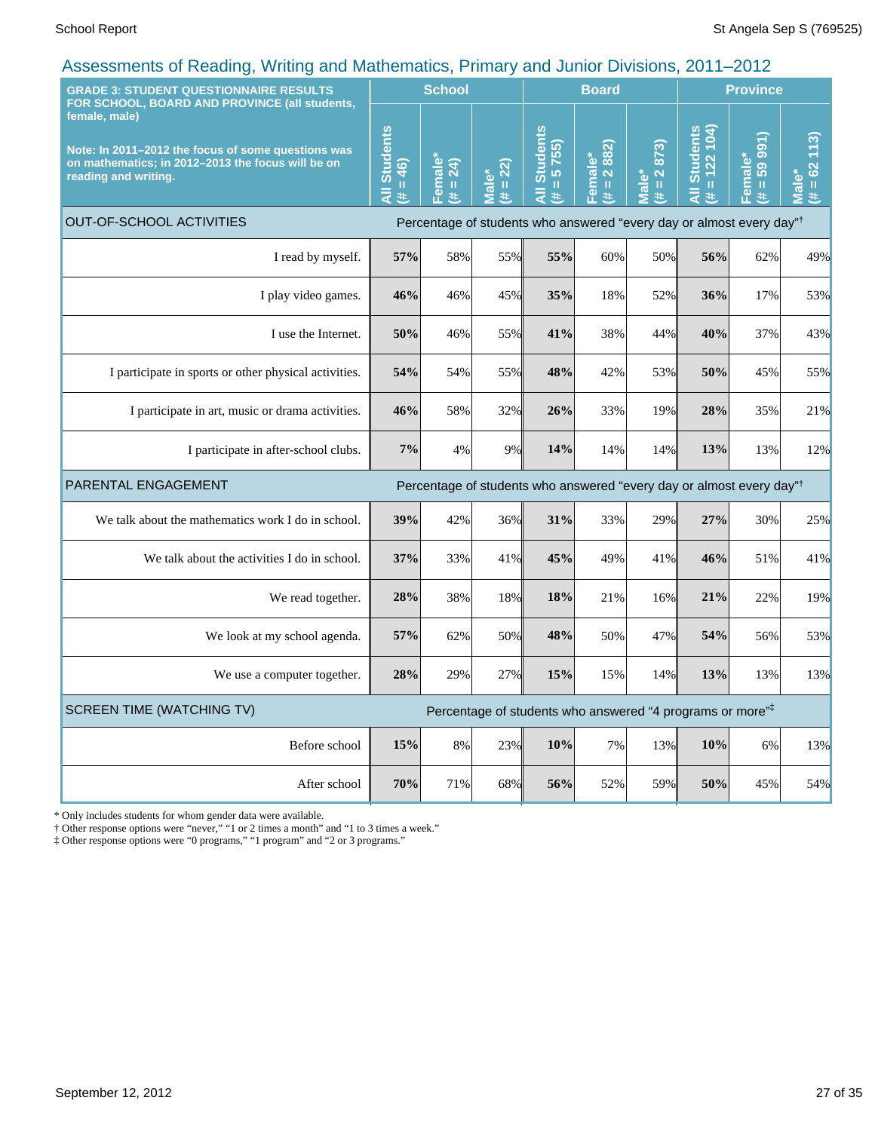| <b>GRADE 3: STUDENT QUESTIONNAIRE RESULTS</b><br>FOR SCHOOL, BOARD AND PROVINCE (all students,                                                   |     | <b>School</b>                                                                                                                                        |                                      |                                                                                                                                                                                                                                                                                      | <b>Board</b>                                                      |                                                                            | <b>Province</b>                                                  |                                 |                                          |
|--------------------------------------------------------------------------------------------------------------------------------------------------|-----|------------------------------------------------------------------------------------------------------------------------------------------------------|--------------------------------------|--------------------------------------------------------------------------------------------------------------------------------------------------------------------------------------------------------------------------------------------------------------------------------------|-------------------------------------------------------------------|----------------------------------------------------------------------------|------------------------------------------------------------------|---------------------------------|------------------------------------------|
| female, male)<br>Note: In 2011-2012 the focus of some questions was<br>on mathematics; in 2012-2013 the focus will be on<br>reading and writing. |     | Female <sup>*</sup><br>$\overline{24}$<br>$\mathbf{H}% _{0}\left( \mathbf{1}\right) =\mathbf{H}_{0}\left( \mathbf{1}\right) , \label{eq-qt:}%$<br>¥. | $= 22$<br><u>ی</u><br>$\bar{a}$<br># | <b>Students</b><br>5755)<br>$\mathbf{H}% =\mathbf{H}^{T}\mathbf{v}^{T}\mathbf{v}^{T}\mathbf{v}^{T}+\mathbf{H}^{T}\mathbf{v}^{T}\mathbf{v}^{T}+\mathbf{H}^{T}\mathbf{v}^{T}\mathbf{v}^{T}+\mathbf{H}^{T}\mathbf{v}^{T}\mathbf{v}^{T}+\mathbf{H}^{T}\mathbf{v}^{T}\mathbf{v}^{T}$<br># | 2 882)<br>$\overset{*}{\mathbf{0}}$<br>Femal<br>$\mathbf{u}$<br>共 | $\frac{1}{873}$<br>lale*<br>$\mathbf{\Omega}$<br>$\mathbf{u}$<br>$\ddot{}$ | <b>Students</b><br>122 104)<br>$\mathbf{u}$<br>$\bar{a}$<br>$\#$ | 991)<br>Female*<br>59<br>Ш<br>共 | (13)<br>$= 62$<br>Male <sup>*</sup><br>进 |
| <b>OUT-OF-SCHOOL ACTIVITIES</b>                                                                                                                  |     |                                                                                                                                                      |                                      | Percentage of students who answered "every day or almost every day" <sup>†</sup>                                                                                                                                                                                                     |                                                                   |                                                                            |                                                                  |                                 |                                          |
| I read by myself.                                                                                                                                | 57% | 58%                                                                                                                                                  | 55%                                  | 55%                                                                                                                                                                                                                                                                                  | 60%                                                               | 50%                                                                        | 56%                                                              | 62%                             | 49%                                      |
| I play video games.                                                                                                                              | 46% | 46%                                                                                                                                                  | 45%                                  | 35%                                                                                                                                                                                                                                                                                  | 18%                                                               | 52%                                                                        | 36%                                                              | 17%                             | 53%                                      |
| I use the Internet.                                                                                                                              | 50% | 46%                                                                                                                                                  | 55%                                  | 41%                                                                                                                                                                                                                                                                                  | 38%                                                               | 44%                                                                        | 40%                                                              | 37%                             | 43%                                      |
| I participate in sports or other physical activities.                                                                                            | 54% | 54%                                                                                                                                                  | 55%                                  | 48%                                                                                                                                                                                                                                                                                  | 42%                                                               | 53%                                                                        | 50%                                                              | 45%                             | 55%                                      |
| I participate in art, music or drama activities.                                                                                                 | 46% | 58%                                                                                                                                                  | 32%                                  | 26%                                                                                                                                                                                                                                                                                  | 33%                                                               | 19%                                                                        | 28%                                                              | 35%                             | 21%                                      |
| I participate in after-school clubs.                                                                                                             | 7%  | 4%                                                                                                                                                   | 9%                                   | 14%                                                                                                                                                                                                                                                                                  | 14%                                                               | 14%                                                                        | 13%                                                              | 13%                             | 12%                                      |
| PARENTAL ENGAGEMENT                                                                                                                              |     |                                                                                                                                                      |                                      | Percentage of students who answered "every day or almost every day" <sup>†</sup>                                                                                                                                                                                                     |                                                                   |                                                                            |                                                                  |                                 |                                          |
| We talk about the mathematics work I do in school.                                                                                               | 39% | 42%                                                                                                                                                  | 36%                                  | 31%                                                                                                                                                                                                                                                                                  | 33%                                                               | 29%                                                                        | 27%                                                              | 30%                             | 25%                                      |
| We talk about the activities I do in school.                                                                                                     | 37% | 33%                                                                                                                                                  | 41%                                  | 45%                                                                                                                                                                                                                                                                                  | 49%                                                               | 41%                                                                        | 46%                                                              | 51%                             | 41%                                      |
| We read together.                                                                                                                                | 28% | 38%                                                                                                                                                  | 18%                                  | 18%                                                                                                                                                                                                                                                                                  | 21%                                                               | 16%                                                                        | 21%                                                              | 22%                             | 19%                                      |
| We look at my school agenda.                                                                                                                     | 57% | 62%                                                                                                                                                  | 50%                                  | 48%                                                                                                                                                                                                                                                                                  | 50%                                                               | 47%                                                                        | 54%                                                              | 56%                             | 53%                                      |
| We use a computer together.                                                                                                                      | 28% | 29%                                                                                                                                                  | 27%                                  | 15%                                                                                                                                                                                                                                                                                  | 15%                                                               | 14%                                                                        | 13%                                                              | 13%                             | 13%                                      |
| <b>SCREEN TIME (WATCHING TV)</b>                                                                                                                 |     |                                                                                                                                                      |                                      | Percentage of students who answered "4 programs or more" <sup>‡</sup>                                                                                                                                                                                                                |                                                                   |                                                                            |                                                                  |                                 |                                          |
| Before school                                                                                                                                    | 15% | 8%                                                                                                                                                   | 23%                                  | 10%                                                                                                                                                                                                                                                                                  | 7%                                                                | 13%                                                                        | 10%                                                              | 6%                              | 13%                                      |
| After school                                                                                                                                     | 70% | 71%                                                                                                                                                  | 68%                                  | 56%                                                                                                                                                                                                                                                                                  | 52%                                                               | 59%                                                                        | 50%                                                              | 45%                             | 54%                                      |

\* Only includes students for whom gender data were available.

† Other response options were "never," "1 or 2 times a month" and "1 to 3 times a week."

‡ Other response options were "0 programs," "1 program" and "2 or 3 programs."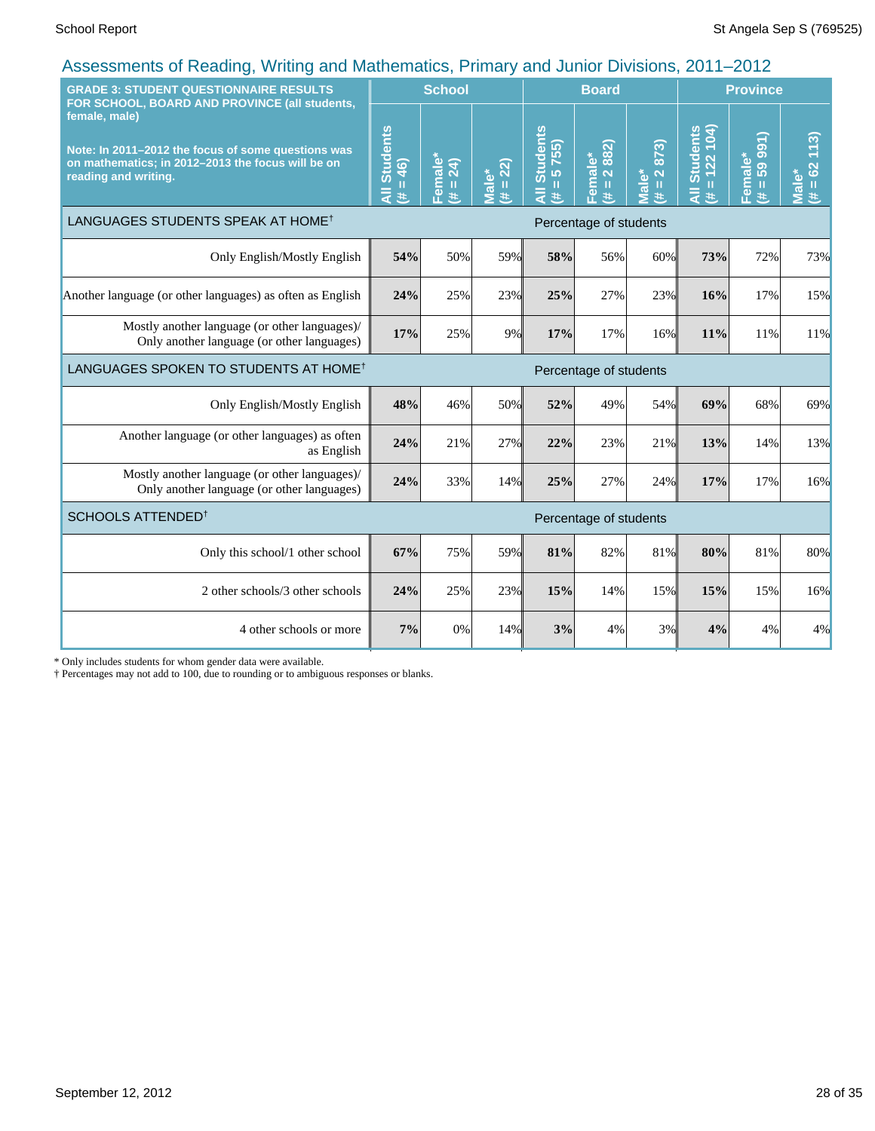| <b>GRADE 3: STUDENT QUESTIONNAIRE RESULTS</b><br>FOR SCHOOL, BOARD AND PROVINCE (all students,                                                   |                                              | <b>School</b>                                 |                                |                                    | <b>Board</b>                                                      |                                              | <b>Province</b>                  |                                      |                                     |
|--------------------------------------------------------------------------------------------------------------------------------------------------|----------------------------------------------|-----------------------------------------------|--------------------------------|------------------------------------|-------------------------------------------------------------------|----------------------------------------------|----------------------------------|--------------------------------------|-------------------------------------|
| female, male)<br>Note: In 2011-2012 the focus of some questions was<br>on mathematics; in 2012-2013 the focus will be on<br>reading and writing. | <b>Students</b><br>$= 46$<br>$\bar{a}$<br>¥. | <mark>=emale</mark> *<br>$\overline{24}$<br># | $(\overline{H} = 22)$<br>Male* | <b>Students</b><br>5755)<br>Ш<br>共 | 882)<br><u>=emale*</u><br>$\ddot{\sim}$<br>$\mathbf{H}$<br>$\ast$ | 873)<br>$\mathbf{\tilde{z}}$<br>Viale*<br>世地 | $= 122 104$<br>All Students<br>共 | 991)<br>Female*<br>59<br>$\,$ H<br>共 | 113)<br>$= 62$<br><b>Male*</b><br>进 |
| LANGUAGES STUDENTS SPEAK AT HOME <sup>†</sup>                                                                                                    |                                              |                                               |                                |                                    | Percentage of students                                            |                                              |                                  |                                      |                                     |
| Only English/Mostly English                                                                                                                      | 54%                                          | 50%                                           | 59%                            | 58%                                | 56%                                                               | 60%                                          | 73%                              | 72%                                  | 73%                                 |
| Another language (or other languages) as often as English                                                                                        | 24%                                          | 25%                                           | 23%                            | 25%                                | 27%                                                               | 23%                                          | 16%                              | 17%                                  | 15%                                 |
| Mostly another language (or other languages)/<br>Only another language (or other languages)                                                      | 17%                                          | 25%                                           | 9%                             | 17%                                | 17%                                                               | 16%                                          | 11%                              | 11%                                  | 11%                                 |
| LANGUAGES SPOKEN TO STUDENTS AT HOME <sup>†</sup>                                                                                                | Percentage of students                       |                                               |                                |                                    |                                                                   |                                              |                                  |                                      |                                     |
| Only English/Mostly English                                                                                                                      | 48%                                          | 46%                                           | 50%                            | 52%                                | 49%                                                               | 54%                                          | 69%                              | 68%                                  | 69%                                 |
| Another language (or other languages) as often<br>as English                                                                                     | 24%                                          | 21%                                           | 27%                            | 22%                                | 23%                                                               | 21%                                          | 13%                              | 14%                                  | 13%                                 |
| Mostly another language (or other languages)/<br>Only another language (or other languages)                                                      | 24%                                          | 33%                                           | 14%                            | 25%                                | 27%                                                               | 24%                                          | 17%                              | 17%                                  | 16%                                 |
| SCHOOLS ATTENDED <sup>1</sup>                                                                                                                    |                                              |                                               |                                |                                    | Percentage of students                                            |                                              |                                  |                                      |                                     |
| Only this school/1 other school                                                                                                                  | 67%                                          | 75%                                           | 59%                            | 81%                                | 82%                                                               | 81%                                          | 80%                              | 81%                                  | 80%                                 |
| 2 other schools/3 other schools                                                                                                                  | 24%                                          | 25%                                           | 23%                            | 15%                                | 14%                                                               | 15%                                          | 15%                              | 15%                                  | 16%                                 |
| 4 other schools or more                                                                                                                          | 7%                                           | 0%                                            | 14%                            | 3%                                 | 4%                                                                | 3%                                           | 4%                               | 4%                                   | 4%                                  |

\* Only includes students for whom gender data were available.

† Percentages may not add to 100, due to rounding or to ambiguous responses or blanks.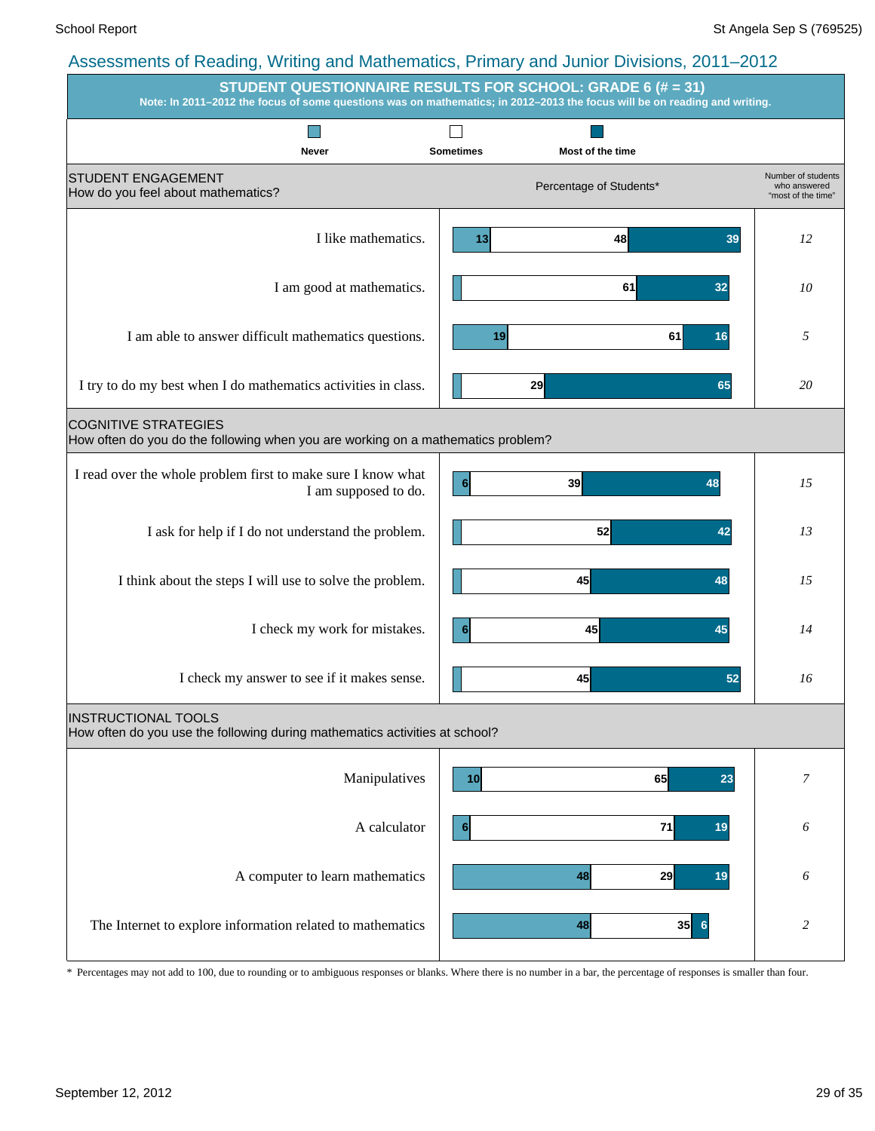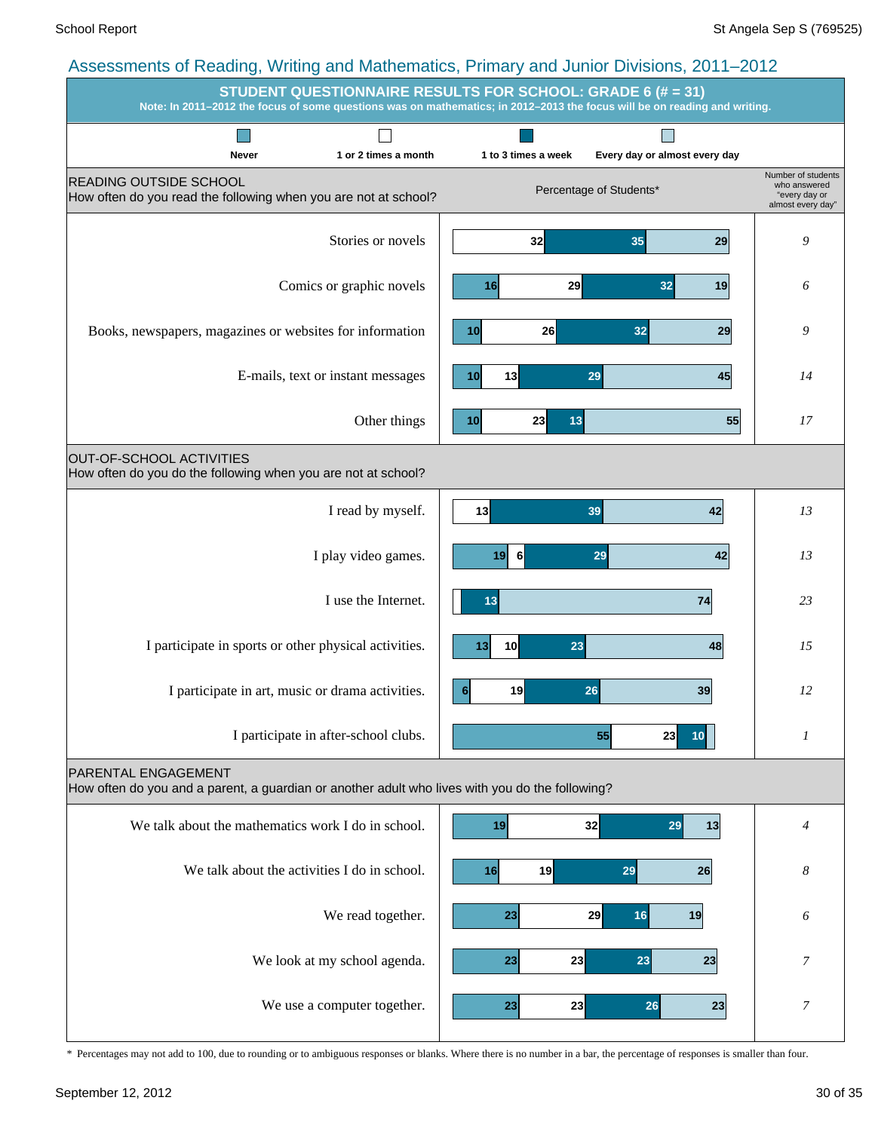#### Assessments of Reading, Writing and Mathematics, Primary and Junior Divisions, 2011–2012 **STUDENT QUESTIONNAIRE RESULTS FOR SCHOOL: GRADE 6 (# = 31) Note: In 2011–2012 the focus of some questions was on mathematics; in 2012–2013 the focus will be on reading and writing. Tall**  $\Box$  $\overline{\phantom{a}}$

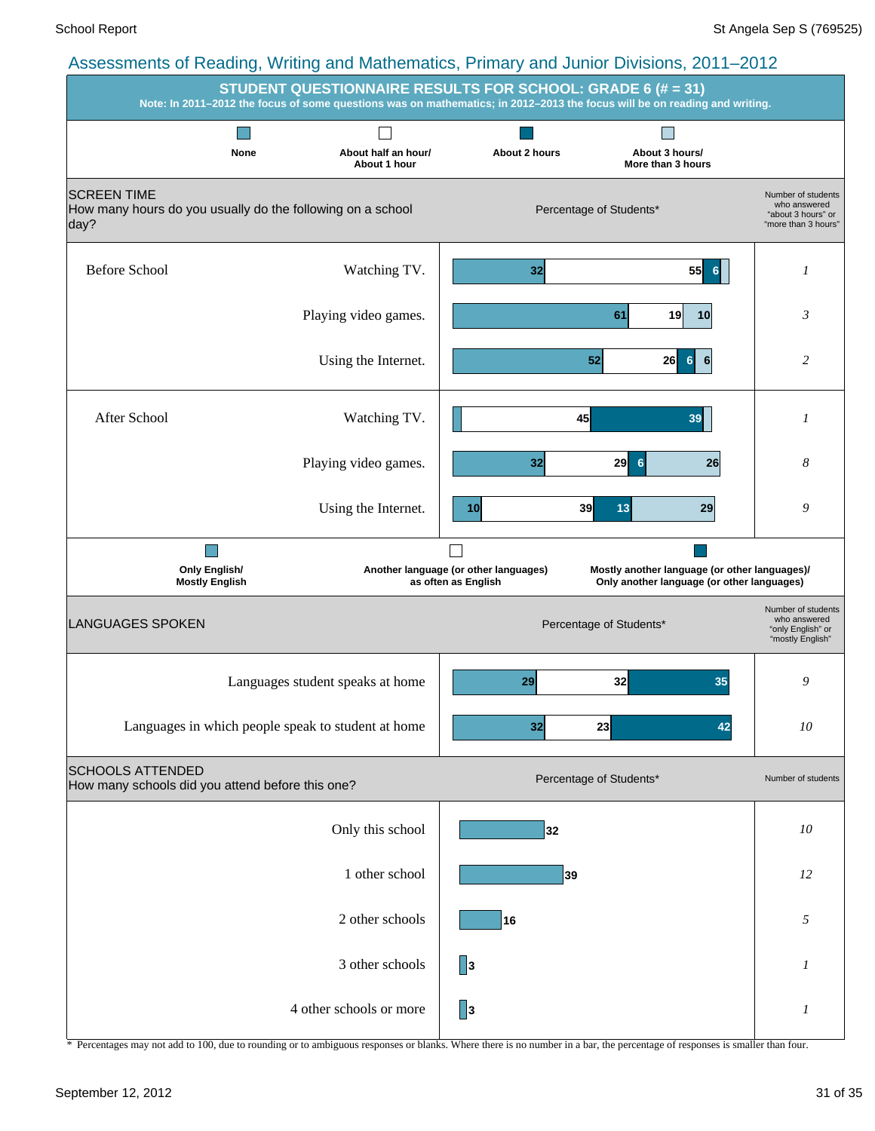|                                                                                          | <b>STUDENT QUESTIONNAIRE RESULTS FOR SCHOOL: GRADE 6 (# = 31)</b> |                                                              | Note: In 2011-2012 the focus of some questions was on mathematics; in 2012-2013 the focus will be on reading and writing. |                                                                             |
|------------------------------------------------------------------------------------------|-------------------------------------------------------------------|--------------------------------------------------------------|---------------------------------------------------------------------------------------------------------------------------|-----------------------------------------------------------------------------|
|                                                                                          |                                                                   |                                                              |                                                                                                                           |                                                                             |
| None                                                                                     | About half an hour/<br>About 1 hour                               | About 2 hours                                                | About 3 hours/<br>More than 3 hours                                                                                       |                                                                             |
| <b>SCREEN TIME</b><br>How many hours do you usually do the following on a school<br>day? |                                                                   | Percentage of Students*                                      | Number of students<br>who answered<br>"about 3 hours" or<br>"more than 3 hours"                                           |                                                                             |
| <b>Before School</b>                                                                     | Watching TV.                                                      | 32                                                           | 55<br>6                                                                                                                   | 1                                                                           |
|                                                                                          | Playing video games.                                              |                                                              | 61<br>19<br>10                                                                                                            | 3                                                                           |
|                                                                                          | Using the Internet.                                               |                                                              | 52<br>26<br>$6 \,$<br>6                                                                                                   | 2                                                                           |
| After School                                                                             | Watching TV.                                                      |                                                              | 45<br>39                                                                                                                  | 1                                                                           |
|                                                                                          | Playing video games.                                              | 32                                                           | 29<br>$6\phantom{1}6$<br>26                                                                                               | 8                                                                           |
|                                                                                          | Using the Internet.                                               | 10 <sup>1</sup>                                              | 39<br>13<br>29                                                                                                            | 9                                                                           |
|                                                                                          |                                                                   |                                                              |                                                                                                                           |                                                                             |
| <b>Only English/</b><br><b>Mostly English</b>                                            |                                                                   | Another language (or other languages)<br>as often as English | Mostly another language (or other languages)/<br>Only another language (or other languages)                               |                                                                             |
| <b>LANGUAGES SPOKEN</b>                                                                  |                                                                   |                                                              | Percentage of Students*                                                                                                   | Number of students<br>who answered<br>"only English" or<br>"mostly English" |
|                                                                                          | Languages student speaks at home                                  | 29                                                           | 32<br>35                                                                                                                  | 9                                                                           |
|                                                                                          | Languages in which people speak to student at home                | 32                                                           | 23<br>42                                                                                                                  | $10\,$                                                                      |
| <b>SCHOOLS ATTENDED</b><br>How many schools did you attend before this one?              |                                                                   |                                                              | Percentage of Students*                                                                                                   | Number of students                                                          |
|                                                                                          | Only this school                                                  | 32                                                           |                                                                                                                           | $10\,$                                                                      |
|                                                                                          | 1 other school                                                    | 39                                                           |                                                                                                                           | 12                                                                          |
|                                                                                          | 2 other schools                                                   | 16                                                           |                                                                                                                           | 5                                                                           |
|                                                                                          | 3 other schools                                                   | 3                                                            |                                                                                                                           | 1                                                                           |
|                                                                                          | 4 other schools or more                                           | $\vert$ <sub>3</sub>                                         |                                                                                                                           | 1                                                                           |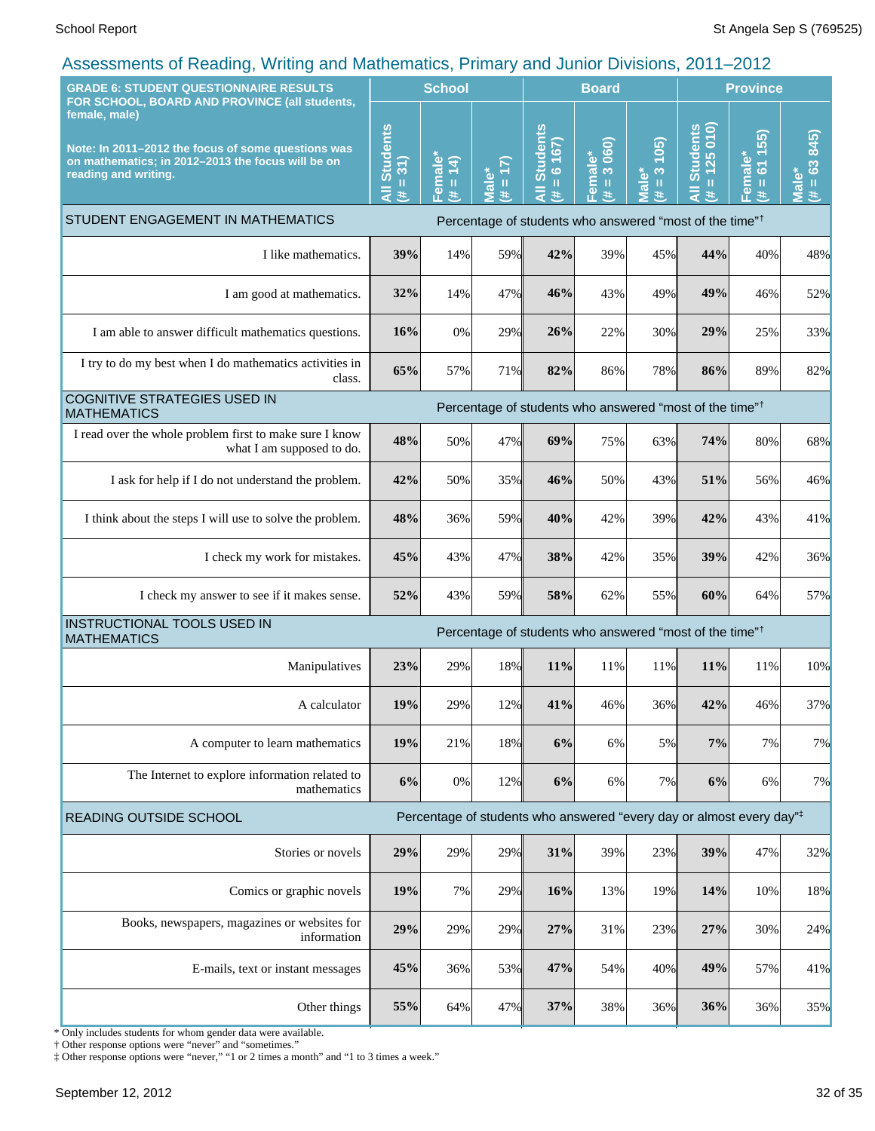| <b>GRADE 6: STUDENT QUESTIONNAIRE RESULTS</b><br>FOR SCHOOL, BOARD AND PROVINCE (all students,                                                   | <b>School</b>                       |                                                      |                             |                                                | <b>Board</b>                      |                                      | <b>Province</b>                                                                  |                                     |                                     |
|--------------------------------------------------------------------------------------------------------------------------------------------------|-------------------------------------|------------------------------------------------------|-----------------------------|------------------------------------------------|-----------------------------------|--------------------------------------|----------------------------------------------------------------------------------|-------------------------------------|-------------------------------------|
| female, male)<br>Note: In 2011-2012 the focus of some questions was<br>on mathematics; in 2012-2013 the focus will be on<br>reading and writing. | <b>Students</b><br>$= 31$<br>ā<br>进 | Female <sup>®</sup><br>$\overline{4}$<br>$\,$ H<br>主 | $= 17$<br><b>Male*</b><br>主 | <b>Students</b><br>$= 6 167$<br>$\bar{a}$<br>进 | 3 060)<br>Female*<br>$\,$ II<br>主 | (105)<br>$\frac{3}{2}$<br>Male*<br>主 | $= 125010$<br><b>Students</b><br>$\bar{a}$<br>进                                  | 55)<br>611<br>Female*<br>(# = 61 1! | 845)<br>$= 63$<br><b>Male*</b><br>进 |
| STUDENT ENGAGEMENT IN MATHEMATICS                                                                                                                |                                     |                                                      |                             |                                                |                                   |                                      | Percentage of students who answered "most of the time" <sup>†</sup>              |                                     |                                     |
| I like mathematics.                                                                                                                              | 39%                                 | 14%                                                  | 59%                         | 42%                                            | 39%                               | 45%                                  | 44%                                                                              | 40%                                 | 48%                                 |
| I am good at mathematics.                                                                                                                        | 32%                                 | 14%                                                  | 47%                         | 46%                                            | 43%                               | 49%                                  | 49%                                                                              | 46%                                 | 52%                                 |
| I am able to answer difficult mathematics questions.                                                                                             | 16%                                 | 0%                                                   | 29%                         | 26%                                            | 22%                               | 30%                                  | 29%                                                                              | 25%                                 | 33%                                 |
| I try to do my best when I do mathematics activities in<br>class.                                                                                | 65%                                 | 57%                                                  | 71%                         | 82%                                            | 86%                               | 78%                                  | 86%                                                                              | 89%                                 | 82%                                 |
| <b>COGNITIVE STRATEGIES USED IN</b><br><b>MATHEMATICS</b>                                                                                        |                                     |                                                      |                             |                                                |                                   |                                      | Percentage of students who answered "most of the time" <sup>†</sup>              |                                     |                                     |
| I read over the whole problem first to make sure I know<br>what I am supposed to do.                                                             | 48%                                 | 50%                                                  | 47%                         | 69%                                            | 75%                               | 63%                                  | 74%                                                                              | 80%                                 | 68%                                 |
| I ask for help if I do not understand the problem.                                                                                               | 42%                                 | 50%                                                  | 35%                         | 46%                                            | 50%                               | 43%                                  | 51%                                                                              | 56%                                 | 46%                                 |
| I think about the steps I will use to solve the problem.                                                                                         | 48%                                 | 36%                                                  | 59%                         | 40%                                            | 42%                               | 39%                                  | 42%                                                                              | 43%                                 | 41%                                 |
| I check my work for mistakes.                                                                                                                    | 45%                                 | 43%                                                  | 47%                         | 38%                                            | 42%                               | 35%                                  | 39%                                                                              | 42%                                 | 36%                                 |
| I check my answer to see if it makes sense.                                                                                                      | 52%                                 | 43%                                                  | 59%                         | 58%                                            | 62%                               | 55%                                  | 60%                                                                              | 64%                                 | 57%                                 |
| INSTRUCTIONAL TOOLS USED IN<br><b>MATHEMATICS</b>                                                                                                |                                     |                                                      |                             |                                                |                                   |                                      | Percentage of students who answered "most of the time" <sup>†</sup>              |                                     |                                     |
| Manipulatives                                                                                                                                    | 23%                                 | 29%                                                  | 18%                         | 11%                                            | 11%                               | 11%                                  | 11%                                                                              | 11%                                 | 10%                                 |
| A calculator                                                                                                                                     | 19%                                 | 29%                                                  | 12%                         | 41%                                            | 46%                               | 36%                                  | 42%                                                                              | 46%                                 | 37%                                 |
| A computer to learn mathematics                                                                                                                  | 19%                                 | 21%                                                  | 18%                         | 6%                                             | 6%                                | 5%                                   | 7%                                                                               | 7%                                  | 7%                                  |
| The Internet to explore information related to<br>mathematics                                                                                    | 6%                                  | 0%                                                   | 12%                         | 6%                                             | 6%                                | 7%                                   | 6%                                                                               | 6%                                  | 7%                                  |
| READING OUTSIDE SCHOOL                                                                                                                           |                                     |                                                      |                             |                                                |                                   |                                      | Percentage of students who answered "every day or almost every day" <sup>‡</sup> |                                     |                                     |
| Stories or novels                                                                                                                                | 29%                                 | 29%                                                  | 29%                         | 31%                                            | 39%                               | 23%                                  | 39%                                                                              | 47%                                 | 32%                                 |
| Comics or graphic novels                                                                                                                         | 19%                                 | 7%                                                   | 29%                         | 16%                                            | 13%                               | 19%                                  | 14%                                                                              | 10%                                 | 18%                                 |
| Books, newspapers, magazines or websites for<br>information                                                                                      | 29%                                 | 29%                                                  | 29%                         | 27%                                            | 31%                               | 23%                                  | 27%                                                                              | 30%                                 | 24%                                 |
| E-mails, text or instant messages                                                                                                                | 45%                                 | 36%                                                  | 53%                         | 47%                                            | 54%                               | 40%                                  | 49%                                                                              | 57%                                 | 41%                                 |
| Other things                                                                                                                                     | 55%                                 | 64%                                                  | 47%                         | 37%                                            | 38%                               | 36%                                  | 36%                                                                              | 36%                                 | 35%                                 |

\* Only includes students for whom gender data were available.

† Other response options were "never" and "sometimes."

‡ Other response options were "never," "1 or 2 times a month" and "1 to 3 times a week."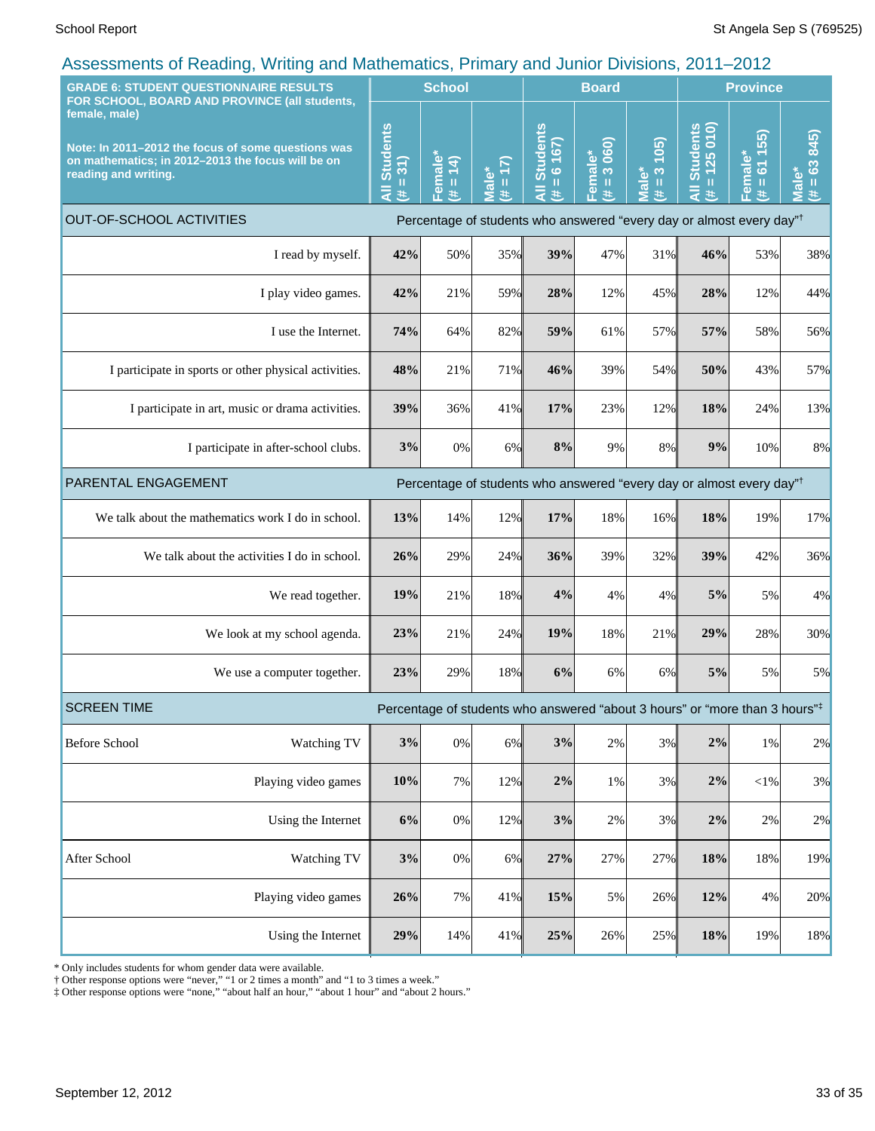| <b>GRADE 6: STUDENT QUESTIONNAIRE RESULTS</b>                                                                                                                                                     | ----- <i>-</i> ----                                   |                                     | <b>School</b>                 |                                                                                  |                                                                                         | <b>Board</b>                   |                                                                   | <b>Province</b>                 |                                            |                                     |
|---------------------------------------------------------------------------------------------------------------------------------------------------------------------------------------------------|-------------------------------------------------------|-------------------------------------|-------------------------------|----------------------------------------------------------------------------------|-----------------------------------------------------------------------------------------|--------------------------------|-------------------------------------------------------------------|---------------------------------|--------------------------------------------|-------------------------------------|
| FOR SCHOOL, BOARD AND PROVINCE (all students,<br>female, male)<br>Note: In 2011-2012 the focus of some questions was<br>on mathematics; in 2012-2013 the focus will be on<br>reading and writing. |                                                       | <b>Students</b><br>$= 31$<br>Ę<br>进 | Female<br>(14)<br>$\,$ H<br>进 | (17)<br><b>Male*</b>                                                             | <b>All Students</b><br>6 167)<br>$\mathbf u$<br>违                                       | 3 060)<br>Female*<br>(# = 3 06 | 105<br>$\boldsymbol{\infty}$<br>Male*<br>$\, \, \mathrm{II}$<br>违 | $= 125010$<br>All Students<br>共 | 55)<br>611<br>Female*<br>$(\sharp = 61$ 1! | 845)<br>$= 63$<br><b>Male*</b><br>违 |
| OUT-OF-SCHOOL ACTIVITIES                                                                                                                                                                          |                                                       |                                     |                               |                                                                                  | Percentage of students who answered "every day or almost every day" <sup>†</sup>        |                                |                                                                   |                                 |                                            |                                     |
|                                                                                                                                                                                                   | I read by myself.                                     | 42%                                 | 50%                           | 35%                                                                              | 39%                                                                                     | 47%                            | 31%                                                               | 46%                             | 53%                                        | 38%                                 |
|                                                                                                                                                                                                   | I play video games.                                   | 42%                                 | 21%                           | 59%                                                                              | 28%                                                                                     | 12%                            | 45%                                                               | 28%                             | 12%                                        | 44%                                 |
|                                                                                                                                                                                                   | I use the Internet.                                   | 74%                                 | 64%                           | 82%                                                                              | 59%                                                                                     | 61%                            | 57%                                                               | 57%                             | 58%                                        | 56%                                 |
|                                                                                                                                                                                                   | I participate in sports or other physical activities. | 48%                                 | 21%                           | 71%                                                                              | 46%                                                                                     | 39%                            | 54%                                                               | 50%                             | 43%                                        | 57%                                 |
|                                                                                                                                                                                                   | I participate in art, music or drama activities.      | 39%                                 | 36%                           | 41%                                                                              | 17%                                                                                     | 23%                            | 12%                                                               | 18%                             | 24%                                        | 13%                                 |
| I participate in after-school clubs.                                                                                                                                                              |                                                       | 3%                                  | 0%                            | 6%                                                                               | 8%                                                                                      | 9%                             | 8%                                                                | 9%                              | 10%                                        | 8%                                  |
| PARENTAL ENGAGEMENT                                                                                                                                                                               |                                                       |                                     |                               | Percentage of students who answered "every day or almost every day" <sup>†</sup> |                                                                                         |                                |                                                                   |                                 |                                            |                                     |
|                                                                                                                                                                                                   | We talk about the mathematics work I do in school.    | 13%                                 | 14%                           | 12%                                                                              | 17%                                                                                     | 18%                            | 16%                                                               | 18%                             | 19%                                        | 17%                                 |
|                                                                                                                                                                                                   | We talk about the activities I do in school.          | 26%                                 | 29%                           | 24%                                                                              | 36%                                                                                     | 39%                            | 32%                                                               | 39%                             | 42%                                        | 36%                                 |
|                                                                                                                                                                                                   | We read together.                                     | 19%                                 | 21%                           | 18%                                                                              | 4%                                                                                      | 4%                             | 4%                                                                | 5%                              | 5%                                         | 4%                                  |
|                                                                                                                                                                                                   | We look at my school agenda.                          | 23%                                 | 21%                           | 24%                                                                              | 19%                                                                                     | 18%                            | 21%                                                               | 29%                             | 28%                                        | 30%                                 |
|                                                                                                                                                                                                   | We use a computer together.                           | 23%                                 | 29%                           | 18%                                                                              | 6%                                                                                      | 6%                             | 6%                                                                | 5%                              | 5%                                         | 5%                                  |
| <b>SCREEN TIME</b>                                                                                                                                                                                |                                                       |                                     |                               |                                                                                  | Percentage of students who answered "about 3 hours" or "more than 3 hours" <sup>‡</sup> |                                |                                                                   |                                 |                                            |                                     |
| <b>Before School</b>                                                                                                                                                                              | Watching TV                                           | $3\%$                               | $0\%$                         | 6%                                                                               | 3%                                                                                      | $2\%$                          | 3%                                                                | $2\%$                           | $1\%$                                      | 2%                                  |
|                                                                                                                                                                                                   | Playing video games                                   | 10%                                 | 7%                            | 12%                                                                              | 2%                                                                                      | 1%                             | 3%                                                                | $2\%$                           | ${<}1\%$                                   | 3%                                  |
|                                                                                                                                                                                                   | Using the Internet                                    | 6%                                  | $0\%$                         | 12%                                                                              | 3%                                                                                      | $2\%$                          | 3%                                                                | $2\%$                           | 2%                                         | 2%                                  |
| After School                                                                                                                                                                                      | Watching TV                                           | 3%                                  | $0\%$                         | 6%                                                                               | 27%                                                                                     | 27%                            | 27%                                                               | 18%                             | 18%                                        | 19%                                 |
|                                                                                                                                                                                                   | Playing video games                                   | 26%                                 | 7%                            | 41%                                                                              | 15%                                                                                     | 5%                             | 26%                                                               | 12%                             | 4%                                         | 20%                                 |
|                                                                                                                                                                                                   | Using the Internet                                    | 29%                                 | 14%                           | 41%                                                                              | 25%                                                                                     | 26%                            | 25%                                                               | $18\%$                          | 19%                                        | 18%                                 |

\* Only includes students for whom gender data were available.

† Other response options were "never," "1 or 2 times a month" and "1 to 3 times a week."

‡ Other response options were "none," "about half an hour," "about 1 hour" and "about 2 hours."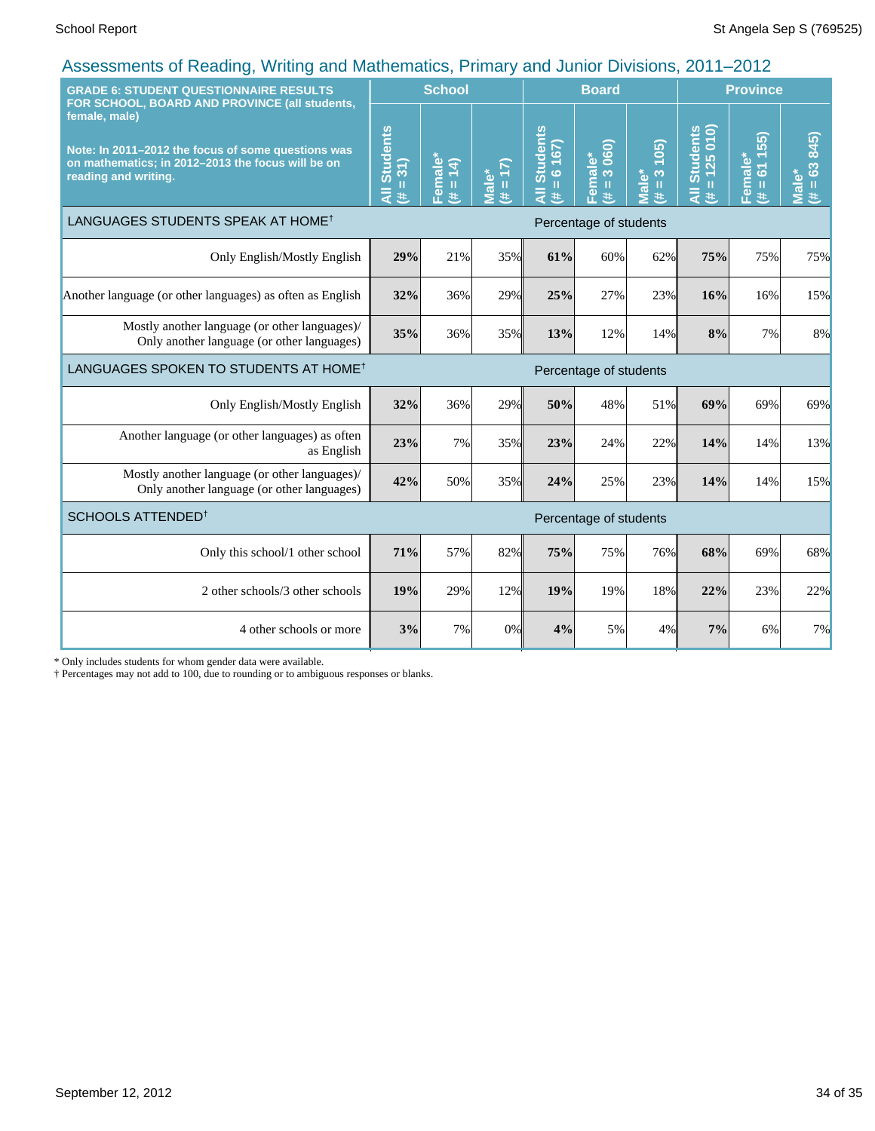| <b>GRADE 6: STUDENT QUESTIONNAIRE RESULTS</b><br>FOR SCHOOL, BOARD AND PROVINCE (all students,                                                   |                                              | <b>School</b>                       |                     |                                                     | <b>Board</b>                                                             |                                              |                                 | <b>Province</b>                                 |                                 |  |
|--------------------------------------------------------------------------------------------------------------------------------------------------|----------------------------------------------|-------------------------------------|---------------------|-----------------------------------------------------|--------------------------------------------------------------------------|----------------------------------------------|---------------------------------|-------------------------------------------------|---------------------------------|--|
| female, male)<br>Note: In 2011-2012 the focus of some questions was<br>on mathematics; in 2012-2013 the focus will be on<br>reading and writing. | <b>Students</b><br>$= 31$<br>$\bar{a}$<br>¥. | Female*<br>$(\frac{\mu}{\mu} = 14)$ | $(21 = #)$<br>Male* | <b>Students</b><br>167)<br>$\ddot{\circ}$<br>Ш<br>共 | 060)<br><mark>-emale*</mark><br>$\overline{3}$<br>$\mathbf{H}$<br>$\ast$ | 105<br>Viale*<br>$\infty$<br>$\frac{11}{25}$ | All Students<br>$= 125010$<br>巷 | 55)<br>Female*<br>$\overline{6}$<br>$\,$ H<br>共 | $= 63 845$<br><b>Male*</b><br>巷 |  |
| LANGUAGES STUDENTS SPEAK AT HOME <sup>†</sup><br>Percentage of students                                                                          |                                              |                                     |                     |                                                     |                                                                          |                                              |                                 |                                                 |                                 |  |
| Only English/Mostly English                                                                                                                      | 29%                                          | 21%                                 | 35%                 | 61%                                                 | 60%                                                                      | 62%                                          | 75%                             | 75%                                             | 75%                             |  |
| Another language (or other languages) as often as English                                                                                        | 32%                                          | 36%                                 | 29%                 | 25%                                                 | 27%                                                                      | 23%                                          | 16%                             | 16%                                             | 15%                             |  |
| Mostly another language (or other languages)/<br>Only another language (or other languages)                                                      | 35%                                          | 36%                                 | 35%                 | 13%                                                 | 12%                                                                      | 14%                                          | 8%                              | 7%                                              | 8%                              |  |
| LANGUAGES SPOKEN TO STUDENTS AT HOME <sup>†</sup>                                                                                                | Percentage of students                       |                                     |                     |                                                     |                                                                          |                                              |                                 |                                                 |                                 |  |
| Only English/Mostly English                                                                                                                      | 32%                                          | 36%                                 | 29%                 | 50%                                                 | 48%                                                                      | 51%                                          | 69%                             | 69%                                             | 69%                             |  |
| Another language (or other languages) as often<br>as English                                                                                     | 23%                                          | 7%                                  | 35%                 | 23%                                                 | 24%                                                                      | 22%                                          | 14%                             | 14%                                             | 13%                             |  |
| Mostly another language (or other languages)/<br>Only another language (or other languages)                                                      | 42%                                          | 50%                                 | 35%                 | 24%                                                 | 25%                                                                      | 23%                                          | 14%                             | 14%                                             | 15%                             |  |
| SCHOOLS ATTENDED <sup>†</sup><br>Percentage of students                                                                                          |                                              |                                     |                     |                                                     |                                                                          |                                              |                                 |                                                 |                                 |  |
| Only this school/1 other school                                                                                                                  | 71%                                          | 57%                                 | 82%                 | 75%                                                 | 75%                                                                      | 76%                                          | 68%                             | 69%                                             | 68%                             |  |
| 2 other schools/3 other schools                                                                                                                  | 19%                                          | 29%                                 | 12%                 | 19%                                                 | 19%                                                                      | 18%                                          | 22%                             | 23%                                             | 22%                             |  |
| 4 other schools or more                                                                                                                          | 3%                                           | 7%                                  | 0%                  | 4%                                                  | 5%                                                                       | 4%                                           | 7%                              | 6%                                              | 7%                              |  |

\* Only includes students for whom gender data were available.

† Percentages may not add to 100, due to rounding or to ambiguous responses or blanks.